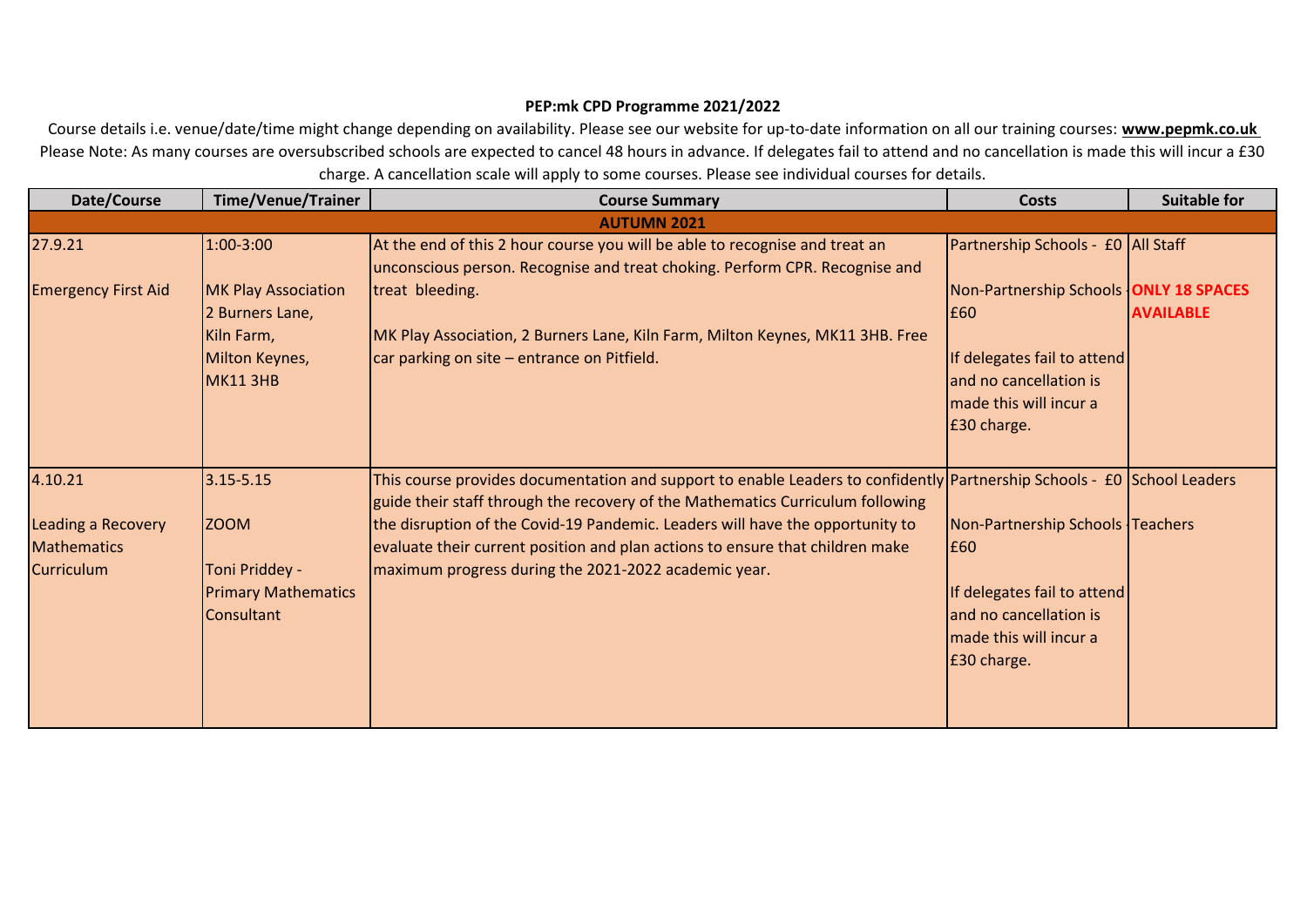## **PEP:mk CPD Programme 2021/2022**

Course details i.e. venue/date/time might change depending on availability. Please see our website for up-to-date information on all our training courses: **www.pepmk.co.uk**  Please Note: As many courses are oversubscribed schools are expected to cancel 48 hours in advance. If delegates fail to attend and no cancellation is made this will incur a £30 charge. A cancellation scale will apply to some courses. Please see individual courses for details.

| Date/Course                                                                     | <b>Time/Venue/Trainer</b>                                                                        | <b>Course Summary</b>                                                                                                                                                                                                                                                                                                                                                                                                               | <b>Costs</b>                                                                                                                                    | <b>Suitable for</b> |
|---------------------------------------------------------------------------------|--------------------------------------------------------------------------------------------------|-------------------------------------------------------------------------------------------------------------------------------------------------------------------------------------------------------------------------------------------------------------------------------------------------------------------------------------------------------------------------------------------------------------------------------------|-------------------------------------------------------------------------------------------------------------------------------------------------|---------------------|
|                                                                                 |                                                                                                  | <b>AUTUMN 2021</b>                                                                                                                                                                                                                                                                                                                                                                                                                  |                                                                                                                                                 |                     |
| 27.9.21                                                                         | 1:00-3:00                                                                                        | At the end of this 2 hour course you will be able to recognise and treat an<br>unconscious person. Recognise and treat choking. Perform CPR. Recognise and                                                                                                                                                                                                                                                                          | Partnership Schools - £0 All Staff                                                                                                              |                     |
| <b>Emergency First Aid</b>                                                      | <b>MK Play Association</b><br>2 Burners Lane,<br>Kiln Farm,<br>Milton Keynes,<br><b>MK11 3HB</b> | treat bleeding.<br>MK Play Association, 2 Burners Lane, Kiln Farm, Milton Keynes, MK11 3HB. Free<br>car parking on site - entrance on Pitfield.                                                                                                                                                                                                                                                                                     | Non-Partnership Schools ONLY 18 SPACES<br>E60<br>If delegates fail to attend<br>and no cancellation is<br>made this will incur a<br>£30 charge. | <b>AVAILABLE</b>    |
| 4.10.21<br><b>Leading a Recovery</b><br><b>Mathematics</b><br><b>Curriculum</b> | $3.15 - 5.15$<br><b>ZOOM</b><br>Toni Priddey -<br><b>Primary Mathematics</b><br>Consultant       | This course provides documentation and support to enable Leaders to confidently Partnership Schools - £0 School Leaders<br>guide their staff through the recovery of the Mathematics Curriculum following<br>the disruption of the Covid-19 Pandemic. Leaders will have the opportunity to<br>evaluate their current position and plan actions to ensure that children make<br>maximum progress during the 2021-2022 academic year. | Non-Partnership Schools Teachers<br>E60<br>If delegates fail to attend<br>and no cancellation is<br>made this will incur a<br>E30 charge.       |                     |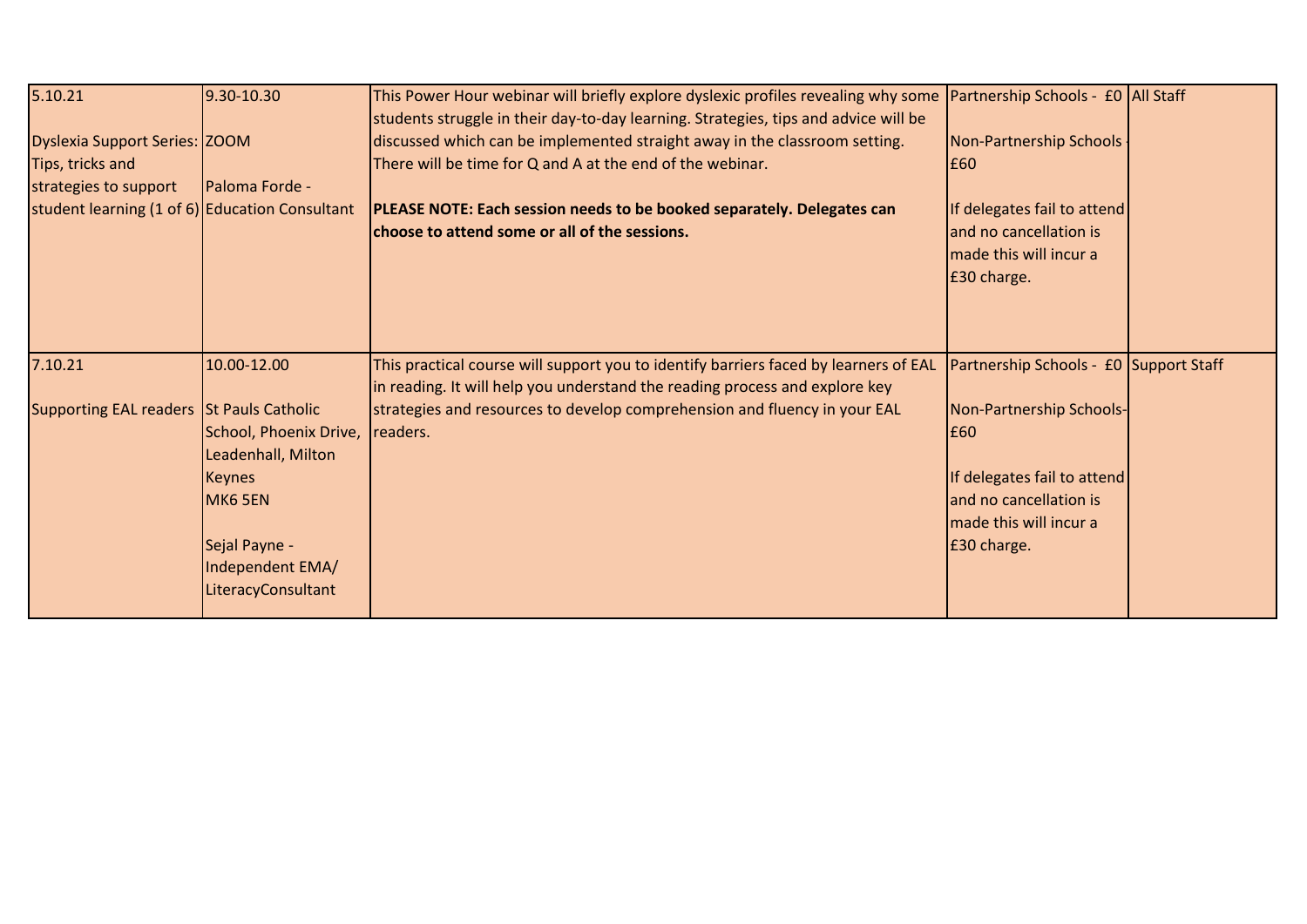| 5.10.21                                                                                                                      | $9.30 - 10.30$                                                                                                                                     | This Power Hour webinar will briefly explore dyslexic profiles revealing why some Partnership Schools - £0 All Staff<br>students struggle in their day-to-day learning. Strategies, tips and advice will be                                                        |                                                                                                                                                                             |  |
|------------------------------------------------------------------------------------------------------------------------------|----------------------------------------------------------------------------------------------------------------------------------------------------|--------------------------------------------------------------------------------------------------------------------------------------------------------------------------------------------------------------------------------------------------------------------|-----------------------------------------------------------------------------------------------------------------------------------------------------------------------------|--|
| Dyslexia Support Series: ZOOM<br>Tips, tricks and<br>strategies to support<br>student learning (1 of 6) Education Consultant | Paloma Forde -                                                                                                                                     | discussed which can be implemented straight away in the classroom setting.<br>There will be time for Q and A at the end of the webinar.<br>PLEASE NOTE: Each session needs to be booked separately. Delegates can<br>choose to attend some or all of the sessions. | Non-Partnership Schools -<br>£60<br>If delegates fail to attend<br>and no cancellation is<br>made this will incur a<br>£30 charge.                                          |  |
| 7.10.21<br>Supporting EAL readers St Pauls Catholic                                                                          | 10.00-12.00<br>School, Phoenix Drive,<br>Leadenhall, Milton<br>Keynes<br><b>MK6 5EN</b><br>Sejal Payne -<br>Independent EMA/<br>LiteracyConsultant | This practical course will support you to identify barriers faced by learners of EAL<br>in reading. It will help you understand the reading process and explore key<br>strategies and resources to develop comprehension and fluency in your EAL<br>readers.       | Partnership Schools - £0 Support Staff<br>Non-Partnership Schools-<br>£60<br>If delegates fail to attend<br>and no cancellation is<br>made this will incur a<br>£30 charge. |  |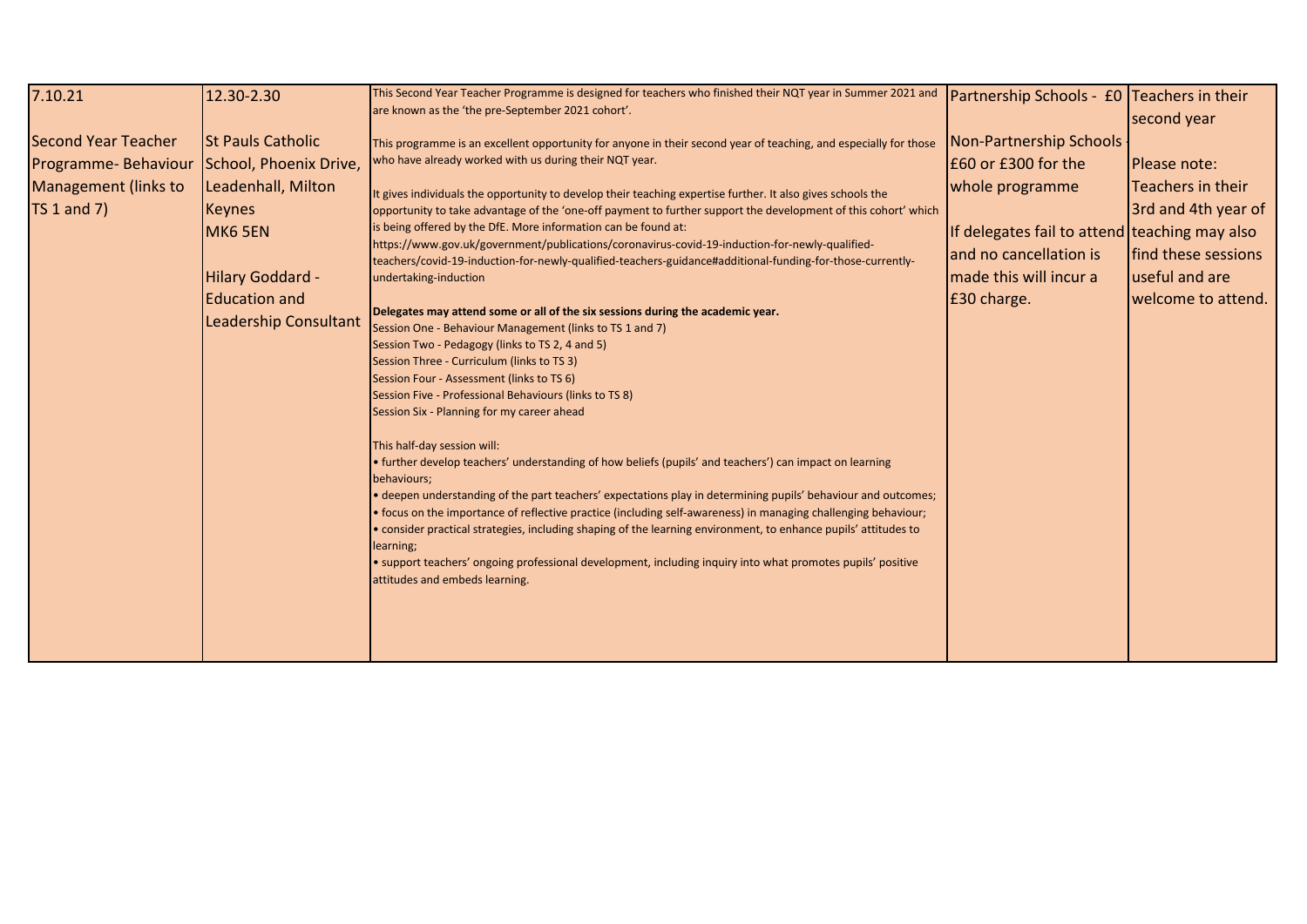| 7.10.21                     | 12.30-2.30               | This Second Year Teacher Programme is designed for teachers who finished their NQT year in Summer 2021 and<br>are known as the 'the pre-September 2021 cohort'.                                                                 | Partnership Schools - £0 Teachers in their    |                      |
|-----------------------------|--------------------------|---------------------------------------------------------------------------------------------------------------------------------------------------------------------------------------------------------------------------------|-----------------------------------------------|----------------------|
|                             |                          |                                                                                                                                                                                                                                 |                                               | second year          |
| <b>Second Year Teacher</b>  | <b>St Pauls Catholic</b> | This programme is an excellent opportunity for anyone in their second year of teaching, and especially for those                                                                                                                | Non-Partnership Schools                       |                      |
| Programme-Behaviour         | School, Phoenix Drive,   | who have already worked with us during their NQT year.                                                                                                                                                                          | E60 or £300 for the                           | <b>IPlease note:</b> |
| <b>Management (links to</b> | Leadenhall, Milton       | It gives individuals the opportunity to develop their teaching expertise further. It also gives schools the                                                                                                                     | whole programme                               | Teachers in their    |
| $TS 1$ and $7)$             | <b>Keynes</b>            | opportunity to take advantage of the 'one-off payment to further support the development of this cohort' which<br>is being offered by the DfE. More information can be found at:                                                |                                               | 3rd and 4th year of  |
|                             | <b>MK6 5EN</b>           | https://www.gov.uk/government/publications/coronavirus-covid-19-induction-for-newly-qualified-                                                                                                                                  | If delegates fail to attend teaching may also |                      |
|                             |                          | teachers/covid-19-induction-for-newly-qualified-teachers-guidance#additional-funding-for-those-currently-                                                                                                                       | and no cancellation is                        | find these sessions  |
|                             | Hilary Goddard -         | undertaking-induction                                                                                                                                                                                                           | made this will incur a                        | useful and are       |
|                             | <b>Education and</b>     |                                                                                                                                                                                                                                 | £30 charge.                                   | welcome to attend.   |
|                             | Leadership Consultant    | Delegates may attend some or all of the six sessions during the academic year.<br>Session One - Behaviour Management (links to TS 1 and 7)                                                                                      |                                               |                      |
|                             |                          | Session Two - Pedagogy (links to TS 2, 4 and 5)                                                                                                                                                                                 |                                               |                      |
|                             |                          | Session Three - Curriculum (links to TS 3)                                                                                                                                                                                      |                                               |                      |
|                             |                          | Session Four - Assessment (links to TS 6)                                                                                                                                                                                       |                                               |                      |
|                             |                          | Session Five - Professional Behaviours (links to TS 8)                                                                                                                                                                          |                                               |                      |
|                             |                          | Session Six - Planning for my career ahead                                                                                                                                                                                      |                                               |                      |
|                             |                          | This half-day session will:                                                                                                                                                                                                     |                                               |                      |
|                             |                          | · further develop teachers' understanding of how beliefs (pupils' and teachers') can impact on learning                                                                                                                         |                                               |                      |
|                             |                          | behaviours;                                                                                                                                                                                                                     |                                               |                      |
|                             |                          | • deepen understanding of the part teachers' expectations play in determining pupils' behaviour and outcomes;<br>• focus on the importance of reflective practice (including self-awareness) in managing challenging behaviour; |                                               |                      |
|                             |                          | • consider practical strategies, including shaping of the learning environment, to enhance pupils' attitudes to                                                                                                                 |                                               |                      |
|                             |                          | learning;                                                                                                                                                                                                                       |                                               |                      |
|                             |                          | · support teachers' ongoing professional development, including inquiry into what promotes pupils' positive                                                                                                                     |                                               |                      |
|                             |                          | attitudes and embeds learning.                                                                                                                                                                                                  |                                               |                      |
|                             |                          |                                                                                                                                                                                                                                 |                                               |                      |
|                             |                          |                                                                                                                                                                                                                                 |                                               |                      |
|                             |                          |                                                                                                                                                                                                                                 |                                               |                      |
|                             |                          |                                                                                                                                                                                                                                 |                                               |                      |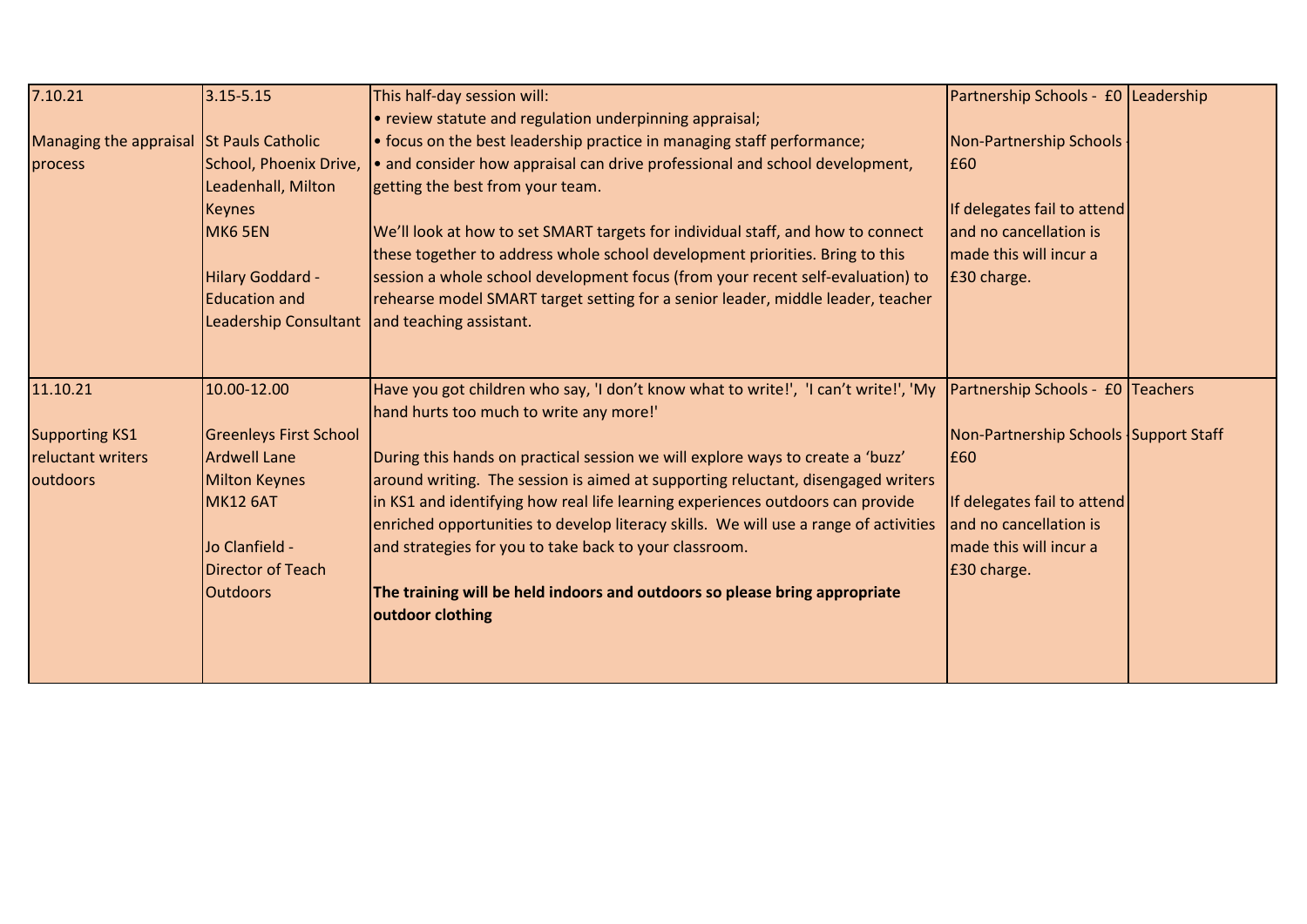| 7.10.21                                  | $3.15 - 5.15$                 | This half-day session will:                                                                                           | Partnership Schools - £0 Leadership   |  |
|------------------------------------------|-------------------------------|-----------------------------------------------------------------------------------------------------------------------|---------------------------------------|--|
|                                          |                               | • review statute and regulation underpinning appraisal;                                                               |                                       |  |
| Managing the appraisal St Pauls Catholic |                               | • focus on the best leadership practice in managing staff performance;                                                | Non-Partnership Schools               |  |
| process                                  | School, Phoenix Drive,        | • and consider how appraisal can drive professional and school development,                                           | £60                                   |  |
|                                          | Leadenhall, Milton            | getting the best from your team.                                                                                      |                                       |  |
|                                          | <b>Keynes</b>                 |                                                                                                                       | If delegates fail to attend           |  |
|                                          | MK6 5EN                       | We'll look at how to set SMART targets for individual staff, and how to connect                                       | and no cancellation is                |  |
|                                          |                               | these together to address whole school development priorities. Bring to this                                          | made this will incur a                |  |
|                                          | Hilary Goddard -              | session a whole school development focus (from your recent self-evaluation) to                                        | £30 charge.                           |  |
|                                          | <b>Education and</b>          | rehearse model SMART target setting for a senior leader, middle leader, teacher                                       |                                       |  |
|                                          | Leadership Consultant         | and teaching assistant.                                                                                               |                                       |  |
|                                          |                               |                                                                                                                       |                                       |  |
| 11.10.21                                 | 10.00-12.00                   | Have you got children who say, 'I don't know what to write!', 'I can't write!', 'My Partnership Schools - £0 Teachers |                                       |  |
|                                          |                               | hand hurts too much to write any more!'                                                                               |                                       |  |
| <b>Supporting KS1</b>                    | <b>Greenleys First School</b> |                                                                                                                       | Non-Partnership Schools Support Staff |  |
| reluctant writers                        | <b>Ardwell Lane</b>           | During this hands on practical session we will explore ways to create a 'buzz'                                        | E60                                   |  |
| outdoors                                 | <b>Milton Keynes</b>          | around writing. The session is aimed at supporting reluctant, disengaged writers                                      |                                       |  |
|                                          | <b>MK12 6AT</b>               | in KS1 and identifying how real life learning experiences outdoors can provide                                        | If delegates fail to attend           |  |
|                                          |                               | enriched opportunities to develop literacy skills. We will use a range of activities                                  | and no cancellation is                |  |
|                                          | Jo Clanfield -                | and strategies for you to take back to your classroom.                                                                | made this will incur a                |  |
|                                          | Director of Teach             |                                                                                                                       | £30 charge.                           |  |
|                                          | <b>Outdoors</b>               | The training will be held indoors and outdoors so please bring appropriate                                            |                                       |  |
|                                          |                               | outdoor clothing                                                                                                      |                                       |  |
|                                          |                               |                                                                                                                       |                                       |  |
|                                          |                               |                                                                                                                       |                                       |  |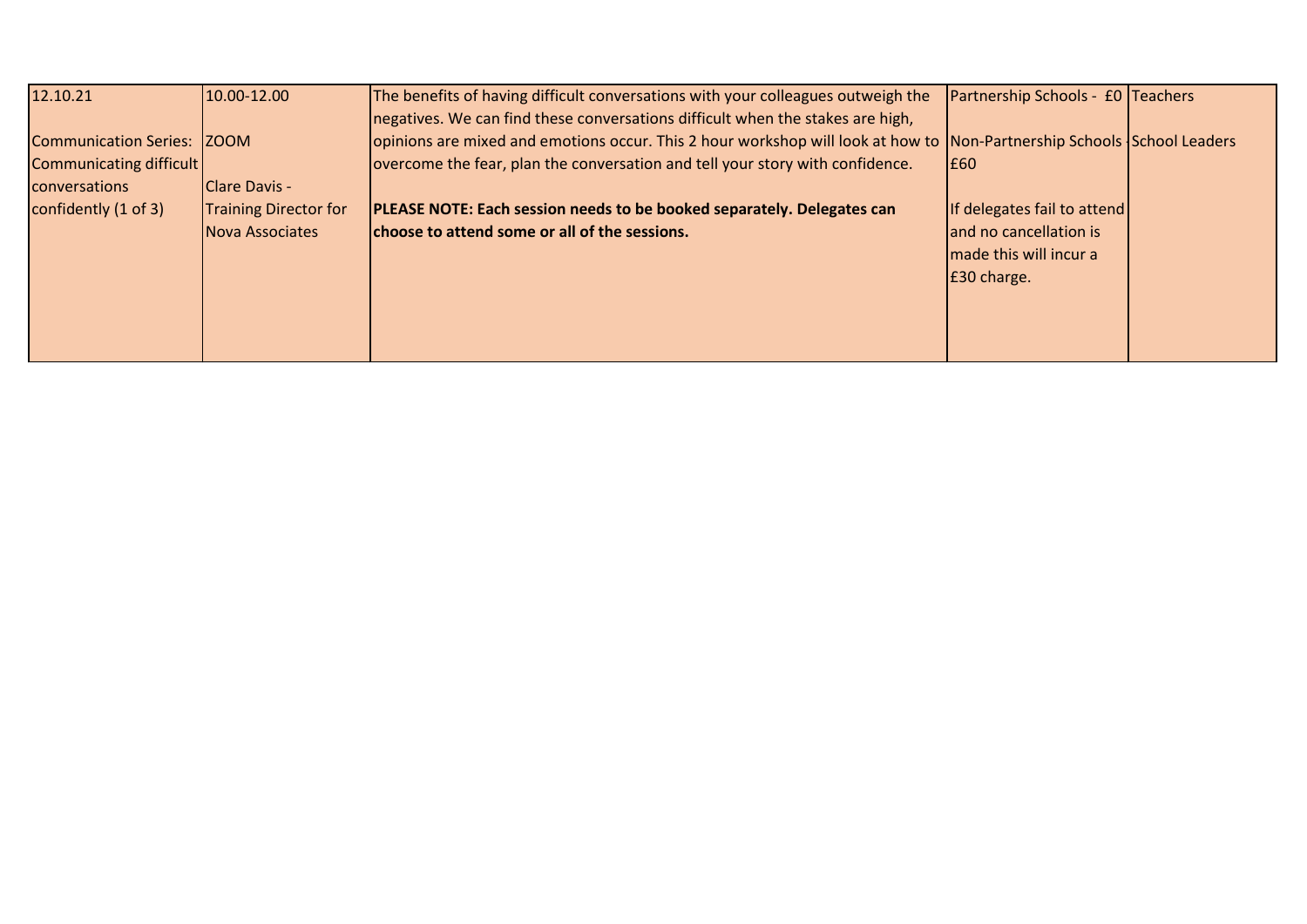| 12.10.21                       | 10.00-12.00                  | The benefits of having difficult conversations with your colleagues outweigh the                                       | <b>Partnership Schools - £0 Teachers</b> |  |
|--------------------------------|------------------------------|------------------------------------------------------------------------------------------------------------------------|------------------------------------------|--|
|                                |                              | negatives. We can find these conversations difficult when the stakes are high,                                         |                                          |  |
| Communication Series: ZOOM     |                              | opinions are mixed and emotions occur. This 2 hour workshop will look at how to Non-Partnership Schools School Leaders |                                          |  |
| <b>Communicating difficult</b> |                              | overcome the fear, plan the conversation and tell your story with confidence.                                          | E60                                      |  |
| conversations                  | <b>IClare Davis -</b>        |                                                                                                                        |                                          |  |
| confidently $(1 of 3)$         | <b>Training Director for</b> | PLEASE NOTE: Each session needs to be booked separately. Delegates can                                                 | If delegates fail to attend              |  |
|                                | Nova Associates              | choose to attend some or all of the sessions.                                                                          | and no cancellation is                   |  |
|                                |                              |                                                                                                                        | made this will incur a                   |  |
|                                |                              |                                                                                                                        | E30 charge.                              |  |
|                                |                              |                                                                                                                        |                                          |  |
|                                |                              |                                                                                                                        |                                          |  |
|                                |                              |                                                                                                                        |                                          |  |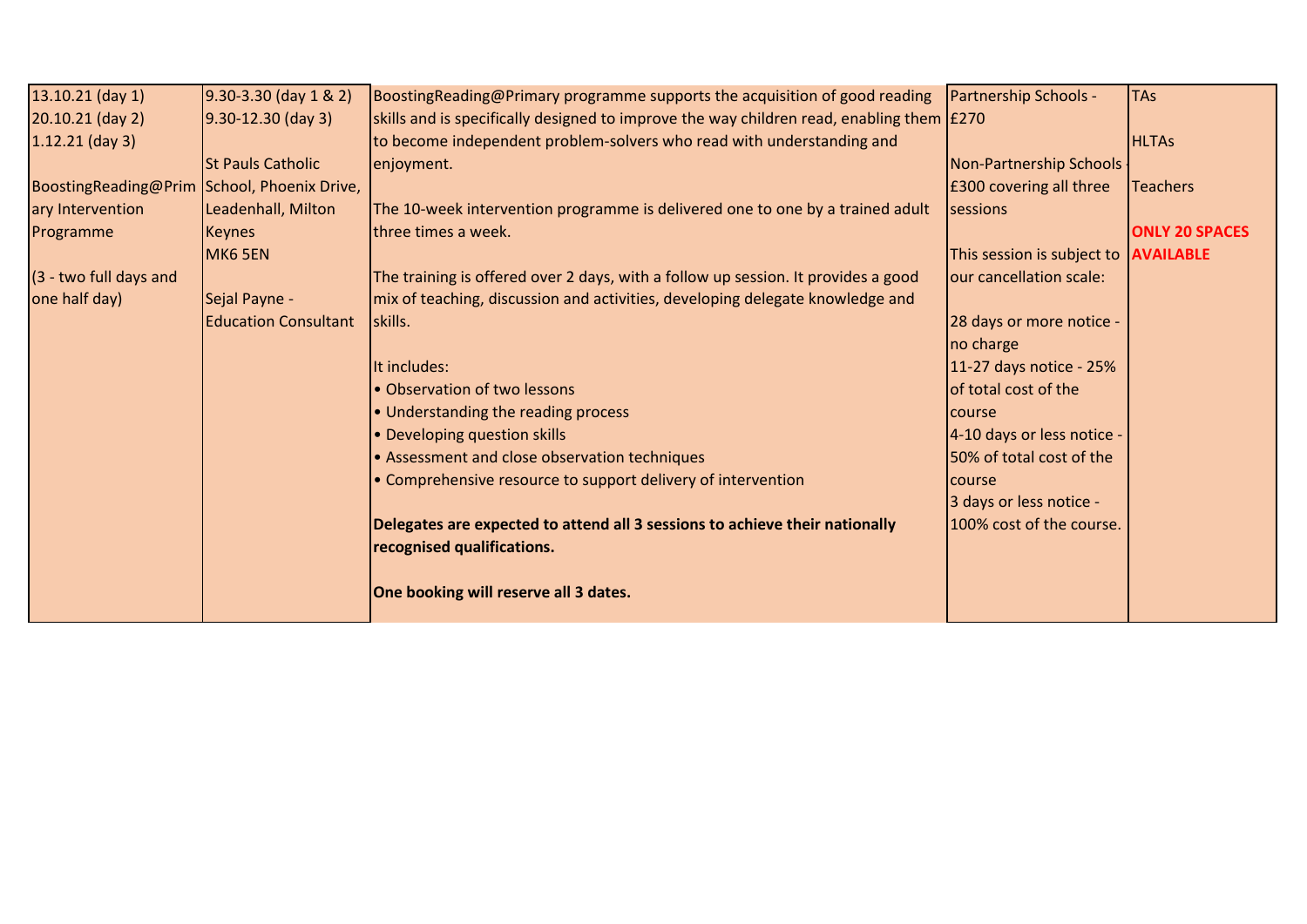| $13.10.21$ (day 1)     | $9.30 - 3.30$ (day $1 & 2$ ) | BoostingReading@Primary programme supports the acquisition of good reading                        | <b>Partnership Schools -</b>                | <b>TAs</b>            |
|------------------------|------------------------------|---------------------------------------------------------------------------------------------------|---------------------------------------------|-----------------------|
| 20.10.21 (day 2)       | $9.30 - 12.30$ (day 3)       | skills and is specifically designed to improve the way children read, enabling them $\lceil$ £270 |                                             |                       |
| $1.12.21$ (day 3)      |                              | to become independent problem-solvers who read with understanding and                             |                                             | <b>HLTAs</b>          |
|                        | <b>St Pauls Catholic</b>     | enjoyment.                                                                                        | Non-Partnership Schools                     |                       |
| BoostingReading@Prim   | School, Phoenix Drive,       |                                                                                                   | £300 covering all three                     | <b>Teachers</b>       |
| ary Intervention       | Leadenhall, Milton           | The 10-week intervention programme is delivered one to one by a trained adult                     | sessions                                    |                       |
| Programme              | <b>Keynes</b>                | three times a week.                                                                               |                                             | <b>ONLY 20 SPACES</b> |
|                        | MK6 5EN                      |                                                                                                   | This session is subject to <b>AVAILABLE</b> |                       |
| (3 - two full days and |                              | The training is offered over 2 days, with a follow up session. It provides a good                 | our cancellation scale:                     |                       |
| one half day)          | Sejal Payne -                | mix of teaching, discussion and activities, developing delegate knowledge and                     |                                             |                       |
|                        | <b>Education Consultant</b>  | skills.                                                                                           | 28 days or more notice -                    |                       |
|                        |                              |                                                                                                   | no charge                                   |                       |
|                        |                              | It includes:                                                                                      | 11-27 days notice - 25%                     |                       |
|                        |                              | • Observation of two lessons                                                                      | of total cost of the                        |                       |
|                        |                              | • Understanding the reading process                                                               | course                                      |                       |
|                        |                              | • Developing question skills                                                                      | 4-10 days or less notice -                  |                       |
|                        |                              | • Assessment and close observation techniques                                                     | 50% of total cost of the                    |                       |
|                        |                              | • Comprehensive resource to support delivery of intervention                                      | <b>course</b>                               |                       |
|                        |                              |                                                                                                   | 3 days or less notice -                     |                       |
|                        |                              | Delegates are expected to attend all 3 sessions to achieve their nationally                       | 100% cost of the course.                    |                       |
|                        |                              | recognised qualifications.                                                                        |                                             |                       |
|                        |                              |                                                                                                   |                                             |                       |
|                        |                              | One booking will reserve all 3 dates.                                                             |                                             |                       |
|                        |                              |                                                                                                   |                                             |                       |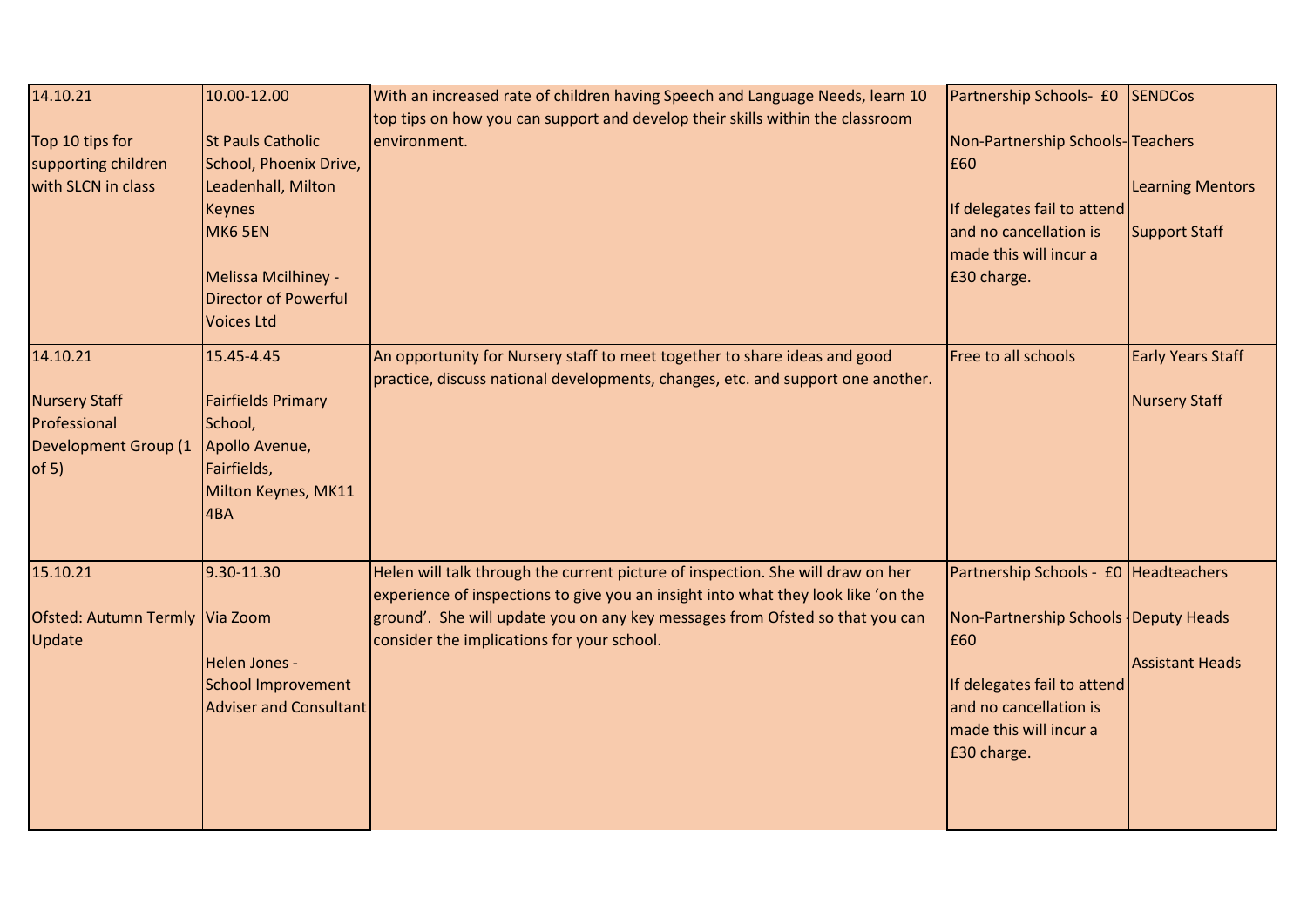| 14.10.21<br>Top 10 tips for<br>supporting children<br>with SLCN in class                 | 10.00-12.00<br><b>St Pauls Catholic</b><br>School, Phoenix Drive,<br>Leadenhall, Milton<br><b>Keynes</b><br>MK6 5EN<br>Melissa Mcilhiney -<br><b>Director of Powerful</b><br><b>Voices Ltd</b> | With an increased rate of children having Speech and Language Needs, learn 10<br>top tips on how you can support and develop their skills within the classroom<br>environment.                                                                                                                     | Partnership Schools- £0<br>Non-Partnership Schools-Teachers<br>£60<br>If delegates fail to attend<br>and no cancellation is<br>made this will incur a<br>£30 charge.                   | <b>SENDCos</b><br><b>Learning Mentors</b><br><b>Support Staff</b> |
|------------------------------------------------------------------------------------------|------------------------------------------------------------------------------------------------------------------------------------------------------------------------------------------------|----------------------------------------------------------------------------------------------------------------------------------------------------------------------------------------------------------------------------------------------------------------------------------------------------|----------------------------------------------------------------------------------------------------------------------------------------------------------------------------------------|-------------------------------------------------------------------|
| 14.10.21<br><b>Nursery Staff</b><br>Professional<br><b>Development Group (1</b><br>of 5) | 15.45-4.45<br><b>Fairfields Primary</b><br>School,<br>Apollo Avenue,<br>Fairfields,<br>Milton Keynes, MK11<br>4BA                                                                              | An opportunity for Nursery staff to meet together to share ideas and good<br>practice, discuss national developments, changes, etc. and support one another.                                                                                                                                       | Free to all schools                                                                                                                                                                    | <b>Early Years Staff</b><br><b>Nursery Staff</b>                  |
| 15.10.21<br>Ofsted: Autumn Termly Via Zoom<br>Update                                     | 9.30-11.30<br>Helen Jones -<br><b>School Improvement</b><br>Adviser and Consultant                                                                                                             | Helen will talk through the current picture of inspection. She will draw on her<br>experience of inspections to give you an insight into what they look like 'on the<br>ground'. She will update you on any key messages from Ofsted so that you can<br>consider the implications for your school. | Partnership Schools - £0 Headteachers<br>Non-Partnership Schools Deputy Heads<br>£60<br>If delegates fail to attend<br>and no cancellation is<br>made this will incur a<br>£30 charge. | <b>Assistant Heads</b>                                            |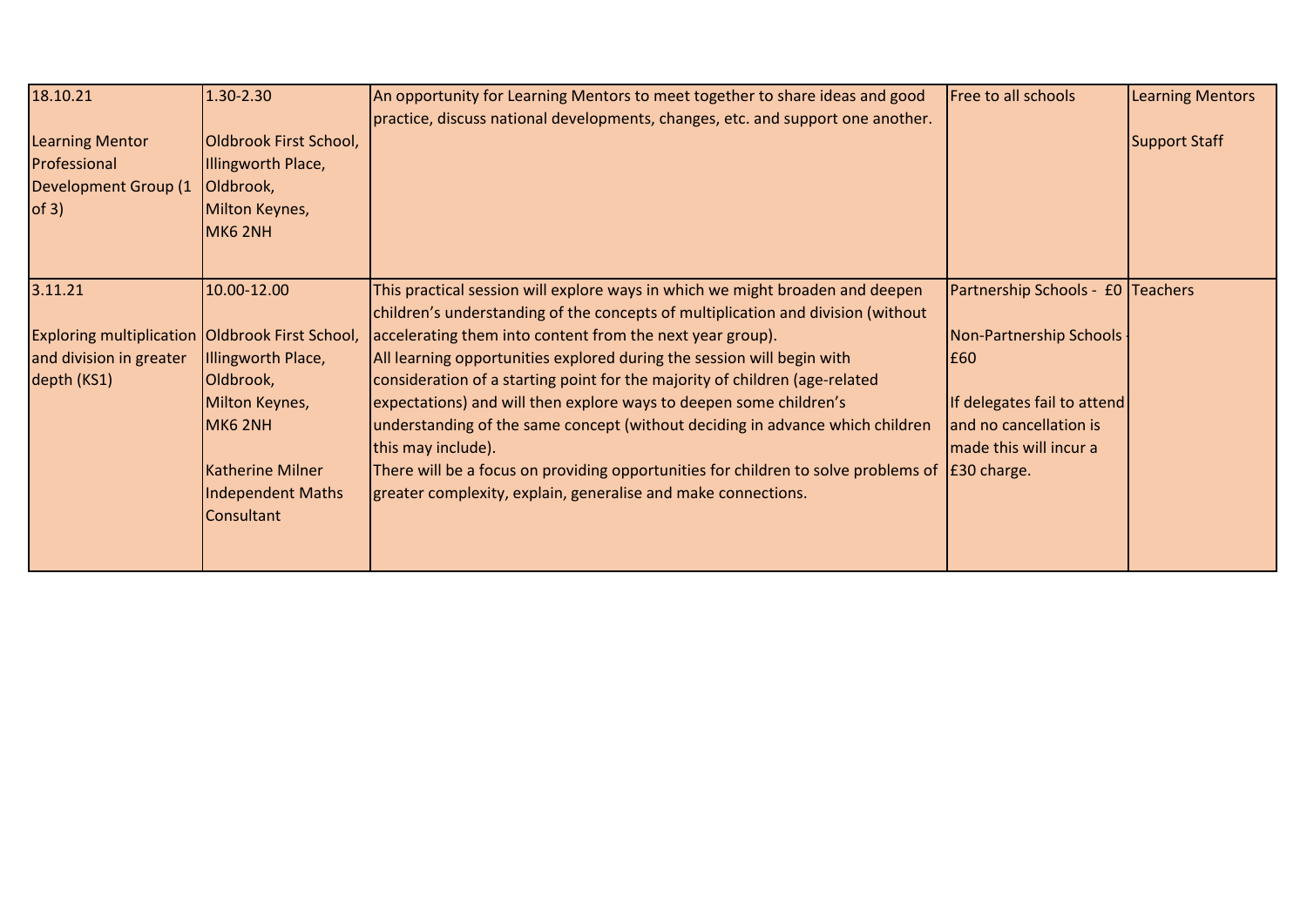| 18.10.21                                                                                  | 1.30-2.30                                                                                                                                | An opportunity for Learning Mentors to meet together to share ideas and good                                                                                                                                                                                                                                                                                                                                                                                                                                                                                                                                                                                   | Free to all schools                                                                                                      | <b>Learning Mentors</b> |
|-------------------------------------------------------------------------------------------|------------------------------------------------------------------------------------------------------------------------------------------|----------------------------------------------------------------------------------------------------------------------------------------------------------------------------------------------------------------------------------------------------------------------------------------------------------------------------------------------------------------------------------------------------------------------------------------------------------------------------------------------------------------------------------------------------------------------------------------------------------------------------------------------------------------|--------------------------------------------------------------------------------------------------------------------------|-------------------------|
| <b>Learning Mentor</b><br>Professional<br>Development Group (1<br>of 3)                   | Oldbrook First School,<br>Illingworth Place,<br>Oldbrook,<br>Milton Keynes,<br>MK6 2NH                                                   | practice, discuss national developments, changes, etc. and support one another.                                                                                                                                                                                                                                                                                                                                                                                                                                                                                                                                                                                |                                                                                                                          | <b>Support Staff</b>    |
| 3.11.21                                                                                   | 10.00-12.00                                                                                                                              | This practical session will explore ways in which we might broaden and deepen                                                                                                                                                                                                                                                                                                                                                                                                                                                                                                                                                                                  | Partnership Schools - £0 Teachers                                                                                        |                         |
| Exploring multiplication Oldbrook First School,<br>and division in greater<br>depth (KS1) | Illingworth Place,<br>Oldbrook,<br>Milton Keynes,<br>MK6 2NH<br><b>Katherine Milner</b><br><b>Independent Maths</b><br><b>Consultant</b> | children's understanding of the concepts of multiplication and division (without<br>accelerating them into content from the next year group).<br>All learning opportunities explored during the session will begin with<br>consideration of a starting point for the majority of children (age-related<br>expectations) and will then explore ways to deepen some children's<br>understanding of the same concept (without deciding in advance which children<br>this may include).<br>There will be a focus on providing opportunities for children to solve problems of $\vert$ £30 charge.<br>greater complexity, explain, generalise and make connections. | Non-Partnership Schools<br><b>E60</b><br>If delegates fail to attend<br>and no cancellation is<br>made this will incur a |                         |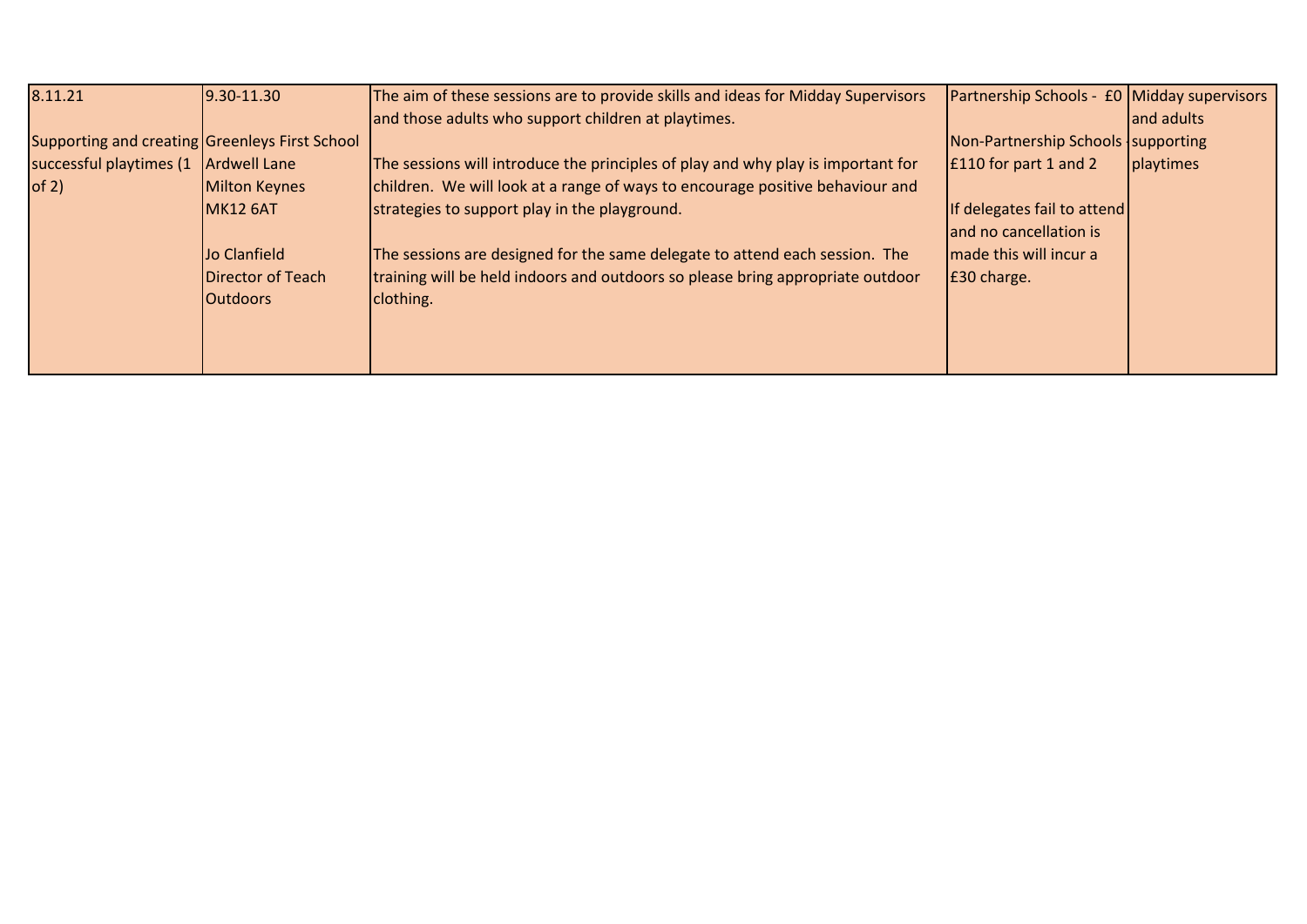| 8.11.21                                        | $9.30 - 11.30$    | The aim of these sessions are to provide skills and ideas for Midday Supervisors | Partnership Schools - £0 Midday supervisors |            |
|------------------------------------------------|-------------------|----------------------------------------------------------------------------------|---------------------------------------------|------------|
|                                                |                   | and those adults who support children at playtimes.                              |                                             | and adults |
| Supporting and creating Greenleys First School |                   |                                                                                  | Non-Partnership Schools Supporting          |            |
| successful playtimes (1   Ardwell Lane         |                   | The sessions will introduce the principles of play and why play is important for | E110 for part 1 and 2                       | playtimes  |
| of 2)                                          | Milton Keynes     | children. We will look at a range of ways to encourage positive behaviour and    |                                             |            |
|                                                | <b>MK12 6AT</b>   | strategies to support play in the playground.                                    | If delegates fail to attend                 |            |
|                                                |                   |                                                                                  | and no cancellation is                      |            |
|                                                | Jo Clanfield      | The sessions are designed for the same delegate to attend each session. The      | made this will incur a                      |            |
|                                                | Director of Teach | training will be held indoors and outdoors so please bring appropriate outdoor   | E30 charge.                                 |            |
|                                                | <b>Outdoors</b>   | clothing.                                                                        |                                             |            |
|                                                |                   |                                                                                  |                                             |            |
|                                                |                   |                                                                                  |                                             |            |
|                                                |                   |                                                                                  |                                             |            |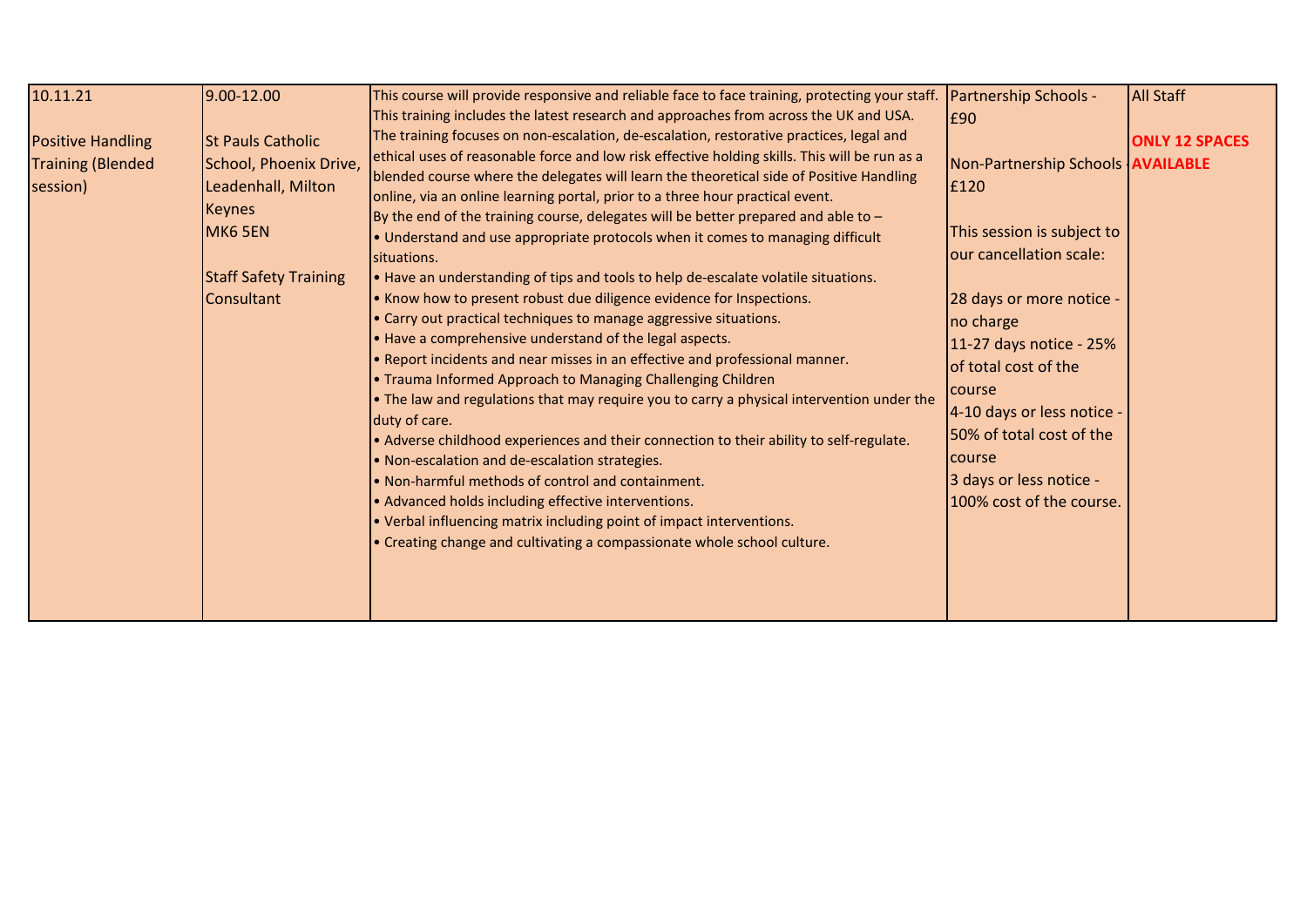| 10.11.21<br><b>Positive Handling</b><br><b>Training (Blended</b><br>session) | 9.00-12.00<br><b>St Pauls Catholic</b><br>School, Phoenix Drive,<br>Leadenhall, Milton<br><b>Keynes</b><br>MK6 5EN<br><b>Staff Safety Training</b><br><b>Consultant</b> | This course will provide responsive and reliable face to face training, protecting your staff.<br>This training includes the latest research and approaches from across the UK and USA.<br>The training focuses on non-escalation, de-escalation, restorative practices, legal and<br>ethical uses of reasonable force and low risk effective holding skills. This will be run as a<br>blended course where the delegates will learn the theoretical side of Positive Handling<br>online, via an online learning portal, prior to a three hour practical event.<br>By the end of the training course, delegates will be better prepared and able to $-$<br>. Understand and use appropriate protocols when it comes to managing difficult<br>situations.<br>. Have an understanding of tips and tools to help de-escalate volatile situations.<br>. Know how to present robust due diligence evidence for Inspections.<br>• Carry out practical techniques to manage aggressive situations.<br>. Have a comprehensive understand of the legal aspects.<br>• Report incidents and near misses in an effective and professional manner.<br>. Trauma Informed Approach to Managing Challenging Children<br>• The law and regulations that may require you to carry a physical intervention under the<br>duty of care.<br>. Adverse childhood experiences and their connection to their ability to self-regulate.<br>. Non-escalation and de-escalation strategies.<br>• Non-harmful methods of control and containment.<br>• Advanced holds including effective interventions.<br>• Verbal influencing matrix including point of impact interventions.<br>• Creating change and cultivating a compassionate whole school culture. | <b>Partnership Schools -</b><br>E90<br>Non-Partnership Schools <b>AVAILABLE</b><br>£120<br>This session is subject to<br>our cancellation scale:<br>28 days or more notice -<br>no charge<br>11-27 days notice - 25%<br>of total cost of the<br><b>Course</b><br>4-10 days or less notice -<br>50% of total cost of the<br><b>Course</b><br>3 days or less notice -<br>100% cost of the course. | <b>All Staff</b><br><b>ONLY 12 SPACES</b> |
|------------------------------------------------------------------------------|-------------------------------------------------------------------------------------------------------------------------------------------------------------------------|--------------------------------------------------------------------------------------------------------------------------------------------------------------------------------------------------------------------------------------------------------------------------------------------------------------------------------------------------------------------------------------------------------------------------------------------------------------------------------------------------------------------------------------------------------------------------------------------------------------------------------------------------------------------------------------------------------------------------------------------------------------------------------------------------------------------------------------------------------------------------------------------------------------------------------------------------------------------------------------------------------------------------------------------------------------------------------------------------------------------------------------------------------------------------------------------------------------------------------------------------------------------------------------------------------------------------------------------------------------------------------------------------------------------------------------------------------------------------------------------------------------------------------------------------------------------------------------------------------------------------------------------------------------------------------------------------------------------------------|-------------------------------------------------------------------------------------------------------------------------------------------------------------------------------------------------------------------------------------------------------------------------------------------------------------------------------------------------------------------------------------------------|-------------------------------------------|
|------------------------------------------------------------------------------|-------------------------------------------------------------------------------------------------------------------------------------------------------------------------|--------------------------------------------------------------------------------------------------------------------------------------------------------------------------------------------------------------------------------------------------------------------------------------------------------------------------------------------------------------------------------------------------------------------------------------------------------------------------------------------------------------------------------------------------------------------------------------------------------------------------------------------------------------------------------------------------------------------------------------------------------------------------------------------------------------------------------------------------------------------------------------------------------------------------------------------------------------------------------------------------------------------------------------------------------------------------------------------------------------------------------------------------------------------------------------------------------------------------------------------------------------------------------------------------------------------------------------------------------------------------------------------------------------------------------------------------------------------------------------------------------------------------------------------------------------------------------------------------------------------------------------------------------------------------------------------------------------------------------|-------------------------------------------------------------------------------------------------------------------------------------------------------------------------------------------------------------------------------------------------------------------------------------------------------------------------------------------------------------------------------------------------|-------------------------------------------|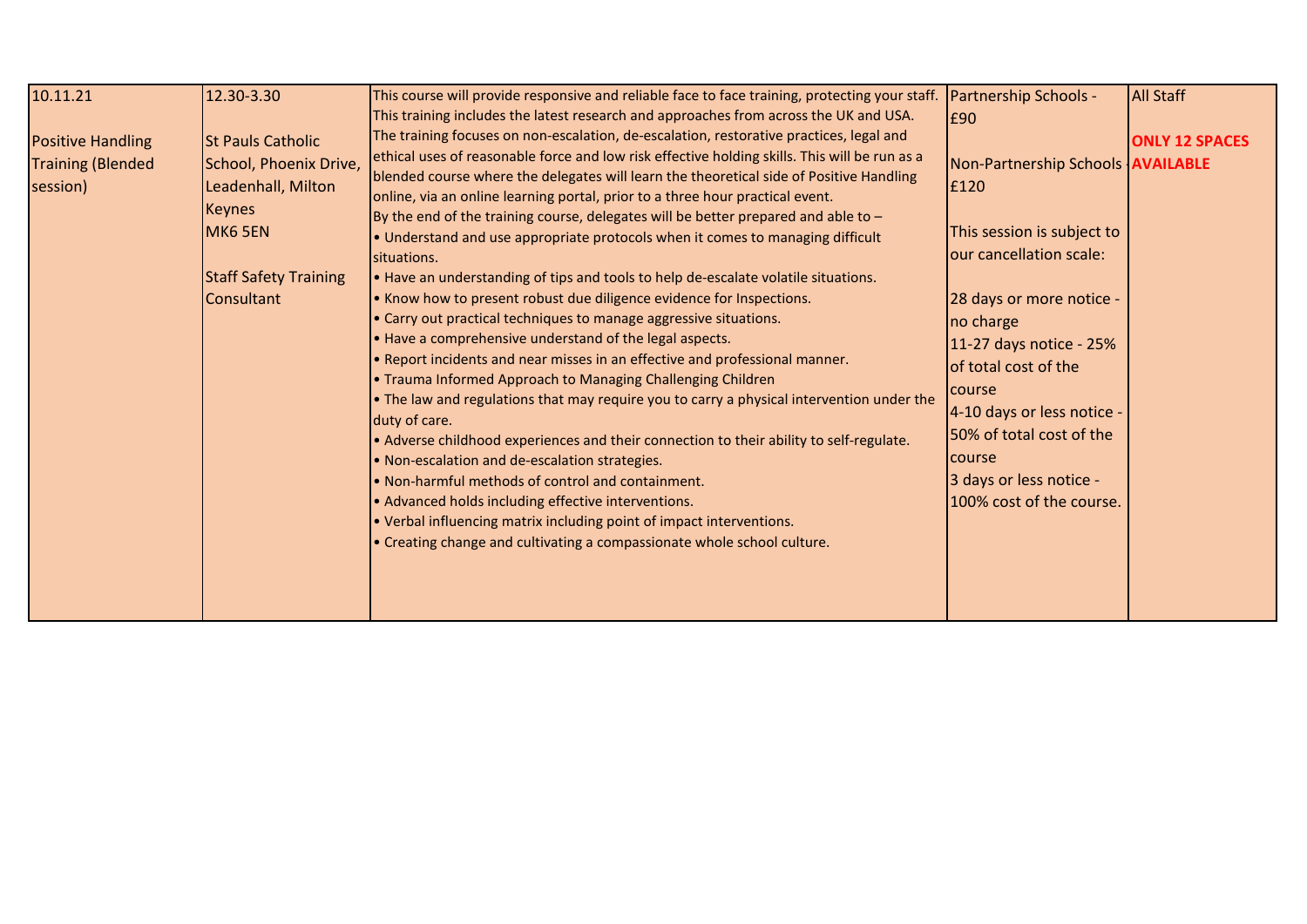| 10.11.21<br><b>Positive Handling</b><br><b>Training (Blended</b><br>session) | 12.30-3.30<br><b>St Pauls Catholic</b><br>School, Phoenix Drive,<br>Leadenhall, Milton<br>Keynes<br>MK6 5EN<br><b>Staff Safety Training</b><br>Consultant | This course will provide responsive and reliable face to face training, protecting your staff. Partnership Schools -<br>This training includes the latest research and approaches from across the UK and USA.<br>The training focuses on non-escalation, de-escalation, restorative practices, legal and<br>ethical uses of reasonable force and low risk effective holding skills. This will be run as a<br>blended course where the delegates will learn the theoretical side of Positive Handling<br>online, via an online learning portal, prior to a three hour practical event.<br>By the end of the training course, delegates will be better prepared and able to $-$<br>. Understand and use appropriate protocols when it comes to managing difficult<br>situations.<br>. Have an understanding of tips and tools to help de-escalate volatile situations.<br>. Know how to present robust due diligence evidence for Inspections.<br>• Carry out practical techniques to manage aggressive situations.<br>. Have a comprehensive understand of the legal aspects.<br>. Report incidents and near misses in an effective and professional manner.<br>. Trauma Informed Approach to Managing Challenging Children<br>• The law and regulations that may require you to carry a physical intervention under the<br>duty of care.<br>. Adverse childhood experiences and their connection to their ability to self-regulate.<br>. Non-escalation and de-escalation strategies.<br>. Non-harmful methods of control and containment.<br>• Advanced holds including effective interventions.<br>• Verbal influencing matrix including point of impact interventions.<br>• Creating change and cultivating a compassionate whole school culture. | £90<br>Non-Partnership Schools   AVAILABLE<br>E120<br>This session is subject to<br>our cancellation scale:<br>28 days or more notice -<br>no charge<br>11-27 days notice - 25%<br>of total cost of the<br>course<br>4-10 days or less notice -<br>50% of total cost of the<br>course<br>3 days or less notice -<br>100% cost of the course. | <b>All Staff</b><br><b>ONLY 12 SPACES</b> |
|------------------------------------------------------------------------------|-----------------------------------------------------------------------------------------------------------------------------------------------------------|------------------------------------------------------------------------------------------------------------------------------------------------------------------------------------------------------------------------------------------------------------------------------------------------------------------------------------------------------------------------------------------------------------------------------------------------------------------------------------------------------------------------------------------------------------------------------------------------------------------------------------------------------------------------------------------------------------------------------------------------------------------------------------------------------------------------------------------------------------------------------------------------------------------------------------------------------------------------------------------------------------------------------------------------------------------------------------------------------------------------------------------------------------------------------------------------------------------------------------------------------------------------------------------------------------------------------------------------------------------------------------------------------------------------------------------------------------------------------------------------------------------------------------------------------------------------------------------------------------------------------------------------------------------------------------------------------------------------------------------------------|----------------------------------------------------------------------------------------------------------------------------------------------------------------------------------------------------------------------------------------------------------------------------------------------------------------------------------------------|-------------------------------------------|
|------------------------------------------------------------------------------|-----------------------------------------------------------------------------------------------------------------------------------------------------------|------------------------------------------------------------------------------------------------------------------------------------------------------------------------------------------------------------------------------------------------------------------------------------------------------------------------------------------------------------------------------------------------------------------------------------------------------------------------------------------------------------------------------------------------------------------------------------------------------------------------------------------------------------------------------------------------------------------------------------------------------------------------------------------------------------------------------------------------------------------------------------------------------------------------------------------------------------------------------------------------------------------------------------------------------------------------------------------------------------------------------------------------------------------------------------------------------------------------------------------------------------------------------------------------------------------------------------------------------------------------------------------------------------------------------------------------------------------------------------------------------------------------------------------------------------------------------------------------------------------------------------------------------------------------------------------------------------------------------------------------------|----------------------------------------------------------------------------------------------------------------------------------------------------------------------------------------------------------------------------------------------------------------------------------------------------------------------------------------------|-------------------------------------------|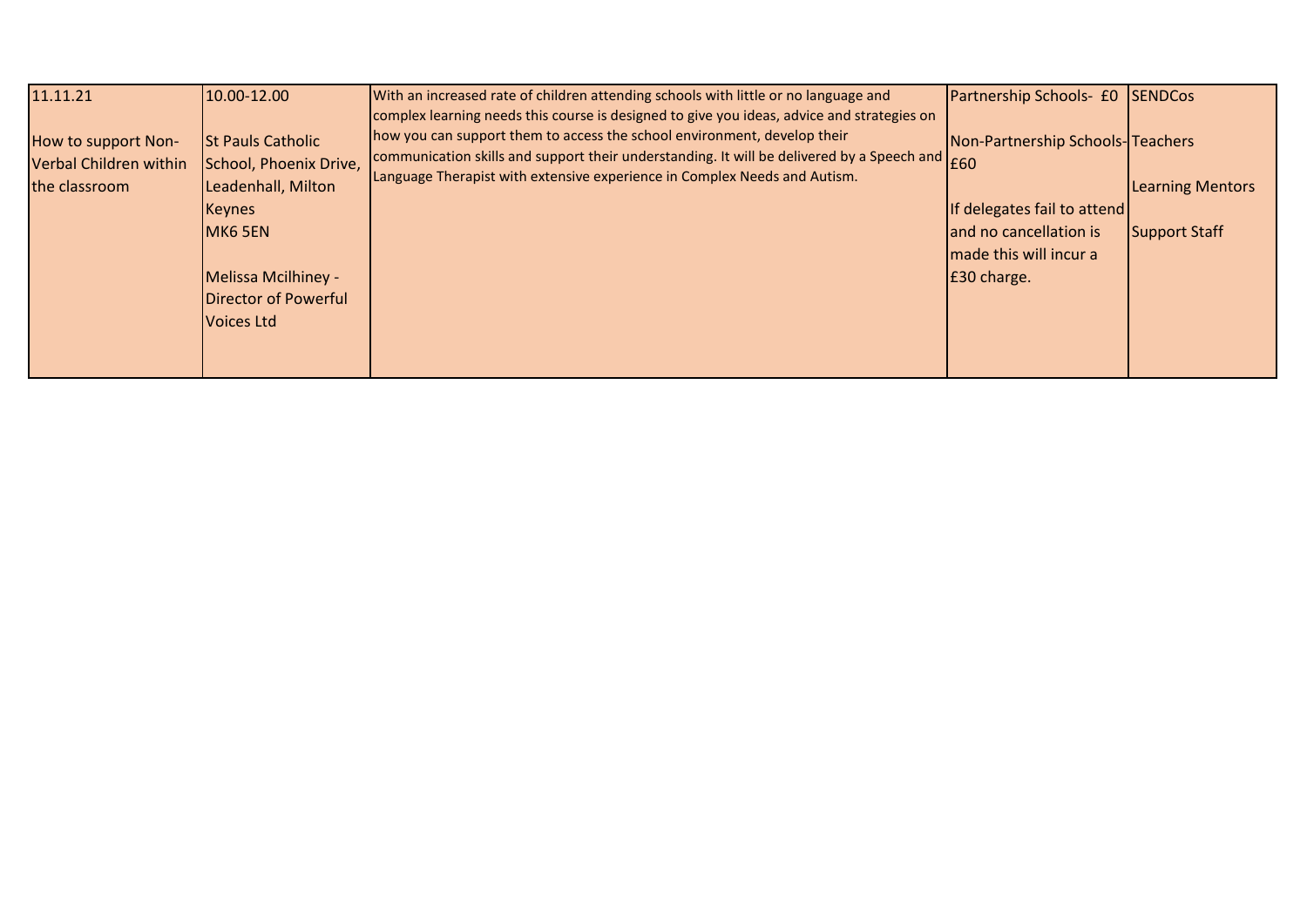| 11.11.21                                                       | 10.00-12.00                                                              | With an increased rate of children attending schools with little or no language and                                                                                                                                                                                                                                                                                                  | Partnership Schools- £0 SENDCos  |                         |
|----------------------------------------------------------------|--------------------------------------------------------------------------|--------------------------------------------------------------------------------------------------------------------------------------------------------------------------------------------------------------------------------------------------------------------------------------------------------------------------------------------------------------------------------------|----------------------------------|-------------------------|
| How to support Non-<br>Verbal Children within<br>the classroom | <b>St Pauls Catholic</b><br>School, Phoenix Drive,<br>Leadenhall, Milton | complex learning needs this course is designed to give you ideas, advice and strategies on<br>how you can support them to access the school environment, develop their<br>communication skills and support their understanding. It will be delivered by a Speech and $\begin{bmatrix} 60 \end{bmatrix}$<br>Language Therapist with extensive experience in Complex Needs and Autism. | Non-Partnership Schools-Teachers | <b>Learning Mentors</b> |
|                                                                | Keynes                                                                   |                                                                                                                                                                                                                                                                                                                                                                                      | If delegates fail to attend      |                         |
|                                                                | MK6 5EN                                                                  |                                                                                                                                                                                                                                                                                                                                                                                      | and no cancellation is           | <b>Support Staff</b>    |
|                                                                |                                                                          |                                                                                                                                                                                                                                                                                                                                                                                      | made this will incur a           |                         |
|                                                                | Melissa Mcilhiney -                                                      |                                                                                                                                                                                                                                                                                                                                                                                      | E30 charge.                      |                         |
|                                                                | <b>Director of Powerful</b>                                              |                                                                                                                                                                                                                                                                                                                                                                                      |                                  |                         |
|                                                                | Voices Ltd                                                               |                                                                                                                                                                                                                                                                                                                                                                                      |                                  |                         |
|                                                                |                                                                          |                                                                                                                                                                                                                                                                                                                                                                                      |                                  |                         |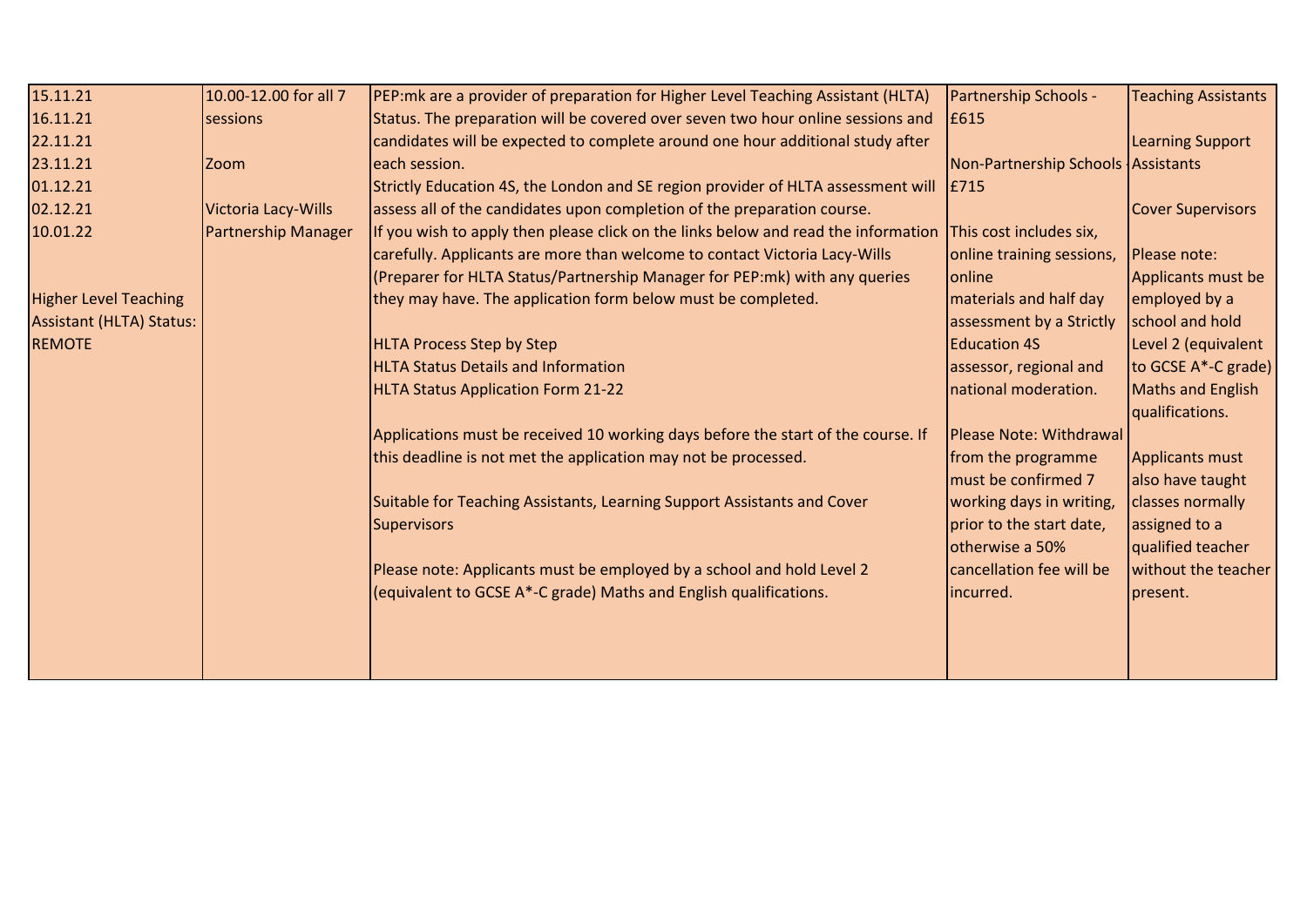| 15.11.21                        | 10.00-12.00 for all 7      | PEP: mk are a provider of preparation for Higher Level Teaching Assistant (HLTA)   | Partnership Schools -              | <b>Teaching Assistants</b> |
|---------------------------------|----------------------------|------------------------------------------------------------------------------------|------------------------------------|----------------------------|
| 16.11.21                        | sessions                   | Status. The preparation will be covered over seven two hour online sessions and    | E615                               |                            |
| 22.11.21                        |                            | candidates will be expected to complete around one hour additional study after     |                                    | <b>Learning Support</b>    |
| 23.11.21                        | <b>Zoom</b>                | each session.                                                                      | Non-Partnership Schools Assistants |                            |
| 01.12.21                        |                            | Strictly Education 4S, the London and SE region provider of HLTA assessment will   | E715                               |                            |
| 02.12.21                        | Victoria Lacy-Wills        | assess all of the candidates upon completion of the preparation course.            |                                    | <b>Cover Supervisors</b>   |
| 10.01.22                        | <b>Partnership Manager</b> | If you wish to apply then please click on the links below and read the information | This cost includes six,            |                            |
|                                 |                            | carefully. Applicants are more than welcome to contact Victoria Lacy-Wills         | online training sessions,          | Please note:               |
|                                 |                            | (Preparer for HLTA Status/Partnership Manager for PEP:mk) with any queries         | <b>lonline</b>                     | Applicants must be         |
| <b>Higher Level Teaching</b>    |                            | they may have. The application form below must be completed.                       | materials and half day             | employed by a              |
| <b>Assistant (HLTA) Status:</b> |                            |                                                                                    | assessment by a Strictly           | school and hold            |
| <b>REMOTE</b>                   |                            | <b>HLTA Process Step by Step</b>                                                   | <b>Education 4S</b>                | Level 2 (equivalent        |
|                                 |                            | <b>HLTA Status Details and Information</b>                                         | assessor, regional and             | to GCSE A*-C grade)        |
|                                 |                            | <b>HLTA Status Application Form 21-22</b>                                          | national moderation.               | Maths and English          |
|                                 |                            |                                                                                    |                                    | qualifications.            |
|                                 |                            | Applications must be received 10 working days before the start of the course. If   | Please Note: Withdrawal            |                            |
|                                 |                            | this deadline is not met the application may not be processed.                     | from the programme                 | <b>Applicants must</b>     |
|                                 |                            |                                                                                    | must be confirmed 7                | also have taught           |
|                                 |                            | Suitable for Teaching Assistants, Learning Support Assistants and Cover            | working days in writing,           | classes normally           |
|                                 |                            | Supervisors                                                                        | prior to the start date,           | assigned to a              |
|                                 |                            |                                                                                    | otherwise a 50%                    | qualified teacher          |
|                                 |                            | Please note: Applicants must be employed by a school and hold Level 2              | cancellation fee will be           | without the teacher        |
|                                 |                            | (equivalent to GCSE A*-C grade) Maths and English qualifications.                  | incurred.                          | present.                   |
|                                 |                            |                                                                                    |                                    |                            |
|                                 |                            |                                                                                    |                                    |                            |
|                                 |                            |                                                                                    |                                    |                            |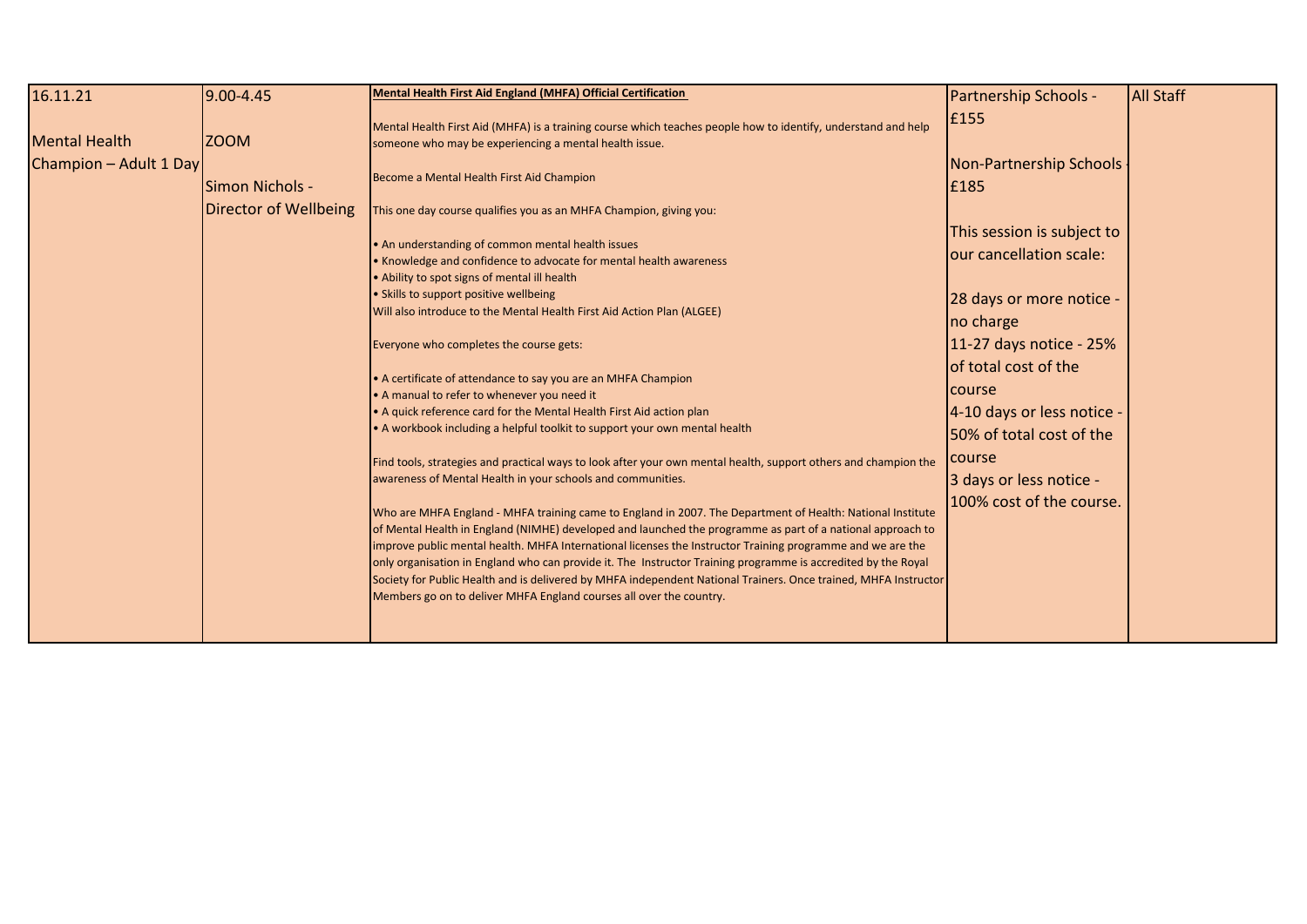| 16.11.21               | 9.00-4.45             | Mental Health First Aid England (MHFA) Official Certification                                                                                                                                                                                                                                                                                                                                                                                                                                                                                                                                                                                                                                                                                                                                                                                                                                                                                                                                                                                                                                                                                                                                                                                                                                                                                                                                                                                      | <b>Partnership Schools -</b>                                                                                                                                                                                                                                                           | <b>All Staff</b> |
|------------------------|-----------------------|----------------------------------------------------------------------------------------------------------------------------------------------------------------------------------------------------------------------------------------------------------------------------------------------------------------------------------------------------------------------------------------------------------------------------------------------------------------------------------------------------------------------------------------------------------------------------------------------------------------------------------------------------------------------------------------------------------------------------------------------------------------------------------------------------------------------------------------------------------------------------------------------------------------------------------------------------------------------------------------------------------------------------------------------------------------------------------------------------------------------------------------------------------------------------------------------------------------------------------------------------------------------------------------------------------------------------------------------------------------------------------------------------------------------------------------------------|----------------------------------------------------------------------------------------------------------------------------------------------------------------------------------------------------------------------------------------------------------------------------------------|------------------|
| <b>Mental Health</b>   | <b>ZOOM</b>           | Mental Health First Aid (MHFA) is a training course which teaches people how to identify, understand and help<br>someone who may be experiencing a mental health issue.                                                                                                                                                                                                                                                                                                                                                                                                                                                                                                                                                                                                                                                                                                                                                                                                                                                                                                                                                                                                                                                                                                                                                                                                                                                                            | £155                                                                                                                                                                                                                                                                                   |                  |
| Champion - Adult 1 Day | Simon Nichols -       | Become a Mental Health First Aid Champion                                                                                                                                                                                                                                                                                                                                                                                                                                                                                                                                                                                                                                                                                                                                                                                                                                                                                                                                                                                                                                                                                                                                                                                                                                                                                                                                                                                                          | Non-Partnership Schools<br>E185                                                                                                                                                                                                                                                        |                  |
|                        | Director of Wellbeing | This one day course qualifies you as an MHFA Champion, giving you:<br>• An understanding of common mental health issues<br>• Knowledge and confidence to advocate for mental health awareness<br>• Ability to spot signs of mental ill health<br>• Skills to support positive wellbeing<br>Will also introduce to the Mental Health First Aid Action Plan (ALGEE)<br>Everyone who completes the course gets:<br>• A certificate of attendance to say you are an MHFA Champion<br>• A manual to refer to whenever you need it<br>• A quick reference card for the Mental Health First Aid action plan<br>• A workbook including a helpful toolkit to support your own mental health<br>Find tools, strategies and practical ways to look after your own mental health, support others and champion the<br>awareness of Mental Health in your schools and communities.<br>Who are MHFA England - MHFA training came to England in 2007. The Department of Health: National Institute<br>of Mental Health in England (NIMHE) developed and launched the programme as part of a national approach to<br>improve public mental health. MHFA International licenses the Instructor Training programme and we are the<br>only organisation in England who can provide it. The Instructor Training programme is accredited by the Royal<br>Society for Public Health and is delivered by MHFA independent National Trainers. Once trained, MHFA Instructor | This session is subject to<br>our cancellation scale:<br>28 days or more notice -<br>no charge<br>11-27 days notice - 25%<br>of total cost of the<br>course<br>4-10 days or less notice -<br>50% of total cost of the<br>course<br>3 days or less notice -<br>100% cost of the course. |                  |
|                        |                       | Members go on to deliver MHFA England courses all over the country.                                                                                                                                                                                                                                                                                                                                                                                                                                                                                                                                                                                                                                                                                                                                                                                                                                                                                                                                                                                                                                                                                                                                                                                                                                                                                                                                                                                |                                                                                                                                                                                                                                                                                        |                  |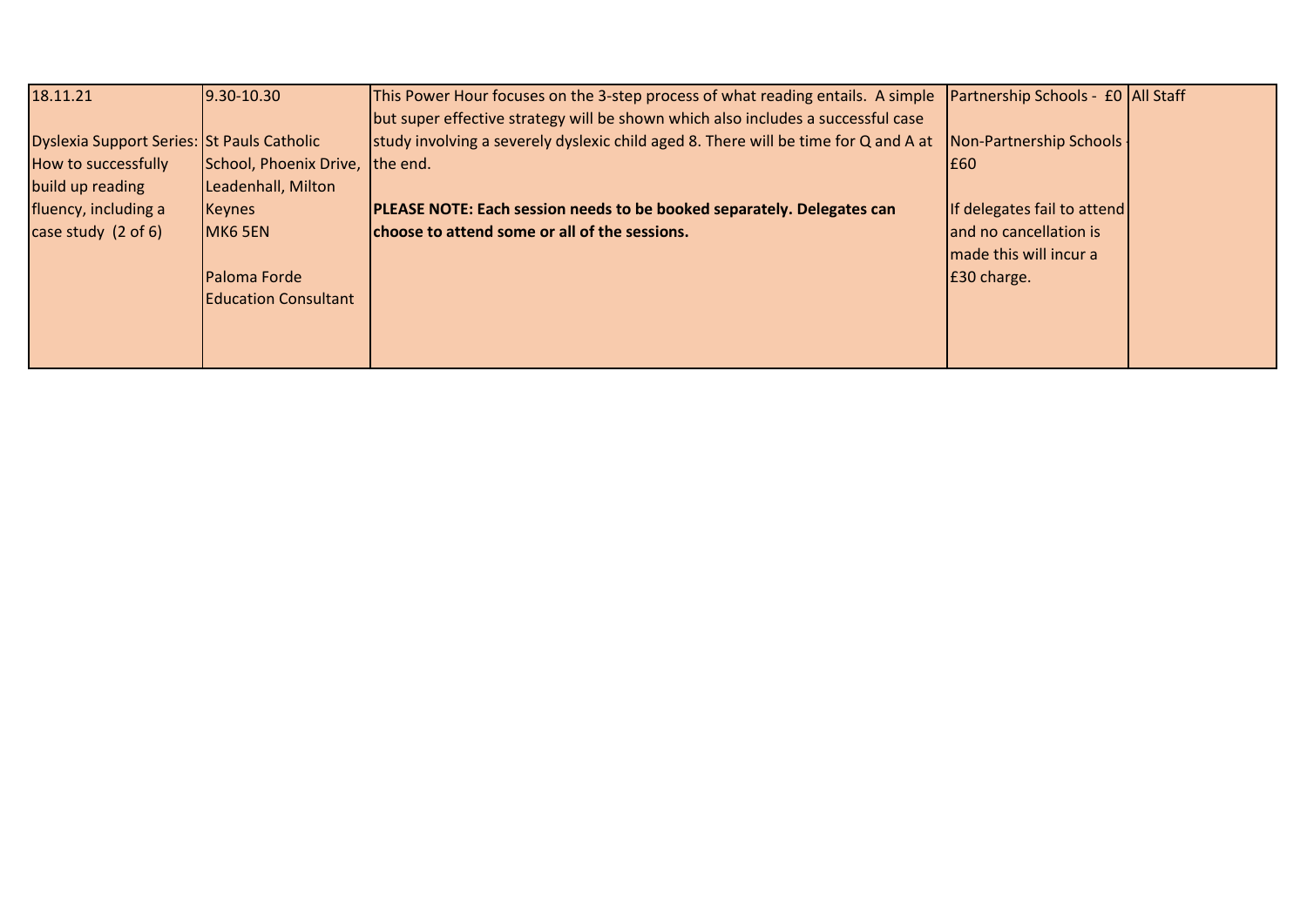| 18.11.21                                   | $9.30 - 10.30$              | This Power Hour focuses on the 3-step process of what reading entails. A simple  Partnership Schools - £0  All Staff |                                    |  |
|--------------------------------------------|-----------------------------|----------------------------------------------------------------------------------------------------------------------|------------------------------------|--|
|                                            |                             | but super effective strategy will be shown which also includes a successful case                                     |                                    |  |
| Dyslexia Support Series: St Pauls Catholic |                             | study involving a severely dyslexic child aged 8. There will be time for Q and A at                                  | Non-Partnership Schools            |  |
| How to successfully                        | School, Phoenix Drive,      | the end.                                                                                                             | I£60.                              |  |
| build up reading                           | Leadenhall, Milton          |                                                                                                                      |                                    |  |
| fluency, including a                       | Keynes                      | <b>PLEASE NOTE: Each session needs to be booked separately. Delegates can</b>                                        | <b>If delegates fail to attend</b> |  |
| case study $(2 \text{ of } 6)$             | MK6 5EN                     | choose to attend some or all of the sessions.                                                                        | and no cancellation is             |  |
|                                            |                             |                                                                                                                      | I made this will incur a           |  |
|                                            | Paloma Forde                |                                                                                                                      | E30 charge.                        |  |
|                                            | <b>Education Consultant</b> |                                                                                                                      |                                    |  |
|                                            |                             |                                                                                                                      |                                    |  |
|                                            |                             |                                                                                                                      |                                    |  |
|                                            |                             |                                                                                                                      |                                    |  |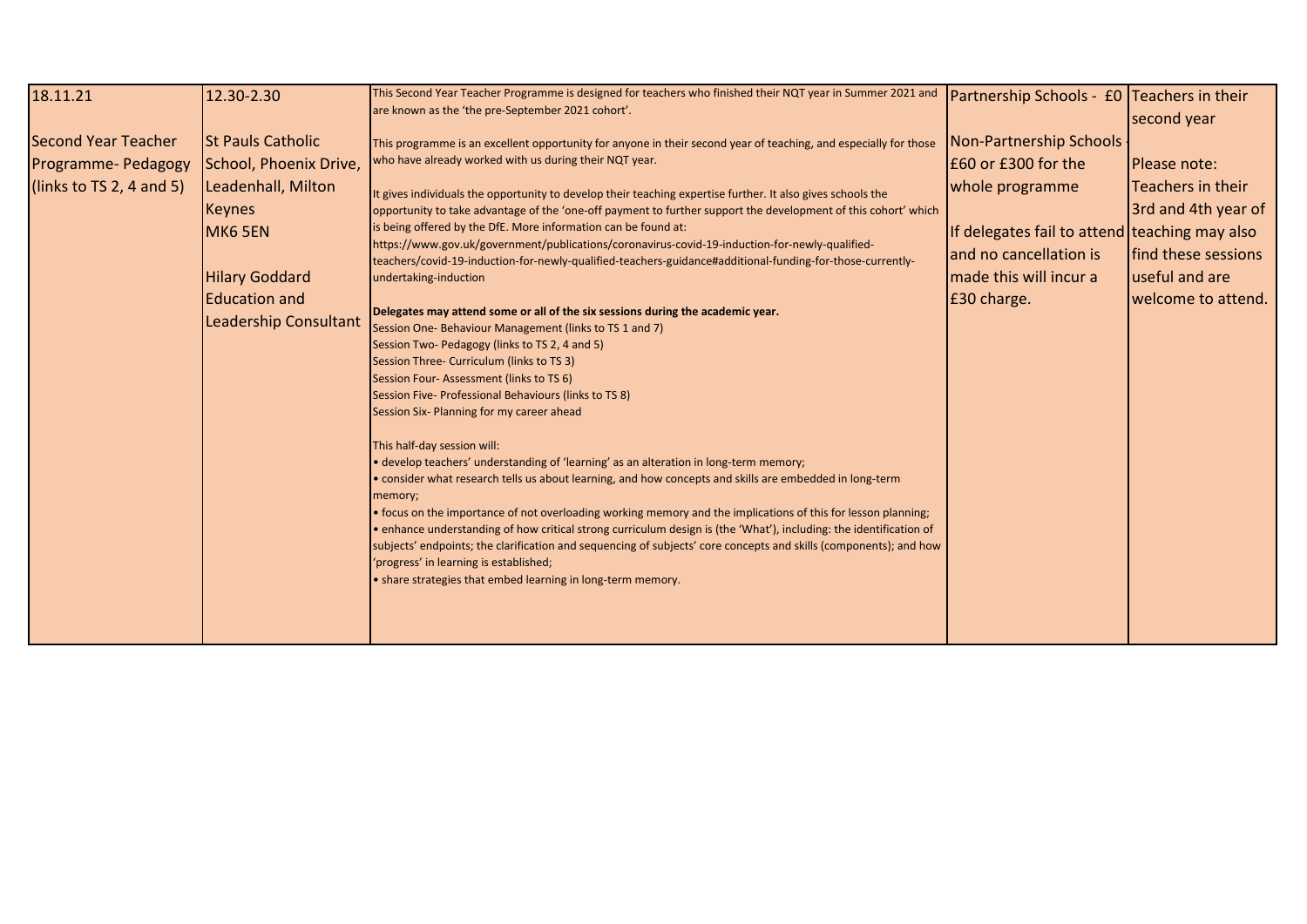| 18.11.21                                                                      | 12.30-2.30                                                                                                                                                                                   | This Second Year Teacher Programme is designed for teachers who finished their NQT year in Summer 2021 and<br>are known as the 'the pre-September 2021 cohort'.                                                                                                                                                                                                                                                                                                                                                                                                                                                                                                                                                                                                                                                                                                                                                                                                                                                                                                                                                                                                                                                                                                                                                                                                                                                                                                                                                                                                                                                                                                                                                                                                                                                                     | Partnership Schools - £0 Teachers in their                                                                                                                                            | second year                                                                                                                     |
|-------------------------------------------------------------------------------|----------------------------------------------------------------------------------------------------------------------------------------------------------------------------------------------|-------------------------------------------------------------------------------------------------------------------------------------------------------------------------------------------------------------------------------------------------------------------------------------------------------------------------------------------------------------------------------------------------------------------------------------------------------------------------------------------------------------------------------------------------------------------------------------------------------------------------------------------------------------------------------------------------------------------------------------------------------------------------------------------------------------------------------------------------------------------------------------------------------------------------------------------------------------------------------------------------------------------------------------------------------------------------------------------------------------------------------------------------------------------------------------------------------------------------------------------------------------------------------------------------------------------------------------------------------------------------------------------------------------------------------------------------------------------------------------------------------------------------------------------------------------------------------------------------------------------------------------------------------------------------------------------------------------------------------------------------------------------------------------------------------------------------------------|---------------------------------------------------------------------------------------------------------------------------------------------------------------------------------------|---------------------------------------------------------------------------------------------------------------------------------|
| <b>Second Year Teacher</b><br>Programme- Pedagogy<br>(links to TS 2, 4 and 5) | <b>St Pauls Catholic</b><br>School, Phoenix Drive,<br>Leadenhall, Milton<br><b>Keynes</b><br><b>MK6 5EN</b><br><b>Hilary Goddard</b><br><b>Education and</b><br><b>Leadership Consultant</b> | This programme is an excellent opportunity for anyone in their second year of teaching, and especially for those<br>who have already worked with us during their NQT year.<br>It gives individuals the opportunity to develop their teaching expertise further. It also gives schools the<br>opportunity to take advantage of the 'one-off payment to further support the development of this cohort' which<br>is being offered by the DfE. More information can be found at:<br>https://www.gov.uk/government/publications/coronavirus-covid-19-induction-for-newly-qualified-<br>teachers/covid-19-induction-for-newly-qualified-teachers-guidance#additional-funding-for-those-currently-<br>undertaking-induction<br>Delegates may attend some or all of the six sessions during the academic year.<br>Session One-Behaviour Management (links to TS 1 and 7)<br>Session Two-Pedagogy (links to TS 2, 4 and 5)<br>Session Three- Curriculum (links to TS 3)<br>Session Four-Assessment (links to TS 6)<br>Session Five- Professional Behaviours (links to TS 8)<br>Session Six- Planning for my career ahead<br>This half-day session will:<br>• develop teachers' understanding of 'learning' as an alteration in long-term memory;<br>. consider what research tells us about learning, and how concepts and skills are embedded in long-term<br>memory;<br>• focus on the importance of not overloading working memory and the implications of this for lesson planning;<br>• enhance understanding of how critical strong curriculum design is (the 'What'), including: the identification of<br>subjects' endpoints; the clarification and sequencing of subjects' core concepts and skills (components); and how<br>'progress' in learning is established;<br>• share strategies that embed learning in long-term memory. | Non-Partnership Schools<br>£60 or £300 for the<br>whole programme<br>If delegates fail to attend teaching may also<br>and no cancellation is<br>made this will incur a<br>£30 charge. | <b>IPlease note:</b><br>Teachers in their<br>3rd and 4th year of<br>find these sessions<br>useful and are<br>welcome to attend. |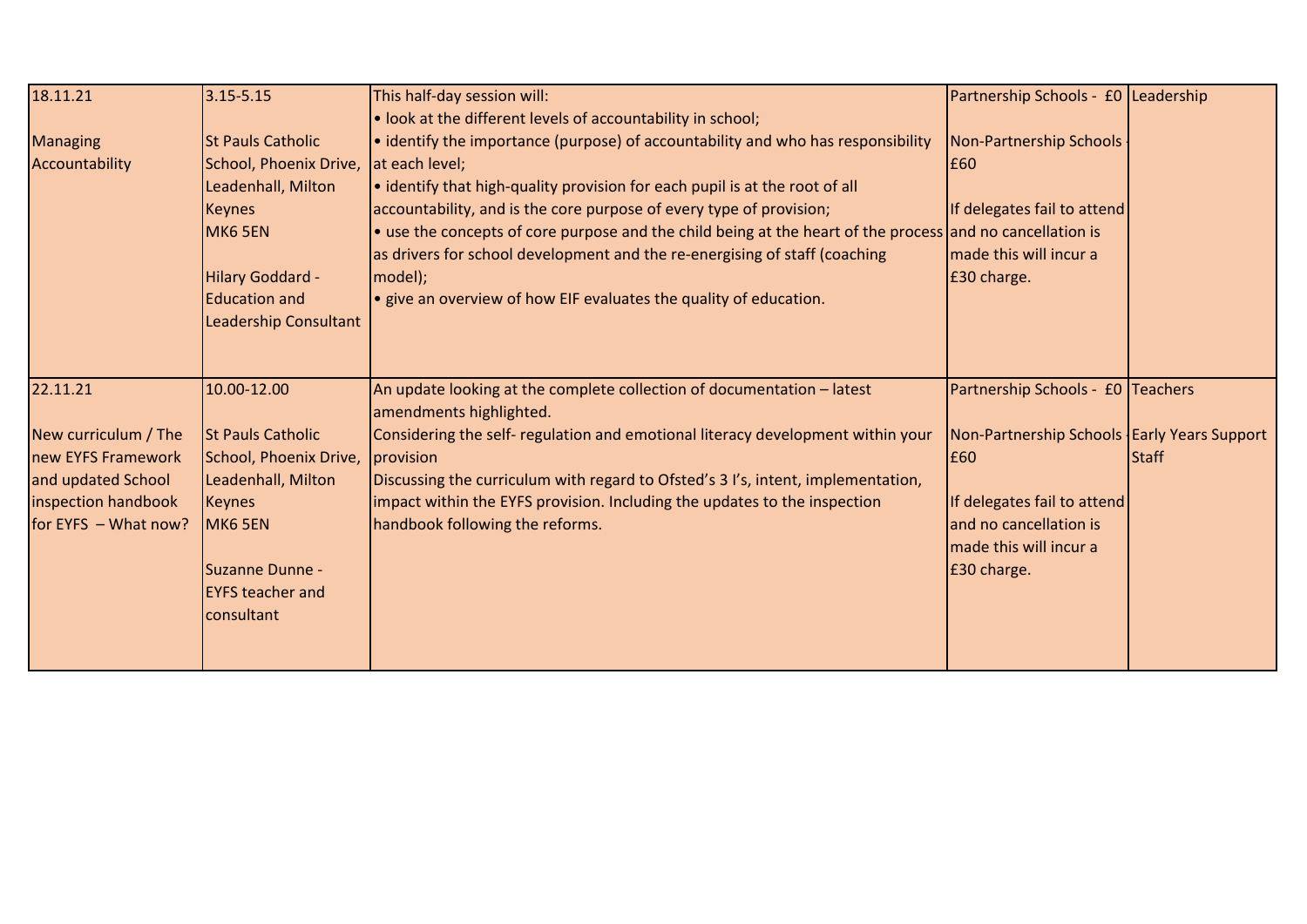| 18.11.21               | $3.15 - 5.15$            | This half-day session will:<br>. look at the different levels of accountability in school;                | Partnership Schools - £0 Leadership           |       |
|------------------------|--------------------------|-----------------------------------------------------------------------------------------------------------|-----------------------------------------------|-------|
| <b>Managing</b>        | <b>St Pauls Catholic</b> | • identify the importance (purpose) of accountability and who has responsibility                          | Non-Partnership Schools                       |       |
| Accountability         | School, Phoenix Drive,   | at each level;                                                                                            | E60                                           |       |
|                        | Leadenhall, Milton       | • identify that high-quality provision for each pupil is at the root of all                               |                                               |       |
|                        | <b>Keynes</b>            | accountability, and is the core purpose of every type of provision;                                       | If delegates fail to attend                   |       |
|                        | MK6 5EN                  | • use the concepts of core purpose and the child being at the heart of the process and no cancellation is |                                               |       |
|                        |                          | as drivers for school development and the re-energising of staff (coaching                                | made this will incur a                        |       |
|                        | <b>Hilary Goddard -</b>  | model);                                                                                                   | £30 charge.                                   |       |
|                        | <b>Education and</b>     | • give an overview of how EIF evaluates the quality of education.                                         |                                               |       |
|                        | Leadership Consultant    |                                                                                                           |                                               |       |
|                        |                          |                                                                                                           |                                               |       |
| 22.11.21               | 10.00-12.00              | An update looking at the complete collection of documentation - latest<br>amendments highlighted.         | Partnership Schools - £0 Teachers             |       |
| New curriculum / The   | <b>St Pauls Catholic</b> | Considering the self- regulation and emotional literacy development within your                           | Non-Partnership Schools   Early Years Support |       |
| new EYFS Framework     | School, Phoenix Drive,   | provision                                                                                                 | E60                                           | Staff |
| and updated School     | Leadenhall, Milton       | Discussing the curriculum with regard to Ofsted's 3 I's, intent, implementation,                          |                                               |       |
| inspection handbook    | <b>Keynes</b>            | impact within the EYFS provision. Including the updates to the inspection                                 | If delegates fail to attend                   |       |
| for EYFS $-$ What now? | MK6 5EN                  | handbook following the reforms.                                                                           | and no cancellation is                        |       |
|                        |                          |                                                                                                           | made this will incur a                        |       |
|                        | Suzanne Dunne -          |                                                                                                           | £30 charge.                                   |       |
|                        | <b>EYFS teacher and</b>  |                                                                                                           |                                               |       |
|                        | consultant               |                                                                                                           |                                               |       |
|                        |                          |                                                                                                           |                                               |       |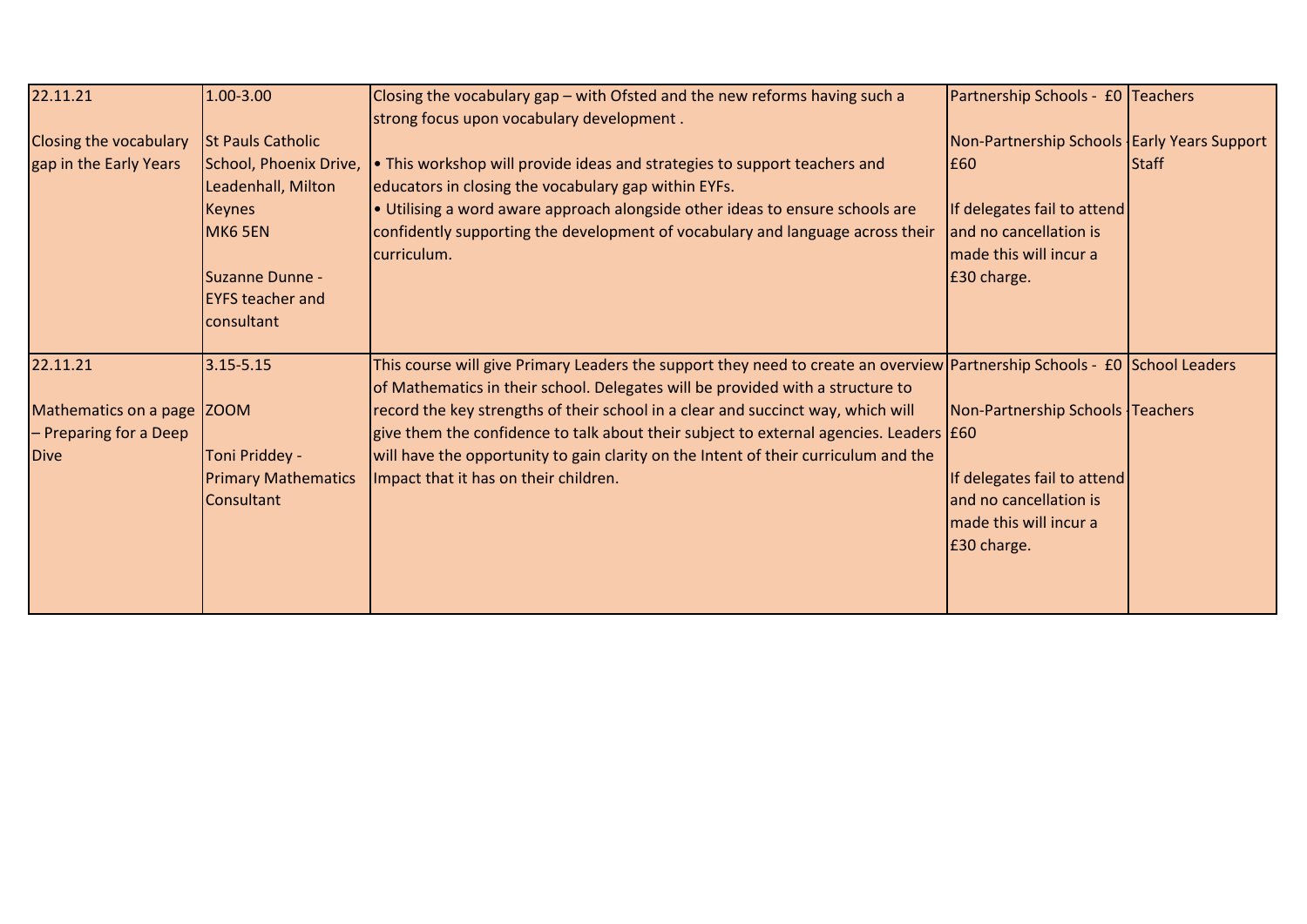| 22.11.21                      | 1.00-3.00                  | Closing the vocabulary gap - with Ofsted and the new reforms having such a                                                                                                                                  | Partnership Schools - £0 Teachers             |              |
|-------------------------------|----------------------------|-------------------------------------------------------------------------------------------------------------------------------------------------------------------------------------------------------------|-----------------------------------------------|--------------|
|                               |                            | strong focus upon vocabulary development.                                                                                                                                                                   |                                               |              |
| <b>Closing the vocabulary</b> | <b>St Pauls Catholic</b>   |                                                                                                                                                                                                             | Non-Partnership Schools   Early Years Support |              |
| gap in the Early Years        | School, Phoenix Drive,     | . This workshop will provide ideas and strategies to support teachers and                                                                                                                                   | £60                                           | <b>Staff</b> |
|                               | Leadenhall, Milton         | educators in closing the vocabulary gap within EYFs.                                                                                                                                                        |                                               |              |
|                               | <b>Keynes</b>              | . Utilising a word aware approach alongside other ideas to ensure schools are                                                                                                                               | If delegates fail to attend                   |              |
|                               | MK6 5EN                    | confidently supporting the development of vocabulary and language across their                                                                                                                              | and no cancellation is                        |              |
|                               |                            | curriculum.                                                                                                                                                                                                 | made this will incur a                        |              |
|                               | Suzanne Dunne -            |                                                                                                                                                                                                             | £30 charge.                                   |              |
|                               | <b>EYFS teacher and</b>    |                                                                                                                                                                                                             |                                               |              |
|                               | consultant                 |                                                                                                                                                                                                             |                                               |              |
|                               |                            |                                                                                                                                                                                                             |                                               |              |
| 22.11.21                      | $3.15 - 5.15$              | This course will give Primary Leaders the support they need to create an overview Partnership Schools - £0 School Leaders<br>of Mathematics in their school. Delegates will be provided with a structure to |                                               |              |
| Mathematics on a page         | <b>ZOOM</b>                | record the key strengths of their school in a clear and succinct way, which will                                                                                                                            | Non-Partnership Schools Teachers              |              |
| - Preparing for a Deep        |                            | give them the confidence to talk about their subject to external agencies. Leaders [£60]                                                                                                                    |                                               |              |
| <b>Dive</b>                   | Toni Priddey -             | will have the opportunity to gain clarity on the Intent of their curriculum and the                                                                                                                         |                                               |              |
|                               | <b>Primary Mathematics</b> | Impact that it has on their children.                                                                                                                                                                       | If delegates fail to attend                   |              |
|                               | Consultant                 |                                                                                                                                                                                                             | and no cancellation is                        |              |
|                               |                            |                                                                                                                                                                                                             | made this will incur a                        |              |
|                               |                            |                                                                                                                                                                                                             | £30 charge.                                   |              |
|                               |                            |                                                                                                                                                                                                             |                                               |              |
|                               |                            |                                                                                                                                                                                                             |                                               |              |
|                               |                            |                                                                                                                                                                                                             |                                               |              |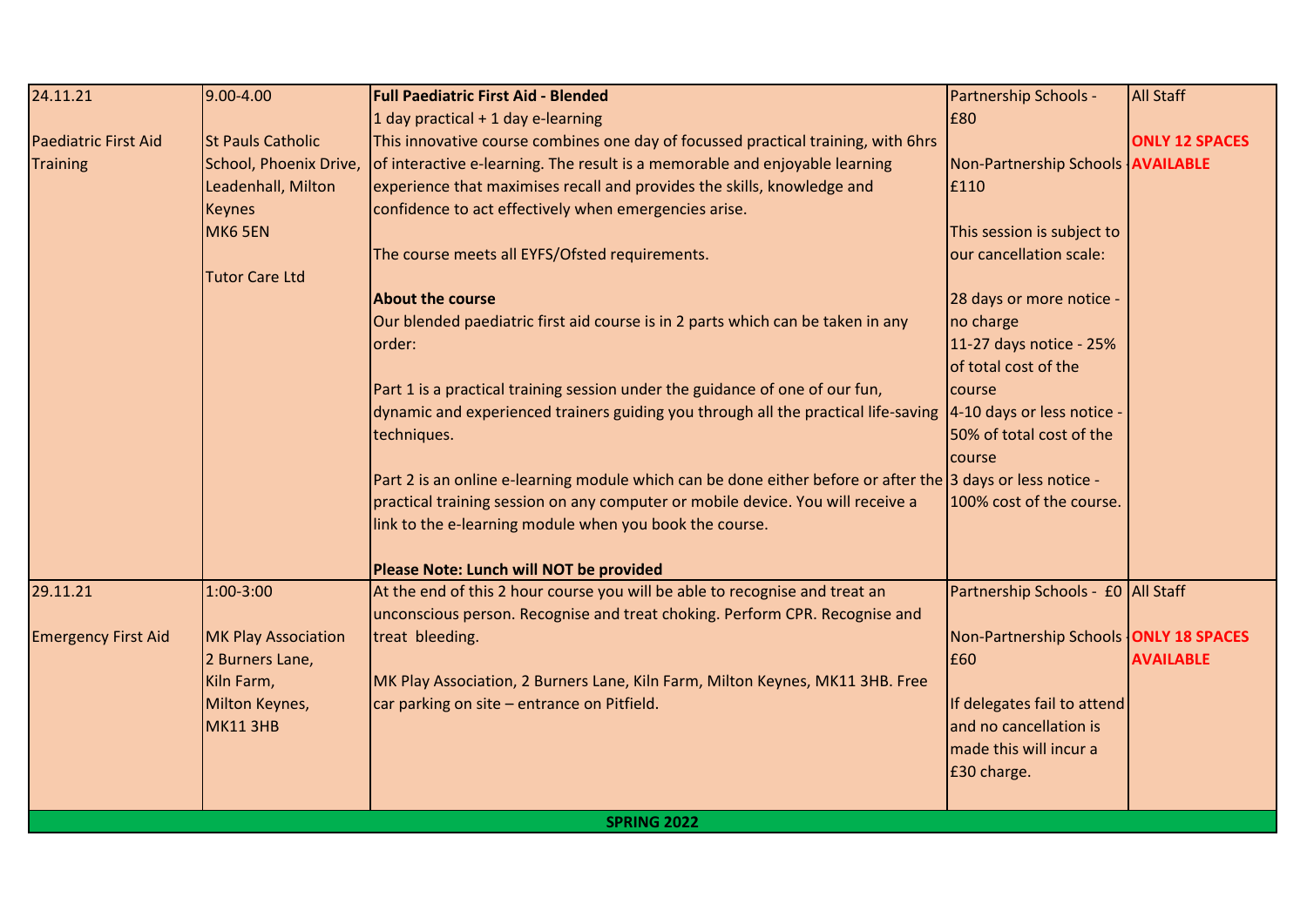| 24.11.21                    | 9.00-4.00                  | <b>Full Paediatric First Aid - Blended</b>                                                                    | Partnership Schools -                  | <b>All Staff</b>      |
|-----------------------------|----------------------------|---------------------------------------------------------------------------------------------------------------|----------------------------------------|-----------------------|
|                             |                            | 1 day practical $+$ 1 day e-learning                                                                          | £80                                    |                       |
| <b>Paediatric First Aid</b> | <b>St Pauls Catholic</b>   | This innovative course combines one day of focussed practical training, with 6hrs                             |                                        | <b>ONLY 12 SPACES</b> |
| <b>Training</b>             | School, Phoenix Drive,     | of interactive e-learning. The result is a memorable and enjoyable learning                                   | Non-Partnership Schools   AVAILABLE    |                       |
|                             | Leadenhall, Milton         | experience that maximises recall and provides the skills, knowledge and                                       | £110                                   |                       |
|                             | <b>Keynes</b>              | confidence to act effectively when emergencies arise.                                                         |                                        |                       |
|                             | MK6 5EN                    |                                                                                                               | This session is subject to             |                       |
|                             |                            | The course meets all EYFS/Ofsted requirements.                                                                | our cancellation scale:                |                       |
|                             | <b>Tutor Care Ltd</b>      |                                                                                                               |                                        |                       |
|                             |                            | <b>About the course</b>                                                                                       | 28 days or more notice -               |                       |
|                             |                            | Our blended paediatric first aid course is in 2 parts which can be taken in any                               | no charge                              |                       |
|                             |                            | order:                                                                                                        | 11-27 days notice - 25%                |                       |
|                             |                            |                                                                                                               | of total cost of the                   |                       |
|                             |                            | Part 1 is a practical training session under the guidance of one of our fun,                                  | course                                 |                       |
|                             |                            | dynamic and experienced trainers guiding you through all the practical life-saving 4-10 days or less notice - |                                        |                       |
|                             |                            | techniques.                                                                                                   | 50% of total cost of the               |                       |
|                             |                            |                                                                                                               | course                                 |                       |
|                             |                            | Part 2 is an online e-learning module which can be done either before or after the 3 days or less notice -    |                                        |                       |
|                             |                            | practical training session on any computer or mobile device. You will receive a                               | 100% cost of the course.               |                       |
|                             |                            | link to the e-learning module when you book the course.                                                       |                                        |                       |
|                             |                            | Please Note: Lunch will NOT be provided                                                                       |                                        |                       |
| 29.11.21                    | 1:00-3:00                  | At the end of this 2 hour course you will be able to recognise and treat an                                   | Partnership Schools - £0 All Staff     |                       |
|                             |                            | unconscious person. Recognise and treat choking. Perform CPR. Recognise and                                   |                                        |                       |
| <b>Emergency First Aid</b>  | <b>MK Play Association</b> | treat bleeding.                                                                                               | Non-Partnership Schools ONLY 18 SPACES |                       |
|                             | 2 Burners Lane,            |                                                                                                               | £60                                    | <b>AVAILABLE</b>      |
|                             | Kiln Farm,                 | MK Play Association, 2 Burners Lane, Kiln Farm, Milton Keynes, MK11 3HB. Free                                 |                                        |                       |
|                             | Milton Keynes,             | car parking on site - entrance on Pitfield.                                                                   | If delegates fail to attend            |                       |
|                             | MK11 3HB                   |                                                                                                               | and no cancellation is                 |                       |
|                             |                            |                                                                                                               | made this will incur a                 |                       |
|                             |                            |                                                                                                               | £30 charge.                            |                       |
|                             |                            |                                                                                                               |                                        |                       |
|                             |                            | <b>SPRING 2022</b>                                                                                            |                                        |                       |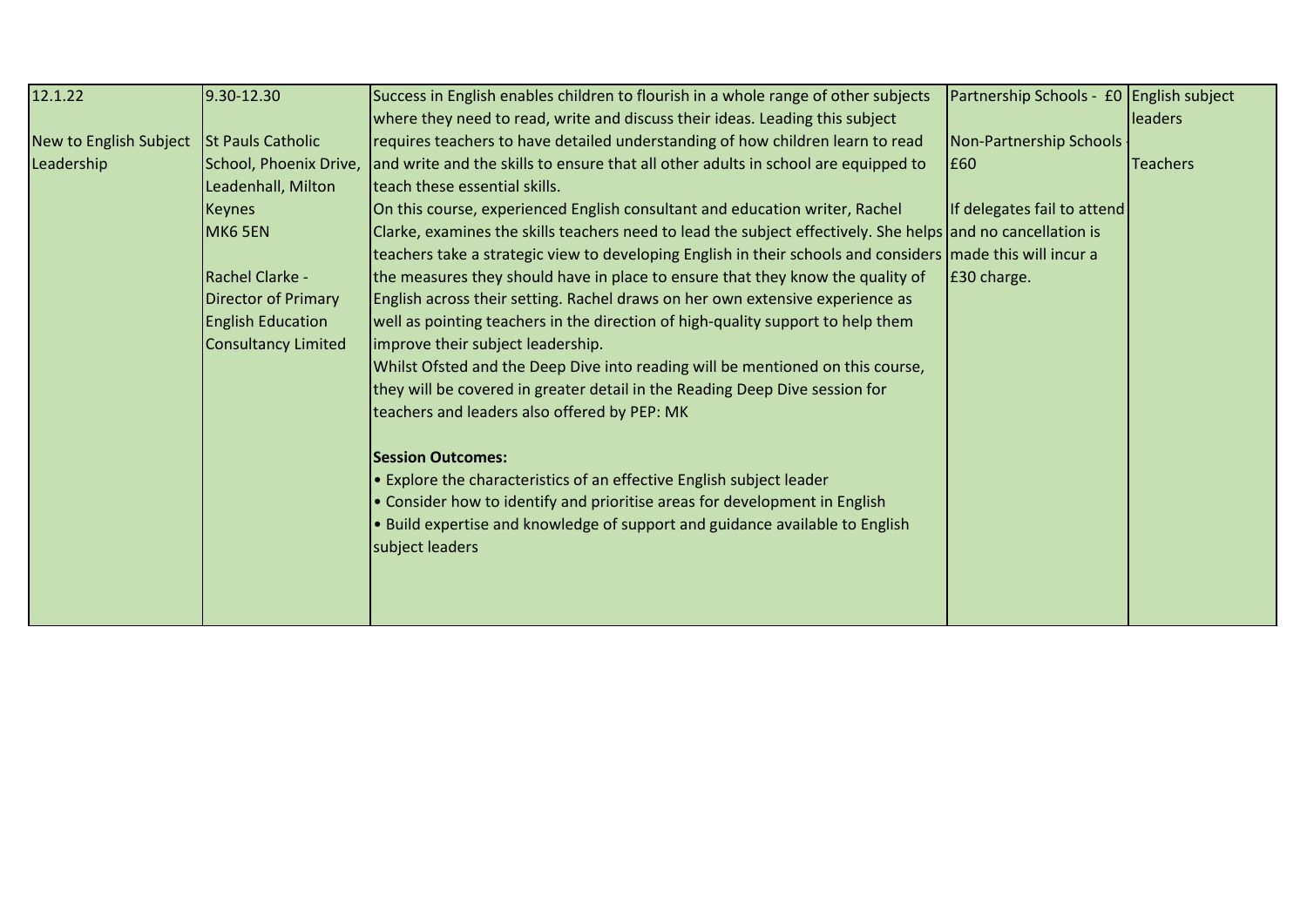| 12.1.22                | 9.30-12.30                 | Success in English enables children to flourish in a whole range of other subjects                          | Partnership Schools - £0 English subject |                 |
|------------------------|----------------------------|-------------------------------------------------------------------------------------------------------------|------------------------------------------|-----------------|
|                        |                            | where they need to read, write and discuss their ideas. Leading this subject                                |                                          | leaders         |
| New to English Subject | <b>St Pauls Catholic</b>   | requires teachers to have detailed understanding of how children learn to read                              | Non-Partnership Schools                  |                 |
| Leadership             | School, Phoenix Drive,     | and write and the skills to ensure that all other adults in school are equipped to                          | £60                                      | <b>Teachers</b> |
|                        | Leadenhall, Milton         | <b>Iteach these essential skills.</b>                                                                       |                                          |                 |
|                        | <b>Keynes</b>              | On this course, experienced English consultant and education writer, Rachel                                 | If delegates fail to attend              |                 |
|                        | MK6 5EN                    | Clarke, examines the skills teachers need to lead the subject effectively. She helps and no cancellation is |                                          |                 |
|                        |                            | teachers take a strategic view to developing English in their schools and considers made this will incur a  |                                          |                 |
|                        | Rachel Clarke -            | the measures they should have in place to ensure that they know the quality of                              | E30 charge.                              |                 |
|                        | <b>Director of Primary</b> | English across their setting. Rachel draws on her own extensive experience as                               |                                          |                 |
|                        | <b>English Education</b>   | well as pointing teachers in the direction of high-quality support to help them                             |                                          |                 |
|                        | Consultancy Limited        | improve their subject leadership.                                                                           |                                          |                 |
|                        |                            | Whilst Ofsted and the Deep Dive into reading will be mentioned on this course,                              |                                          |                 |
|                        |                            | they will be covered in greater detail in the Reading Deep Dive session for                                 |                                          |                 |
|                        |                            | teachers and leaders also offered by PEP: MK                                                                |                                          |                 |
|                        |                            | <b>Session Outcomes:</b>                                                                                    |                                          |                 |
|                        |                            | • Explore the characteristics of an effective English subject leader                                        |                                          |                 |
|                        |                            | • Consider how to identify and prioritise areas for development in English                                  |                                          |                 |
|                        |                            | . Build expertise and knowledge of support and guidance available to English                                |                                          |                 |
|                        |                            | subject leaders                                                                                             |                                          |                 |
|                        |                            |                                                                                                             |                                          |                 |
|                        |                            |                                                                                                             |                                          |                 |
|                        |                            |                                                                                                             |                                          |                 |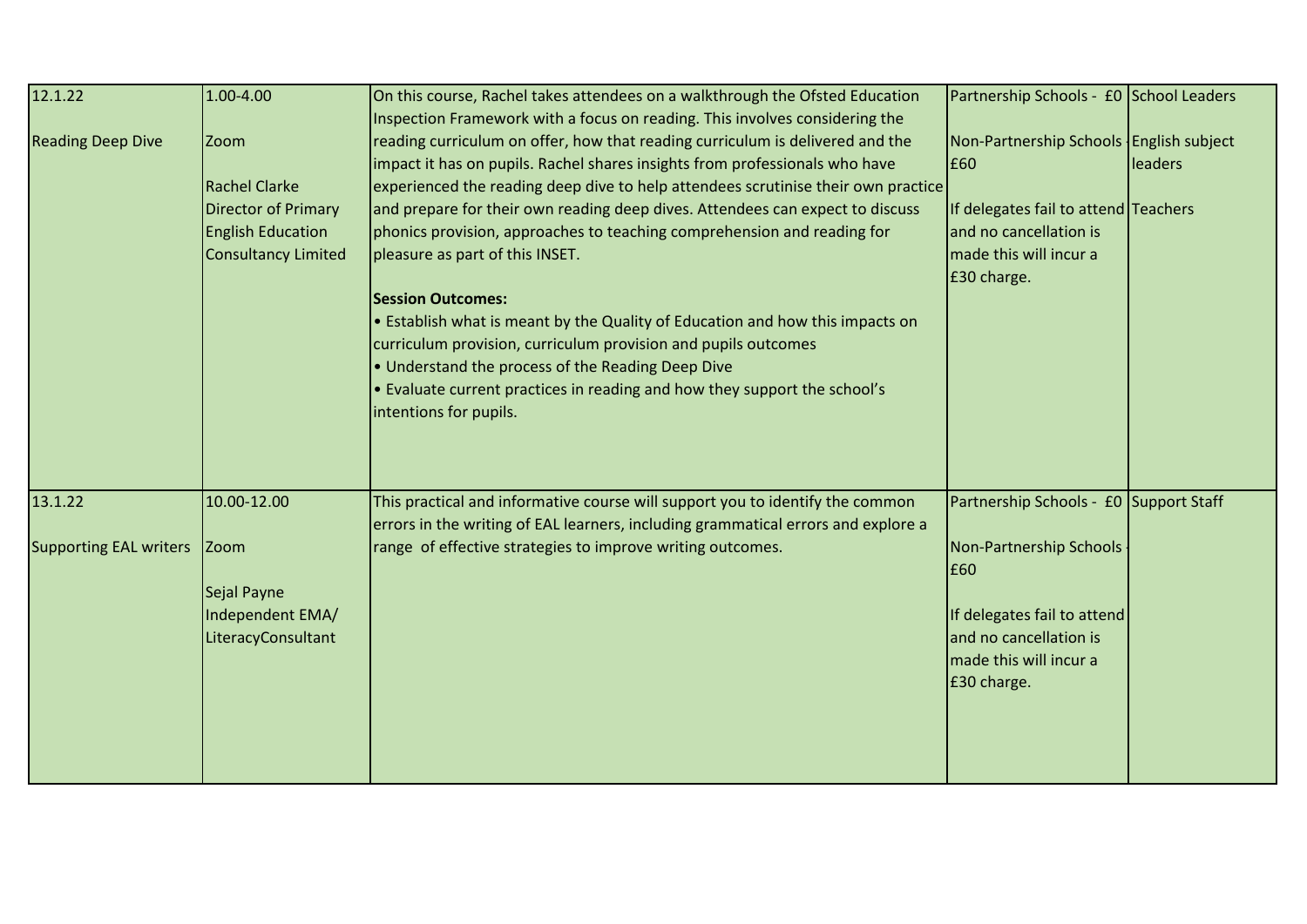| 12.1.22                       | 1.00-4.00                  | On this course, Rachel takes attendees on a walkthrough the Ofsted Education      | Partnership Schools - £0 School Leaders |         |
|-------------------------------|----------------------------|-----------------------------------------------------------------------------------|-----------------------------------------|---------|
|                               |                            | Inspection Framework with a focus on reading. This involves considering the       |                                         |         |
| <b>Reading Deep Dive</b>      | Zoom                       | reading curriculum on offer, how that reading curriculum is delivered and the     | Non-Partnership Schools English subject |         |
|                               |                            | impact it has on pupils. Rachel shares insights from professionals who have       | E60                                     | leaders |
|                               | <b>Rachel Clarke</b>       | experienced the reading deep dive to help attendees scrutinise their own practice |                                         |         |
|                               | <b>Director of Primary</b> | and prepare for their own reading deep dives. Attendees can expect to discuss     | If delegates fail to attend Teachers    |         |
|                               | <b>English Education</b>   | phonics provision, approaches to teaching comprehension and reading for           | and no cancellation is                  |         |
|                               | <b>Consultancy Limited</b> | pleasure as part of this INSET.                                                   | made this will incur a                  |         |
|                               |                            |                                                                                   | £30 charge.                             |         |
|                               |                            | <b>Session Outcomes:</b>                                                          |                                         |         |
|                               |                            | • Establish what is meant by the Quality of Education and how this impacts on     |                                         |         |
|                               |                            | curriculum provision, curriculum provision and pupils outcomes                    |                                         |         |
|                               |                            | • Understand the process of the Reading Deep Dive                                 |                                         |         |
|                               |                            | . Evaluate current practices in reading and how they support the school's         |                                         |         |
|                               |                            | intentions for pupils.                                                            |                                         |         |
|                               |                            |                                                                                   |                                         |         |
|                               |                            |                                                                                   |                                         |         |
|                               |                            |                                                                                   |                                         |         |
| 13.1.22                       | 10.00-12.00                | This practical and informative course will support you to identify the common     | Partnership Schools - £0 Support Staff  |         |
|                               |                            | errors in the writing of EAL learners, including grammatical errors and explore a |                                         |         |
| <b>Supporting EAL writers</b> | <b>Zoom</b>                | range of effective strategies to improve writing outcomes.                        | Non-Partnership Schools                 |         |
|                               |                            |                                                                                   | £60                                     |         |
|                               | Sejal Payne                |                                                                                   |                                         |         |
|                               | Independent EMA/           |                                                                                   | If delegates fail to attend             |         |
|                               | LiteracyConsultant         |                                                                                   | and no cancellation is                  |         |
|                               |                            |                                                                                   | made this will incur a                  |         |
|                               |                            |                                                                                   | £30 charge.                             |         |
|                               |                            |                                                                                   |                                         |         |
|                               |                            |                                                                                   |                                         |         |
|                               |                            |                                                                                   |                                         |         |
|                               |                            |                                                                                   |                                         |         |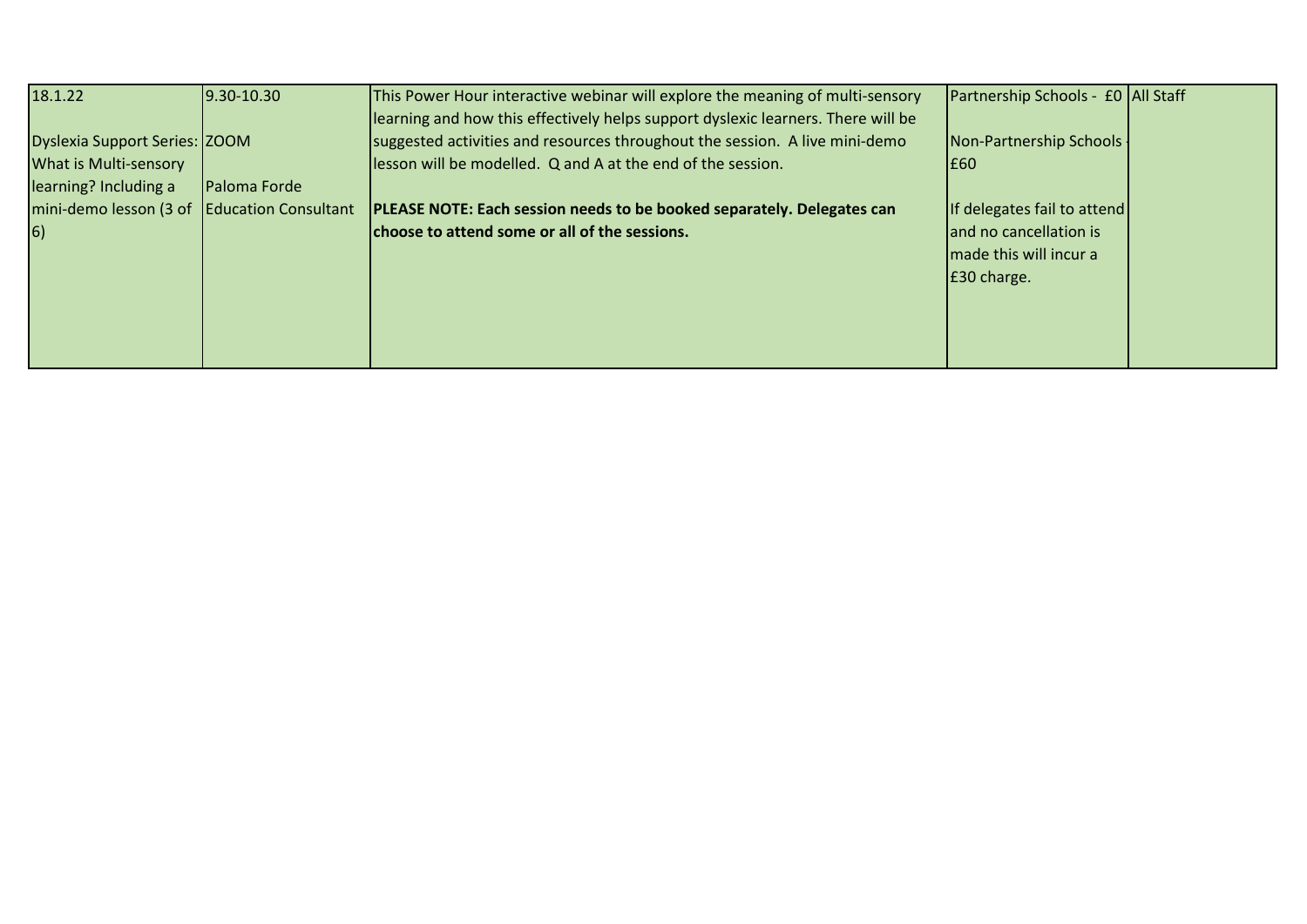| 18.1.22                                                       | $9.30 - 10.30$ | This Power Hour interactive webinar will explore the meaning of multi-sensory<br>learning and how this effectively helps support dyslexic learners. There will be | Partnership Schools - £0 All Staff |  |
|---------------------------------------------------------------|----------------|-------------------------------------------------------------------------------------------------------------------------------------------------------------------|------------------------------------|--|
| Dyslexia Support Series: ZOOM<br><b>What is Multi-sensory</b> |                | suggested activities and resources throughout the session. A live mini-demo<br>lesson will be modelled. Q and A at the end of the session.                        | Non-Partnership Schools -<br>I£60  |  |
| learning? Including a                                         | Paloma Forde   |                                                                                                                                                                   |                                    |  |
| mini-demo lesson (3 of Education Consultant                   |                | PLEASE NOTE: Each session needs to be booked separately. Delegates can                                                                                            | If delegates fail to attend        |  |
| $\vert 6)$                                                    |                | choose to attend some or all of the sessions.                                                                                                                     | and no cancellation is             |  |
|                                                               |                |                                                                                                                                                                   | made this will incur a             |  |
|                                                               |                |                                                                                                                                                                   | E30 charge.                        |  |
|                                                               |                |                                                                                                                                                                   |                                    |  |
|                                                               |                |                                                                                                                                                                   |                                    |  |
|                                                               |                |                                                                                                                                                                   |                                    |  |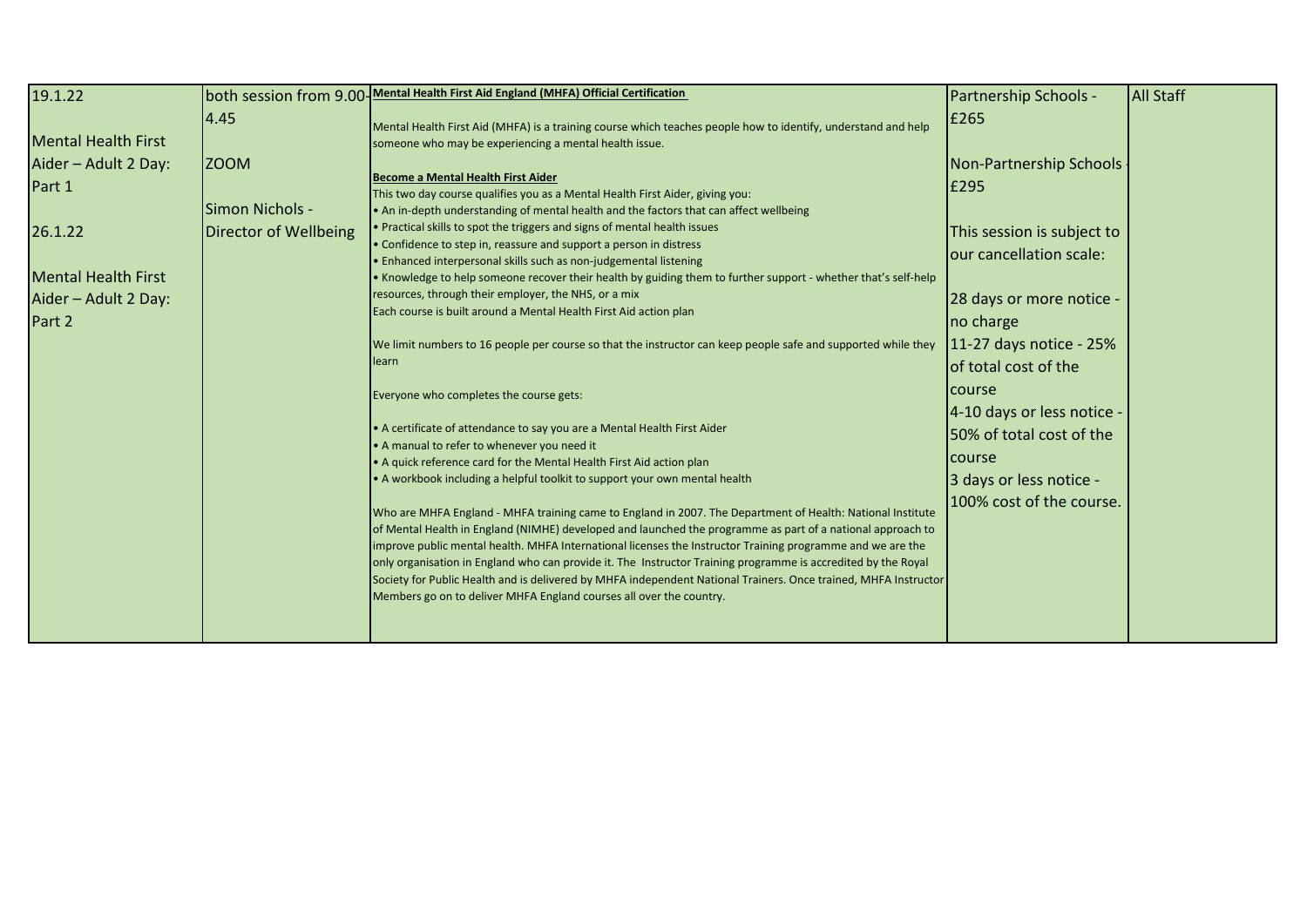| 19.1.22                                                |                                       | both session from 9.00-Mental Health First Aid England (MHFA) Official Certification                                                                                                                                                                                                                                                                                                                                                                                                                                                                                                                                                                                                                                          | Partnership Schools -                                                             | <b>All Staff</b> |
|--------------------------------------------------------|---------------------------------------|-------------------------------------------------------------------------------------------------------------------------------------------------------------------------------------------------------------------------------------------------------------------------------------------------------------------------------------------------------------------------------------------------------------------------------------------------------------------------------------------------------------------------------------------------------------------------------------------------------------------------------------------------------------------------------------------------------------------------------|-----------------------------------------------------------------------------------|------------------|
| <b>Mental Health First</b>                             | 4.45                                  | Mental Health First Aid (MHFA) is a training course which teaches people how to identify, understand and help<br>someone who may be experiencing a mental health issue.                                                                                                                                                                                                                                                                                                                                                                                                                                                                                                                                                       | E265                                                                              |                  |
| Aider - Adult 2 Day:<br>Part 1                         | <b>ZOOM</b><br><b>Simon Nichols -</b> | Become a Mental Health First Aider<br>This two day course qualifies you as a Mental Health First Aider, giving you:<br>. An in-depth understanding of mental health and the factors that can affect wellbeing                                                                                                                                                                                                                                                                                                                                                                                                                                                                                                                 | Non-Partnership Schools<br>E295                                                   |                  |
| 26.1.22                                                | Director of Wellbeing                 | • Practical skills to spot the triggers and signs of mental health issues<br>• Confidence to step in, reassure and support a person in distress<br>• Enhanced interpersonal skills such as non-judgemental listening                                                                                                                                                                                                                                                                                                                                                                                                                                                                                                          | This session is subject to<br>our cancellation scale:                             |                  |
| lMental Health First<br>Aider - Adult 2 Day:<br>Part 2 |                                       | . Knowledge to help someone recover their health by guiding them to further support - whether that's self-help<br>resources, through their employer, the NHS, or a mix<br>Each course is built around a Mental Health First Aid action plan                                                                                                                                                                                                                                                                                                                                                                                                                                                                                   | 28 days or more notice -<br>no charge                                             |                  |
|                                                        |                                       | We limit numbers to 16 people per course so that the instructor can keep people safe and supported while they<br>llearn                                                                                                                                                                                                                                                                                                                                                                                                                                                                                                                                                                                                       | $11-27$ days notice - 25%<br>of total cost of the                                 |                  |
|                                                        |                                       | Everyone who completes the course gets:<br>• A certificate of attendance to say you are a Mental Health First Aider<br>• A manual to refer to whenever you need it<br>• A quick reference card for the Mental Health First Aid action plan                                                                                                                                                                                                                                                                                                                                                                                                                                                                                    | course<br>4-10 days or less notice -<br>50% of total cost of the<br><b>Course</b> |                  |
|                                                        |                                       | A workbook including a helpful toolkit to support your own mental health<br>Who are MHFA England - MHFA training came to England in 2007. The Department of Health: National Institute<br>of Mental Health in England (NIMHE) developed and launched the programme as part of a national approach to<br>improve public mental health. MHFA International licenses the Instructor Training programme and we are the<br>only organisation in England who can provide it. The Instructor Training programme is accredited by the Royal<br>Society for Public Health and is delivered by MHFA independent National Trainers. Once trained, MHFA Instructor<br>Members go on to deliver MHFA England courses all over the country. | 3 days or less notice -<br>100% cost of the course.                               |                  |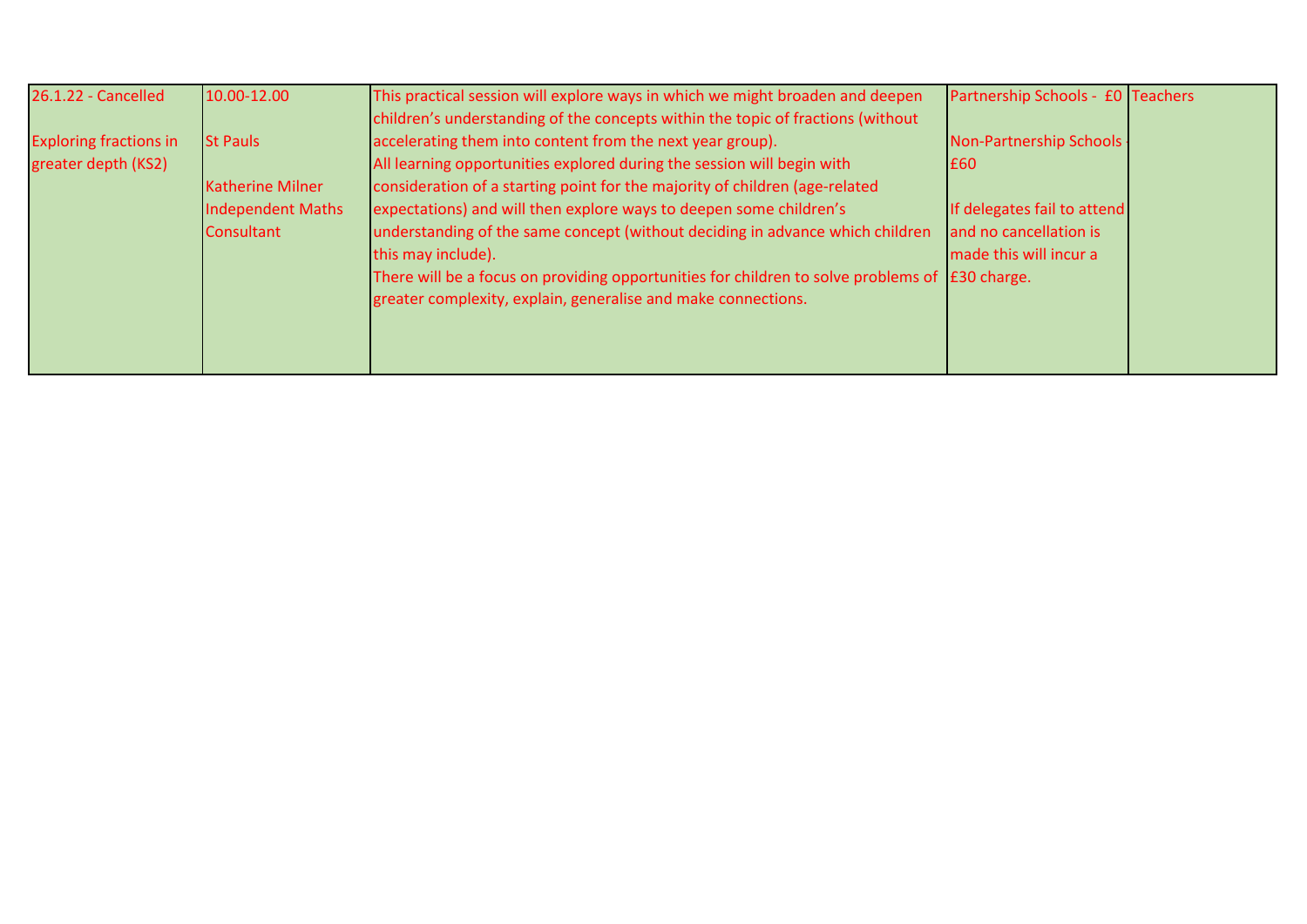| 26.1.22 - Cancelled           | 10.00-12.00              | This practical session will explore ways in which we might broaden and deepen                          | Partnership Schools - £0 Teachers |  |
|-------------------------------|--------------------------|--------------------------------------------------------------------------------------------------------|-----------------------------------|--|
|                               |                          | children's understanding of the concepts within the topic of fractions (without                        |                                   |  |
| <b>Exploring fractions in</b> | <b>St Pauls</b>          | accelerating them into content from the next year group).                                              | Non-Partnership Schools .         |  |
| greater depth (KS2)           |                          | All learning opportunities explored during the session will begin with                                 | <b>E60</b>                        |  |
|                               | <b>Katherine Milner</b>  | consideration of a starting point for the majority of children (age-related                            |                                   |  |
|                               | <b>Independent Maths</b> | expectations) and will then explore ways to deepen some children's                                     | If delegates fail to attend       |  |
|                               | Consultant               | understanding of the same concept (without deciding in advance which children                          | and no cancellation is            |  |
|                               |                          | this may include).                                                                                     | made this will incur a            |  |
|                               |                          | There will be a focus on providing opportunities for children to solve problems of $\vert$ £30 charge. |                                   |  |
|                               |                          | greater complexity, explain, generalise and make connections.                                          |                                   |  |
|                               |                          |                                                                                                        |                                   |  |
|                               |                          |                                                                                                        |                                   |  |
|                               |                          |                                                                                                        |                                   |  |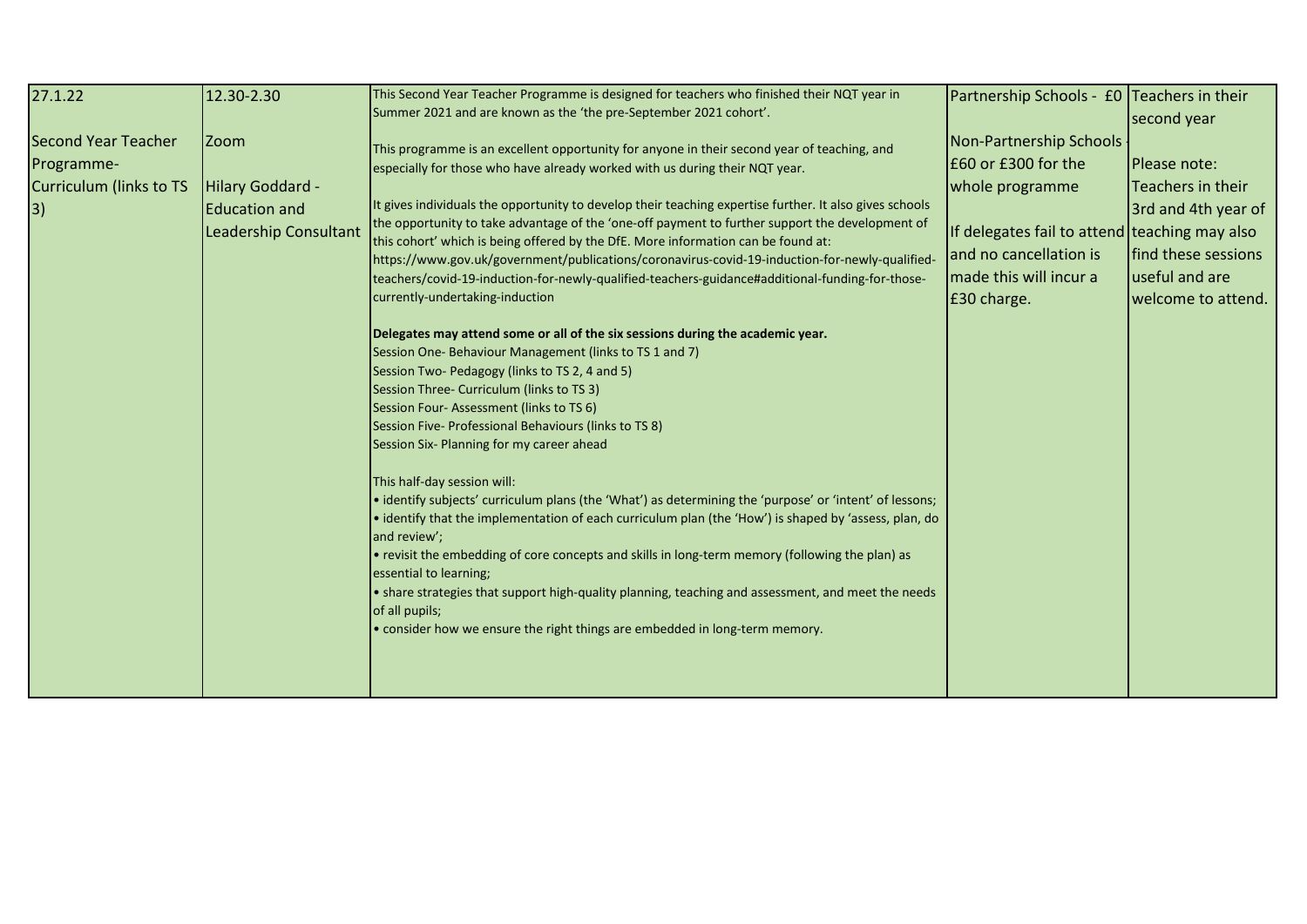| 27.1.22                                                             | 12.30-2.30                                                                              | This Second Year Teacher Programme is designed for teachers who finished their NQT year in<br>Summer 2021 and are known as the 'the pre-September 2021 cohort'.                                                                                                                                                                                                                                                                                                                                                                                                                                                                                                                                                                                                                                                                                                                                                                                                                                                                                                                                                                                                                                                                                                                                                                                                                                                                                                                                                                                                                                                                                                                                                          | Partnership Schools - £0 Teachers in their                                                                                                                                            | second year                                                                                                             |
|---------------------------------------------------------------------|-----------------------------------------------------------------------------------------|--------------------------------------------------------------------------------------------------------------------------------------------------------------------------------------------------------------------------------------------------------------------------------------------------------------------------------------------------------------------------------------------------------------------------------------------------------------------------------------------------------------------------------------------------------------------------------------------------------------------------------------------------------------------------------------------------------------------------------------------------------------------------------------------------------------------------------------------------------------------------------------------------------------------------------------------------------------------------------------------------------------------------------------------------------------------------------------------------------------------------------------------------------------------------------------------------------------------------------------------------------------------------------------------------------------------------------------------------------------------------------------------------------------------------------------------------------------------------------------------------------------------------------------------------------------------------------------------------------------------------------------------------------------------------------------------------------------------------|---------------------------------------------------------------------------------------------------------------------------------------------------------------------------------------|-------------------------------------------------------------------------------------------------------------------------|
| Second Year Teacher<br>Programme-<br>Curriculum (links to TS<br> 3) | <b>Zoom</b><br>Hilary Goddard -<br><b>Education and</b><br><b>Leadership Consultant</b> | This programme is an excellent opportunity for anyone in their second year of teaching, and<br>especially for those who have already worked with us during their NQT year.<br>It gives individuals the opportunity to develop their teaching expertise further. It also gives schools<br>the opportunity to take advantage of the 'one-off payment to further support the development of<br>this cohort' which is being offered by the DfE. More information can be found at:<br>https://www.gov.uk/government/publications/coronavirus-covid-19-induction-for-newly-qualified-<br>teachers/covid-19-induction-for-newly-qualified-teachers-guidance#additional-funding-for-those-<br>currently-undertaking-induction<br>Delegates may attend some or all of the six sessions during the academic year.<br>Session One-Behaviour Management (links to TS 1 and 7)<br>Session Two- Pedagogy (links to TS 2, 4 and 5)<br>Session Three- Curriculum (links to TS 3)<br>Session Four-Assessment (links to TS 6)<br>Session Five- Professional Behaviours (links to TS 8)<br>Session Six- Planning for my career ahead<br>This half-day session will:<br>• identify subjects' curriculum plans (the 'What') as determining the 'purpose' or 'intent' of lessons;<br>• identify that the implementation of each curriculum plan (the 'How') is shaped by 'assess, plan, do<br>and review';<br>• revisit the embedding of core concepts and skills in long-term memory (following the plan) as<br>essential to learning;<br>• share strategies that support high-quality planning, teaching and assessment, and meet the needs<br>of all pupils;<br>• consider how we ensure the right things are embedded in long-term memory. | Non-Partnership Schools<br>E60 or £300 for the<br>whole programme<br>If delegates fail to attend teaching may also<br>and no cancellation is<br>made this will incur a<br>E30 charge. | Please note:<br>Teachers in their<br>3rd and 4th year of<br>find these sessions<br>useful and are<br>welcome to attend. |
|                                                                     |                                                                                         |                                                                                                                                                                                                                                                                                                                                                                                                                                                                                                                                                                                                                                                                                                                                                                                                                                                                                                                                                                                                                                                                                                                                                                                                                                                                                                                                                                                                                                                                                                                                                                                                                                                                                                                          |                                                                                                                                                                                       |                                                                                                                         |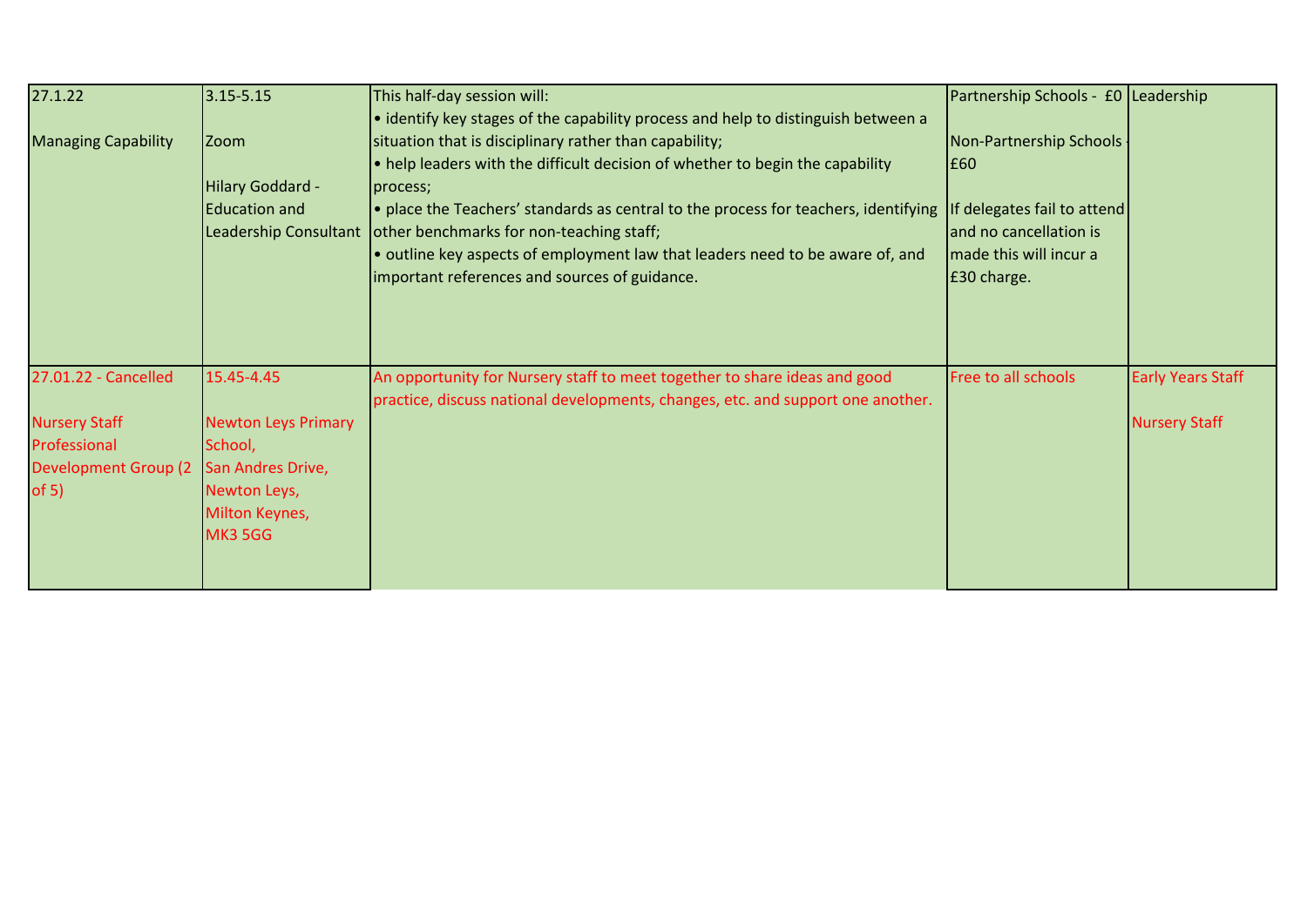| 27.1.22                     | $3.15 - 5.15$              | This half-day session will:                                                         | Partnership Schools - £0 Leadership |                          |
|-----------------------------|----------------------------|-------------------------------------------------------------------------------------|-------------------------------------|--------------------------|
|                             |                            | • identify key stages of the capability process and help to distinguish between a   |                                     |                          |
| <b>Managing Capability</b>  | <b>Zoom</b>                | situation that is disciplinary rather than capability;                              | Non-Partnership Schools             |                          |
|                             |                            | • help leaders with the difficult decision of whether to begin the capability       | E60                                 |                          |
|                             | Hilary Goddard -           | process;                                                                            |                                     |                          |
|                             | <b>Education and</b>       | . place the Teachers' standards as central to the process for teachers, identifying | If delegates fail to attend         |                          |
|                             | Leadership Consultant      | other benchmarks for non-teaching staff;                                            | and no cancellation is              |                          |
|                             |                            | • outline key aspects of employment law that leaders need to be aware of, and       | Imade this will incur a             |                          |
|                             |                            | important references and sources of guidance.                                       | E30 charge.                         |                          |
|                             |                            |                                                                                     |                                     |                          |
|                             |                            |                                                                                     |                                     |                          |
|                             |                            |                                                                                     |                                     |                          |
| 27.01.22 - Cancelled        | 15.45-4.45                 | An opportunity for Nursery staff to meet together to share ideas and good           | Free to all schools                 | <b>Early Years Staff</b> |
|                             |                            | practice, discuss national developments, changes, etc. and support one another.     |                                     |                          |
| <b>Nursery Staff</b>        | <b>Newton Leys Primary</b> |                                                                                     |                                     | <b>Nursery Staff</b>     |
| Professional                | School,                    |                                                                                     |                                     |                          |
| <b>Development Group (2</b> | San Andres Drive,          |                                                                                     |                                     |                          |
| of $5)$                     | Newton Leys,               |                                                                                     |                                     |                          |
|                             | Milton Keynes,             |                                                                                     |                                     |                          |
|                             | <b>MK3 5GG</b>             |                                                                                     |                                     |                          |
|                             |                            |                                                                                     |                                     |                          |
|                             |                            |                                                                                     |                                     |                          |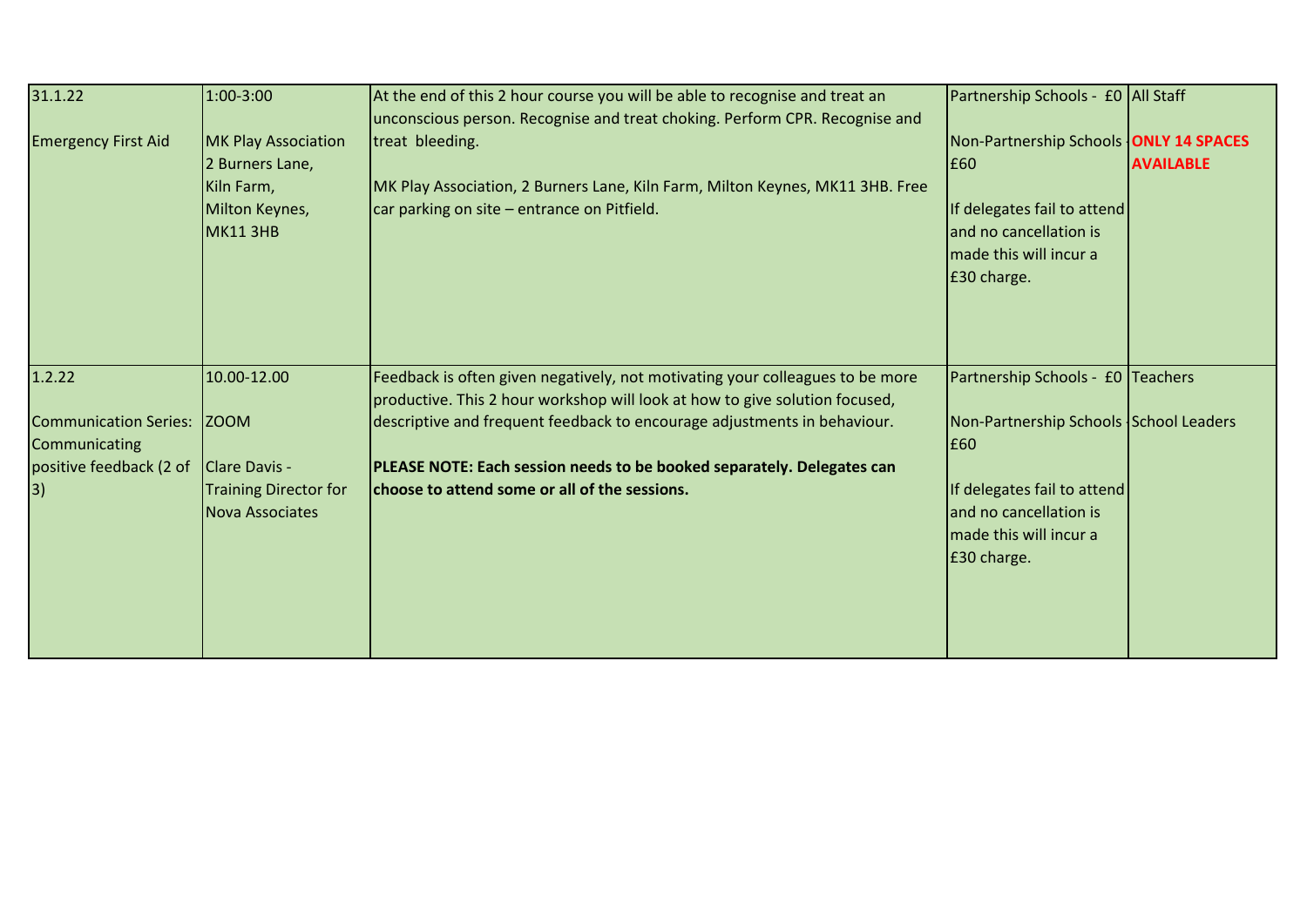| 31.1.22<br><b>Emergency First Aid</b>                                                    | 1:00-3:00<br><b>MK Play Association</b><br>2 Burners Lane,<br>Kiln Farm,<br>Milton Keynes,<br>MK11 3HB | At the end of this 2 hour course you will be able to recognise and treat an<br>unconscious person. Recognise and treat choking. Perform CPR. Recognise and<br>treat bleeding.<br>MK Play Association, 2 Burners Lane, Kiln Farm, Milton Keynes, MK11 3HB. Free<br>car parking on site - entrance on Pitfield.                                                       | Partnership Schools - £0 All Staff<br>Non-Partnership Schools <b>ONLY 14 SPACES</b><br>E60<br>If delegates fail to attend<br>and no cancellation is<br>made this will incur a<br>£30 charge. | <b>AVAILABLE</b> |
|------------------------------------------------------------------------------------------|--------------------------------------------------------------------------------------------------------|---------------------------------------------------------------------------------------------------------------------------------------------------------------------------------------------------------------------------------------------------------------------------------------------------------------------------------------------------------------------|----------------------------------------------------------------------------------------------------------------------------------------------------------------------------------------------|------------------|
| 1.2.22<br><b>Communication Series:</b><br>Communicating<br>positive feedback (2 of<br>3) | 10.00-12.00<br><b>ZOOM</b><br>Clare Davis -<br><b>Training Director for</b><br><b>Nova Associates</b>  | Feedback is often given negatively, not motivating your colleagues to be more<br>productive. This 2 hour workshop will look at how to give solution focused,<br>descriptive and frequent feedback to encourage adjustments in behaviour.<br>PLEASE NOTE: Each session needs to be booked separately. Delegates can<br>choose to attend some or all of the sessions. | Partnership Schools - £0 Teachers<br>Non-Partnership Schools School Leaders<br>E60<br>If delegates fail to attend<br>and no cancellation is<br>made this will incur a<br>£30 charge.         |                  |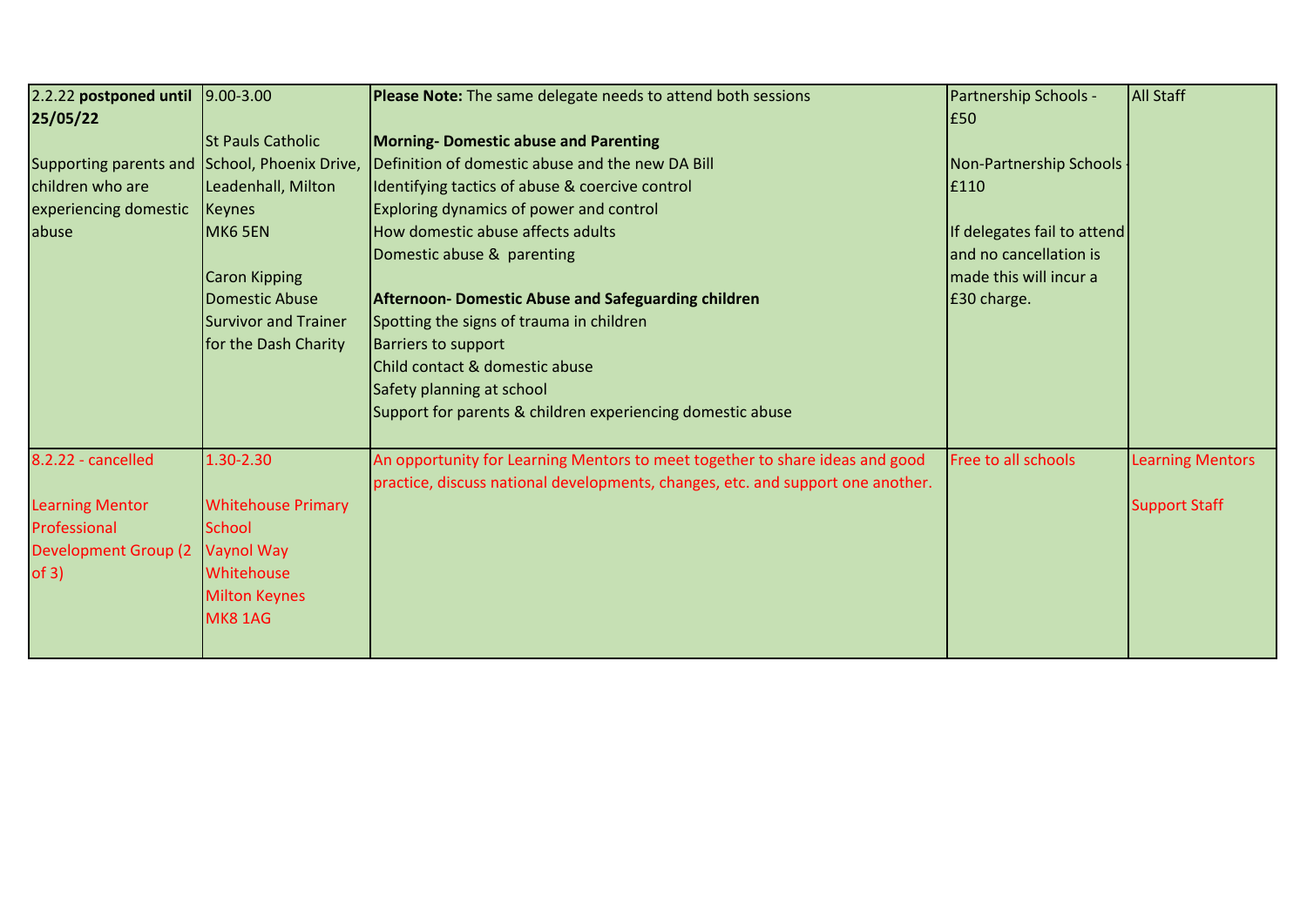| 2.2.22 postponed until 9.00-3.00              |                             | Please Note: The same delegate needs to attend both sessions                    | Partnership Schools -       | <b>All Staff</b>        |
|-----------------------------------------------|-----------------------------|---------------------------------------------------------------------------------|-----------------------------|-------------------------|
| 25/05/22                                      |                             |                                                                                 | £50                         |                         |
|                                               | <b>St Pauls Catholic</b>    | <b>Morning- Domestic abuse and Parenting</b>                                    |                             |                         |
| Supporting parents and School, Phoenix Drive, |                             | Definition of domestic abuse and the new DA Bill                                | Non-Partnership Schools     |                         |
| children who are                              | Leadenhall, Milton          | Identifying tactics of abuse & coercive control                                 | E110                        |                         |
| experiencing domestic                         | <b>Keynes</b>               | Exploring dynamics of power and control                                         |                             |                         |
| abuse                                         | MK6 5EN                     | How domestic abuse affects adults                                               | If delegates fail to attend |                         |
|                                               |                             | Domestic abuse & parenting                                                      | and no cancellation is      |                         |
|                                               | <b>Caron Kipping</b>        |                                                                                 | made this will incur a      |                         |
|                                               | <b>Domestic Abuse</b>       | <b>Afternoon- Domestic Abuse and Safeguarding children</b>                      | £30 charge.                 |                         |
|                                               | <b>Survivor and Trainer</b> | Spotting the signs of trauma in children                                        |                             |                         |
|                                               | for the Dash Charity        | <b>Barriers to support</b>                                                      |                             |                         |
|                                               |                             | Child contact & domestic abuse                                                  |                             |                         |
|                                               |                             | Safety planning at school                                                       |                             |                         |
|                                               |                             | Support for parents & children experiencing domestic abuse                      |                             |                         |
| 8.2.22 - cancelled                            | 1.30-2.30                   | An opportunity for Learning Mentors to meet together to share ideas and good    | Free to all schools         | <b>Learning Mentors</b> |
|                                               |                             | practice, discuss national developments, changes, etc. and support one another. |                             |                         |
| <b>Learning Mentor</b>                        | <b>Whitehouse Primary</b>   |                                                                                 |                             | <b>Support Staff</b>    |
| Professional                                  | <b>School</b>               |                                                                                 |                             |                         |
| <b>Development Group (2)</b>                  | Vaynol Way                  |                                                                                 |                             |                         |
| of 3)                                         | Whitehouse                  |                                                                                 |                             |                         |
|                                               | <b>Milton Keynes</b>        |                                                                                 |                             |                         |
|                                               | <b>MK8 1AG</b>              |                                                                                 |                             |                         |
|                                               |                             |                                                                                 |                             |                         |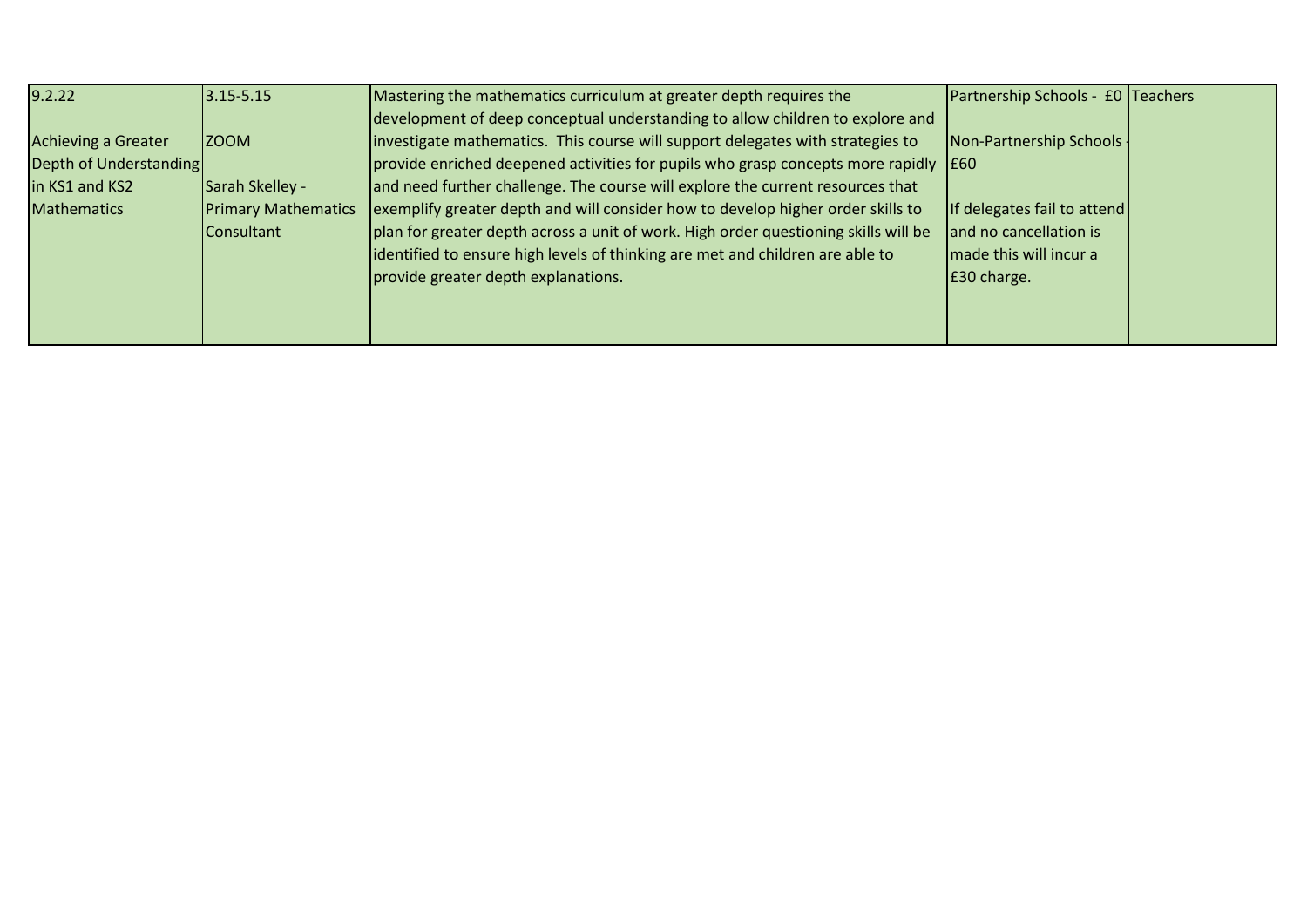| 9.2.22                 | $3.15 - 5.15$              | Mastering the mathematics curriculum at greater depth requires the                                  | Partnership Schools - £0 Teachers |  |
|------------------------|----------------------------|-----------------------------------------------------------------------------------------------------|-----------------------------------|--|
|                        |                            | development of deep conceptual understanding to allow children to explore and                       |                                   |  |
| Achieving a Greater    | <b>ZOOM</b>                | investigate mathematics. This course will support delegates with strategies to                      | Non-Partnership Schools -         |  |
| Depth of Understanding |                            | $\vert$ provide enriched deepened activities for pupils who grasp concepts more rapidly $\vert$ £60 |                                   |  |
| in KS1 and KS2         | Sarah Skelley -            | and need further challenge. The course will explore the current resources that                      |                                   |  |
| <b>Mathematics</b>     | <b>Primary Mathematics</b> | exemplify greater depth and will consider how to develop higher order skills to                     | If delegates fail to attend       |  |
|                        | <b>Consultant</b>          | plan for greater depth across a unit of work. High order questioning skills will be                 | and no cancellation is            |  |
|                        |                            | identified to ensure high levels of thinking are met and children are able to                       | made this will incur a            |  |
|                        |                            | provide greater depth explanations.                                                                 | E30 charge.                       |  |
|                        |                            |                                                                                                     |                                   |  |
|                        |                            |                                                                                                     |                                   |  |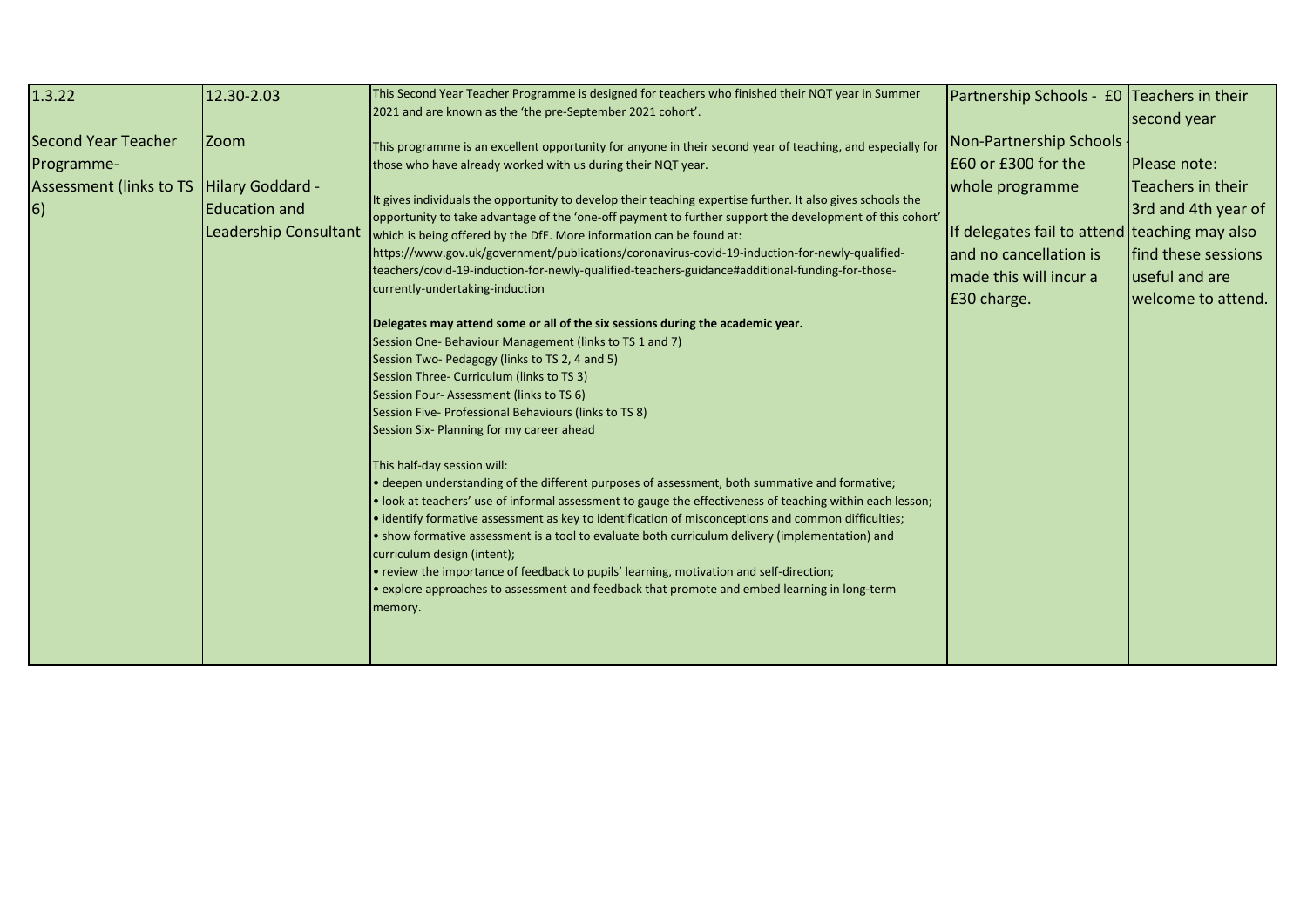| 1.3.22                                                                     | 12.30-2.03                                                                       | This Second Year Teacher Programme is designed for teachers who finished their NQT year in Summer<br>2021 and are known as the 'the pre-September 2021 cohort'.                                                                                                                                                                                                                                                                                                                                                                                                                                                                                                                                                                                                                                                                                                                                                                                                                                                                                                                     | Partnership Schools - £0 Teachers in their                                                                                                                                            | second year                                                                                                             |
|----------------------------------------------------------------------------|----------------------------------------------------------------------------------|-------------------------------------------------------------------------------------------------------------------------------------------------------------------------------------------------------------------------------------------------------------------------------------------------------------------------------------------------------------------------------------------------------------------------------------------------------------------------------------------------------------------------------------------------------------------------------------------------------------------------------------------------------------------------------------------------------------------------------------------------------------------------------------------------------------------------------------------------------------------------------------------------------------------------------------------------------------------------------------------------------------------------------------------------------------------------------------|---------------------------------------------------------------------------------------------------------------------------------------------------------------------------------------|-------------------------------------------------------------------------------------------------------------------------|
| Second Year Teacher<br>Programme-<br>Assessment (links to TS<br>$\vert 6)$ | <b>Zoom</b><br>Hilary Goddard -<br><b>Education and</b><br>Leadership Consultant | This programme is an excellent opportunity for anyone in their second year of teaching, and especially for<br>those who have already worked with us during their NQT year.<br>It gives individuals the opportunity to develop their teaching expertise further. It also gives schools the<br>opportunity to take advantage of the 'one-off payment to further support the development of this cohort'<br>which is being offered by the DfE. More information can be found at:<br>https://www.gov.uk/government/publications/coronavirus-covid-19-induction-for-newly-qualified-<br>teachers/covid-19-induction-for-newly-qualified-teachers-guidance#additional-funding-for-those-<br>currently-undertaking-induction                                                                                                                                                                                                                                                                                                                                                               | Non-Partnership Schools<br>E60 or £300 for the<br>whole programme<br>If delegates fail to attend teaching may also<br>and no cancellation is<br>made this will incur a<br>£30 charge. | Please note:<br>Teachers in their<br>3rd and 4th year of<br>find these sessions<br>useful and are<br>welcome to attend. |
|                                                                            |                                                                                  | Delegates may attend some or all of the six sessions during the academic year.<br>Session One-Behaviour Management (links to TS 1 and 7)<br>Session Two-Pedagogy (links to TS 2, 4 and 5)<br>Session Three- Curriculum (links to TS 3)<br>Session Four-Assessment (links to TS 6)<br>Session Five- Professional Behaviours (links to TS 8)<br>Session Six- Planning for my career ahead<br>This half-day session will:<br>• deepen understanding of the different purposes of assessment, both summative and formative;<br>· look at teachers' use of informal assessment to gauge the effectiveness of teaching within each lesson;<br>· identify formative assessment as key to identification of misconceptions and common difficulties;<br>• show formative assessment is a tool to evaluate both curriculum delivery (implementation) and<br>curriculum design (intent);<br>• review the importance of feedback to pupils' learning, motivation and self-direction;<br>• explore approaches to assessment and feedback that promote and embed learning in long-term<br>memory. |                                                                                                                                                                                       |                                                                                                                         |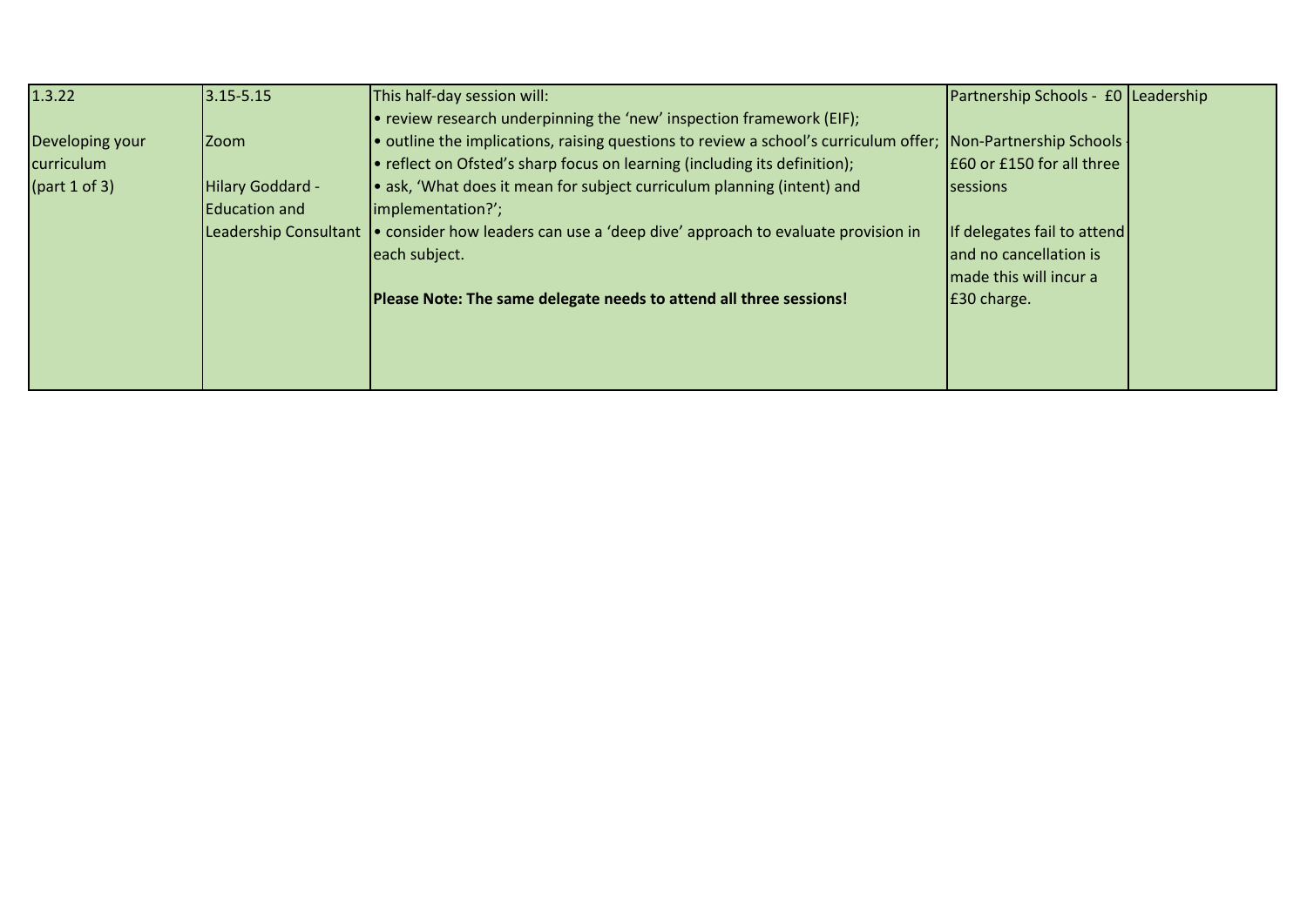| 1.3.22               | $3.15 - 5.15$         | This half-day session will:                                                                                  | Partnership Schools - £0 Leadership |  |
|----------------------|-----------------------|--------------------------------------------------------------------------------------------------------------|-------------------------------------|--|
|                      |                       | $\bullet$ review research underpinning the 'new' inspection framework (EIF);                                 |                                     |  |
| Developing your      | <b>Zoom</b>           | • outline the implications, raising questions to review a school's curriculum offer; Non-Partnership Schools |                                     |  |
| curriculum           |                       | • reflect on Ofsted's sharp focus on learning (including its definition);                                    | E60 or £150 for all three           |  |
| $\int$ (part 1 of 3) | Hilary Goddard -      | • ask, 'What does it mean for subject curriculum planning (intent) and                                       | <b>Isessions</b>                    |  |
|                      | Education and         | limplementation?';                                                                                           |                                     |  |
|                      | Leadership Consultant | consider how leaders can use a 'deep dive' approach to evaluate provision in                                 | If delegates fail to attend         |  |
|                      |                       | each subject.                                                                                                | and no cancellation is              |  |
|                      |                       |                                                                                                              | made this will incur a              |  |
|                      |                       | Please Note: The same delegate needs to attend all three sessions!                                           | E30 charge.                         |  |
|                      |                       |                                                                                                              |                                     |  |
|                      |                       |                                                                                                              |                                     |  |
|                      |                       |                                                                                                              |                                     |  |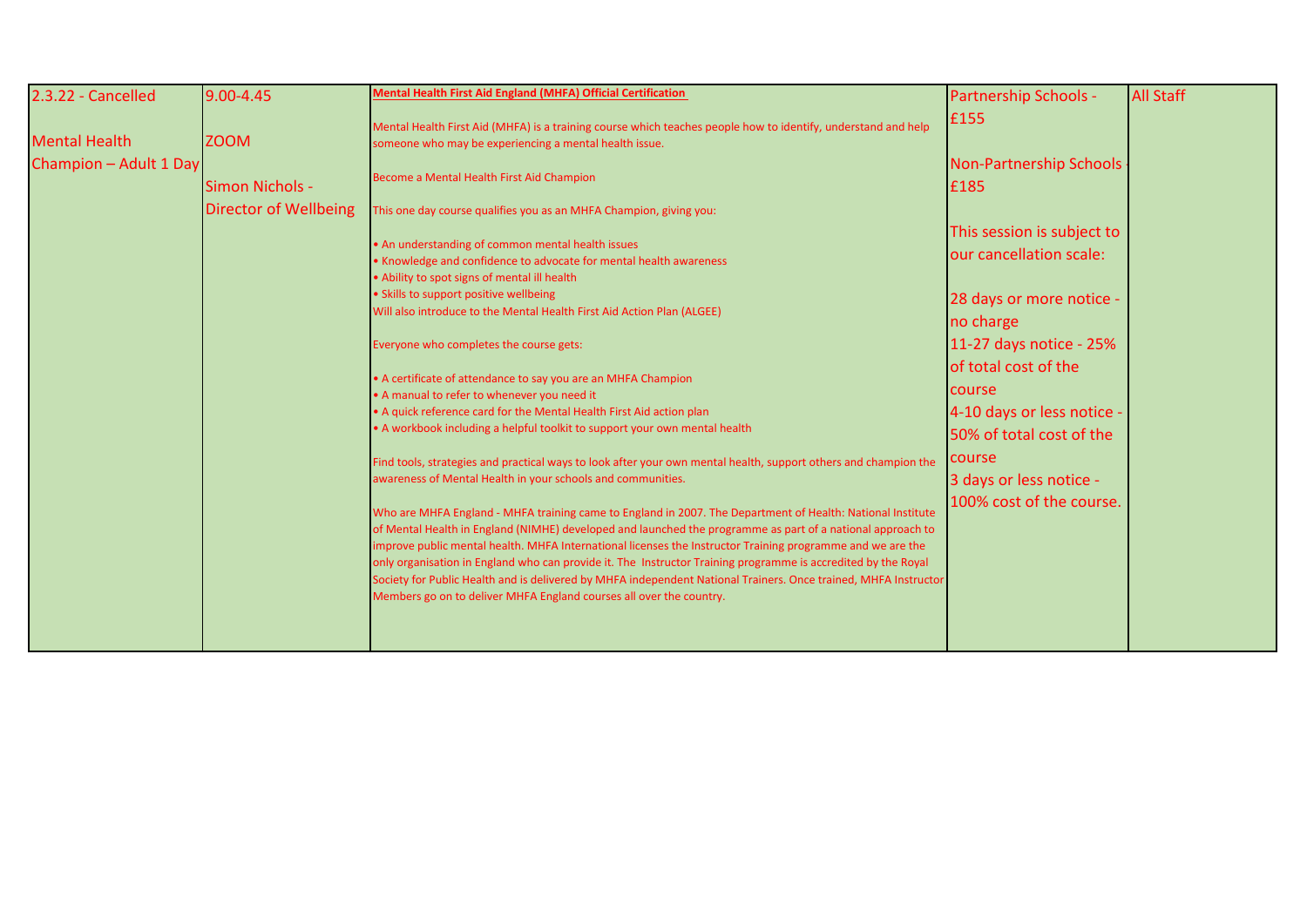| 2.3.22 - Cancelled     | $9.00 - 4.45$                | Mental Health First Aid England (MHFA) Official Certification                                                                                                                                                                                                                                                                                                                                                                                                                                                                                                                                                                                     | <b>Partnership Schools -</b>                          | <b>All Staff</b> |
|------------------------|------------------------------|---------------------------------------------------------------------------------------------------------------------------------------------------------------------------------------------------------------------------------------------------------------------------------------------------------------------------------------------------------------------------------------------------------------------------------------------------------------------------------------------------------------------------------------------------------------------------------------------------------------------------------------------------|-------------------------------------------------------|------------------|
| <b>Mental Health</b>   | <b>ZOOM</b>                  | Mental Health First Aid (MHFA) is a training course which teaches people how to identify, understand and help<br>someone who may be experiencing a mental health issue.                                                                                                                                                                                                                                                                                                                                                                                                                                                                           | £155                                                  |                  |
| Champion - Adult 1 Day | Simon Nichols -              | Become a Mental Health First Aid Champion                                                                                                                                                                                                                                                                                                                                                                                                                                                                                                                                                                                                         | Non-Partnership Schools<br>£185                       |                  |
|                        | <b>Director of Wellbeing</b> | This one day course qualifies you as an MHFA Champion, giving you:                                                                                                                                                                                                                                                                                                                                                                                                                                                                                                                                                                                |                                                       |                  |
|                        |                              | • An understanding of common mental health issues<br>. Knowledge and confidence to advocate for mental health awareness<br>• Ability to spot signs of mental ill health                                                                                                                                                                                                                                                                                                                                                                                                                                                                           | This session is subject to<br>our cancellation scale: |                  |
|                        |                              | • Skills to support positive wellbeing<br>Will also introduce to the Mental Health First Aid Action Plan (ALGEE)                                                                                                                                                                                                                                                                                                                                                                                                                                                                                                                                  | 28 days or more notice -<br>no charge                 |                  |
|                        |                              | Everyone who completes the course gets:                                                                                                                                                                                                                                                                                                                                                                                                                                                                                                                                                                                                           | 11-27 days notice - 25%                               |                  |
|                        |                              | • A certificate of attendance to say you are an MHFA Champion                                                                                                                                                                                                                                                                                                                                                                                                                                                                                                                                                                                     | of total cost of the<br><b>course</b>                 |                  |
|                        |                              | • A manual to refer to whenever you need it<br>• A quick reference card for the Mental Health First Aid action plan                                                                                                                                                                                                                                                                                                                                                                                                                                                                                                                               | 4-10 days or less notice                              |                  |
|                        |                              | • A workbook including a helpful toolkit to support your own mental health                                                                                                                                                                                                                                                                                                                                                                                                                                                                                                                                                                        | 50% of total cost of the                              |                  |
|                        |                              | Find tools, strategies and practical ways to look after your own mental health, support others and champion the<br>awareness of Mental Health in your schools and communities.                                                                                                                                                                                                                                                                                                                                                                                                                                                                    | course<br>3 days or less notice -                     |                  |
|                        |                              | Who are MHFA England - MHFA training came to England in 2007. The Department of Health: National Institute<br>of Mental Health in England (NIMHE) developed and launched the programme as part of a national approach to<br>improve public mental health. MHFA International licenses the Instructor Training programme and we are the<br>only organisation in England who can provide it. The Instructor Training programme is accredited by the Royal<br>Society for Public Health and is delivered by MHFA independent National Trainers. Once trained, MHFA Instructor<br>Members go on to deliver MHFA England courses all over the country. | 100% cost of the course.                              |                  |
|                        |                              |                                                                                                                                                                                                                                                                                                                                                                                                                                                                                                                                                                                                                                                   |                                                       |                  |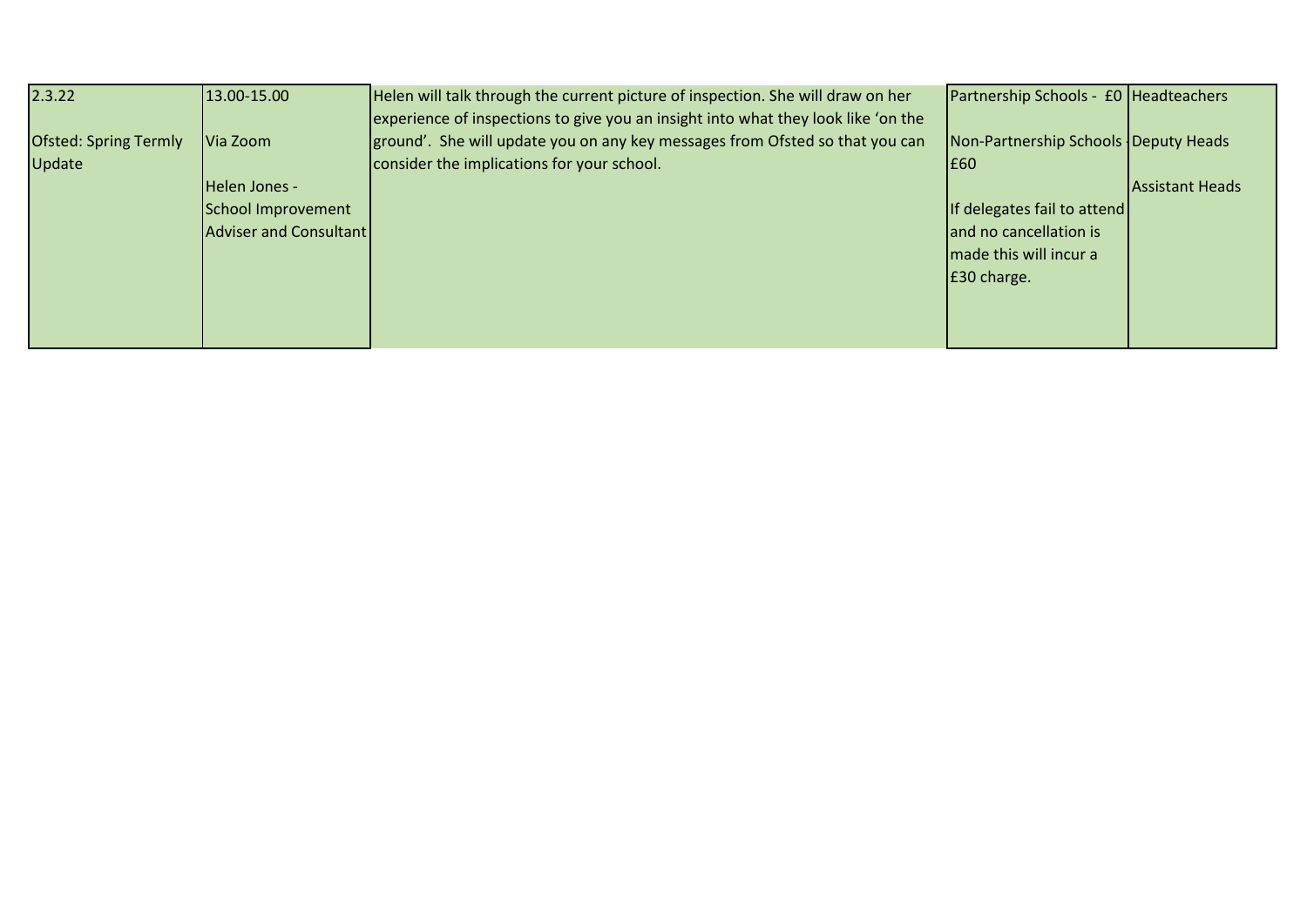| 2.3.22                                 | 13.00-15.00            | Helen will talk through the current picture of inspection. She will draw on her<br>experience of inspections to give you an insight into what they look like 'on the | Partnership Schools - £0 Headteachers        |                        |
|----------------------------------------|------------------------|----------------------------------------------------------------------------------------------------------------------------------------------------------------------|----------------------------------------------|------------------------|
| <b>Ofsted: Spring Termly</b><br>Update | Via Zoom               | ground'. She will update you on any key messages from Ofsted so that you can<br>consider the implications for your school.                                           | Non-Partnership Schools Deputy Heads<br>I£60 |                        |
|                                        | Helen Jones -          |                                                                                                                                                                      |                                              | <b>Assistant Heads</b> |
|                                        | School Improvement     |                                                                                                                                                                      | If delegates fail to attend                  |                        |
|                                        | Adviser and Consultant |                                                                                                                                                                      | and no cancellation is                       |                        |
|                                        |                        |                                                                                                                                                                      | made this will incur a                       |                        |
|                                        |                        |                                                                                                                                                                      | E30 charge.                                  |                        |
|                                        |                        |                                                                                                                                                                      |                                              |                        |
|                                        |                        |                                                                                                                                                                      |                                              |                        |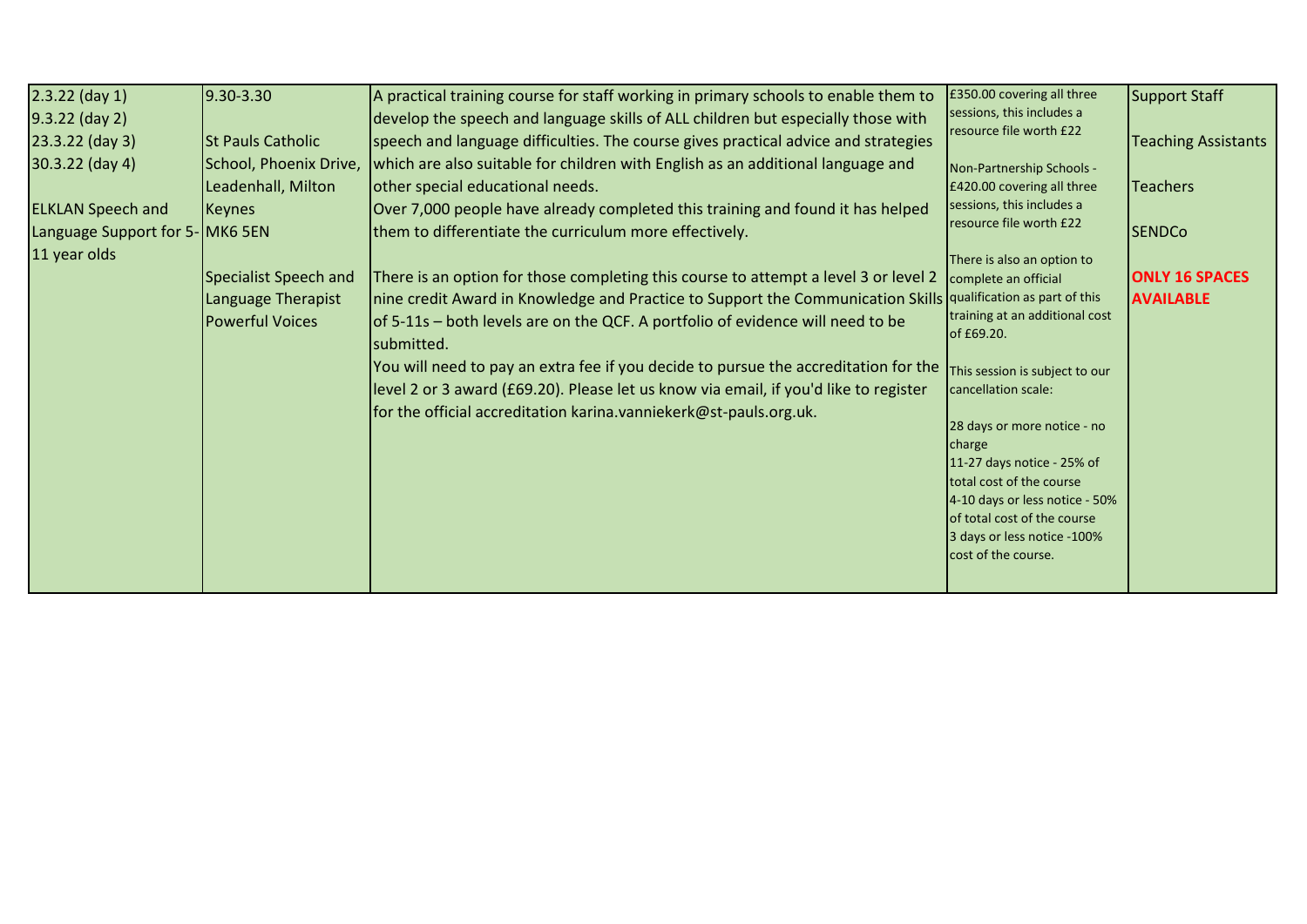| $2.3.22$ (day 1)               | 9.30-3.30                    | A practical training course for staff working in primary schools to enable them to                            | £350.00 covering all three           | <b>Support Staff</b>       |
|--------------------------------|------------------------------|---------------------------------------------------------------------------------------------------------------|--------------------------------------|----------------------------|
| $9.3.22$ (day 2)               |                              | develop the speech and language skills of ALL children but especially those with                              | sessions, this includes a            |                            |
| $23.3.22$ (day 3)              | <b>St Pauls Catholic</b>     | speech and language difficulties. The course gives practical advice and strategies                            | resource file worth £22              | <b>Teaching Assistants</b> |
| 30.3.22 (day 4)                | School, Phoenix Drive,       | which are also suitable for children with English as an additional language and                               | Non-Partnership Schools -            |                            |
|                                | Leadenhall, Milton           | other special educational needs.                                                                              | £420.00 covering all three           | <b>Teachers</b>            |
| <b>ELKLAN Speech and</b>       | <b>Keynes</b>                | Over 7,000 people have already completed this training and found it has helped                                | sessions, this includes a            |                            |
| Language Support for 5-MK6 5EN |                              | them to differentiate the curriculum more effectively.                                                        | resource file worth £22              | <b>SENDCo</b>              |
| 11 year olds                   |                              |                                                                                                               | There is also an option to           |                            |
|                                | <b>Specialist Speech and</b> | There is an option for those completing this course to attempt a level 3 or level 2                           | complete an official                 | <b>ONLY 16 SPACES</b>      |
|                                | Language Therapist           | nine credit Award in Knowledge and Practice to Support the Communication Skills qualification as part of this |                                      | <b>AVAILABLE</b>           |
|                                | <b>Powerful Voices</b>       | of 5-11s - both levels are on the QCF. A portfolio of evidence will need to be                                | training at an additional cost       |                            |
|                                |                              | submitted.                                                                                                    | of £69.20.                           |                            |
|                                |                              | You will need to pay an extra fee if you decide to pursue the accreditation for the                           | This session is subject to our       |                            |
|                                |                              | level 2 or 3 award (£69.20). Please let us know via email, if you'd like to register                          | cancellation scale:                  |                            |
|                                |                              | for the official accreditation karina.vanniekerk@st-pauls.org.uk.                                             |                                      |                            |
|                                |                              |                                                                                                               | 28 days or more notice - no          |                            |
|                                |                              |                                                                                                               | charge<br>11-27 days notice - 25% of |                            |
|                                |                              |                                                                                                               | total cost of the course             |                            |
|                                |                              |                                                                                                               | 4-10 days or less notice - 50%       |                            |
|                                |                              |                                                                                                               | of total cost of the course          |                            |
|                                |                              |                                                                                                               | 3 days or less notice -100%          |                            |
|                                |                              |                                                                                                               | cost of the course.                  |                            |
|                                |                              |                                                                                                               |                                      |                            |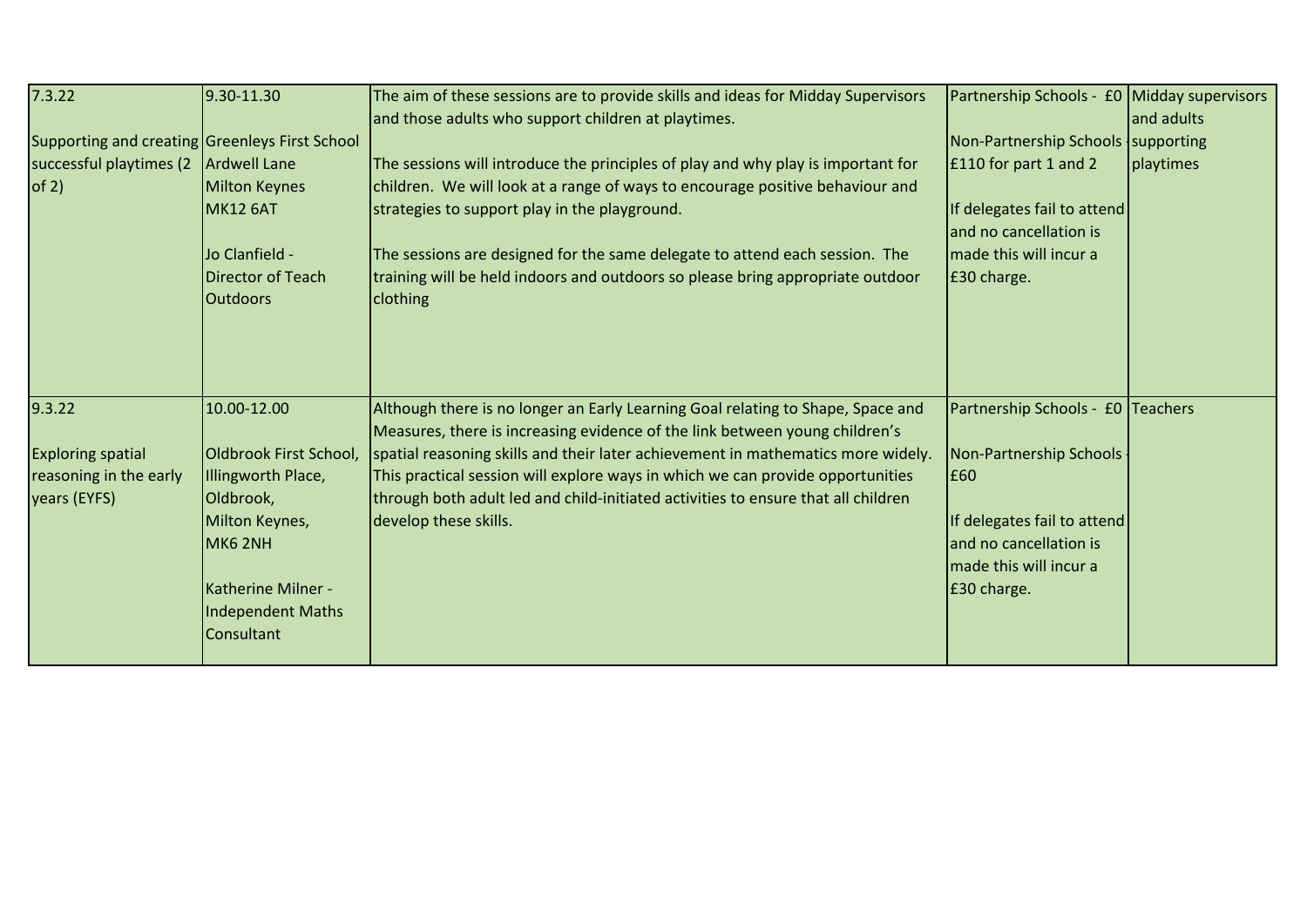| 7.3.22                                                                       | 9.30-11.30                                                                                                                                                            | The aim of these sessions are to provide skills and ideas for Midday Supervisors<br>and those adults who support children at playtimes.                                                                                                                                                                                                                                                                                                            | Partnership Schools - £0 Midday supervisors                                                                                                                           | and adults |
|------------------------------------------------------------------------------|-----------------------------------------------------------------------------------------------------------------------------------------------------------------------|----------------------------------------------------------------------------------------------------------------------------------------------------------------------------------------------------------------------------------------------------------------------------------------------------------------------------------------------------------------------------------------------------------------------------------------------------|-----------------------------------------------------------------------------------------------------------------------------------------------------------------------|------------|
| Supporting and creating Greenleys First School                               |                                                                                                                                                                       |                                                                                                                                                                                                                                                                                                                                                                                                                                                    | Non-Partnership Schools supporting                                                                                                                                    |            |
| successful playtimes (2                                                      | Ardwell Lane                                                                                                                                                          | The sessions will introduce the principles of play and why play is important for                                                                                                                                                                                                                                                                                                                                                                   | E110 for part 1 and 2                                                                                                                                                 | playtimes  |
| of 2)                                                                        | <b>Milton Keynes</b><br>MK12 6AT                                                                                                                                      | children. We will look at a range of ways to encourage positive behaviour and<br>strategies to support play in the playground.                                                                                                                                                                                                                                                                                                                     | If delegates fail to attend<br>and no cancellation is                                                                                                                 |            |
|                                                                              | Jo Clanfield -<br>Director of Teach<br><b>Outdoors</b>                                                                                                                | The sessions are designed for the same delegate to attend each session. The<br>training will be held indoors and outdoors so please bring appropriate outdoor<br><b>clothing</b>                                                                                                                                                                                                                                                                   | made this will incur a<br>E30 charge.                                                                                                                                 |            |
| 9.3.22<br><b>Exploring spatial</b><br>reasoning in the early<br>years (EYFS) | 10.00-12.00<br>Oldbrook First School,<br>Illingworth Place,<br>Oldbrook,<br>Milton Keynes,<br>MK6 2NH<br>Katherine Milner -<br><b>Independent Maths</b><br>Consultant | Although there is no longer an Early Learning Goal relating to Shape, Space and<br>Measures, there is increasing evidence of the link between young children's<br>spatial reasoning skills and their later achievement in mathematics more widely.<br>This practical session will explore ways in which we can provide opportunities<br>through both adult led and child-initiated activities to ensure that all children<br>develop these skills. | Partnership Schools - £0 Teachers<br>Non-Partnership Schools<br>E60<br>If delegates fail to attend<br>and no cancellation is<br>made this will incur a<br>£30 charge. |            |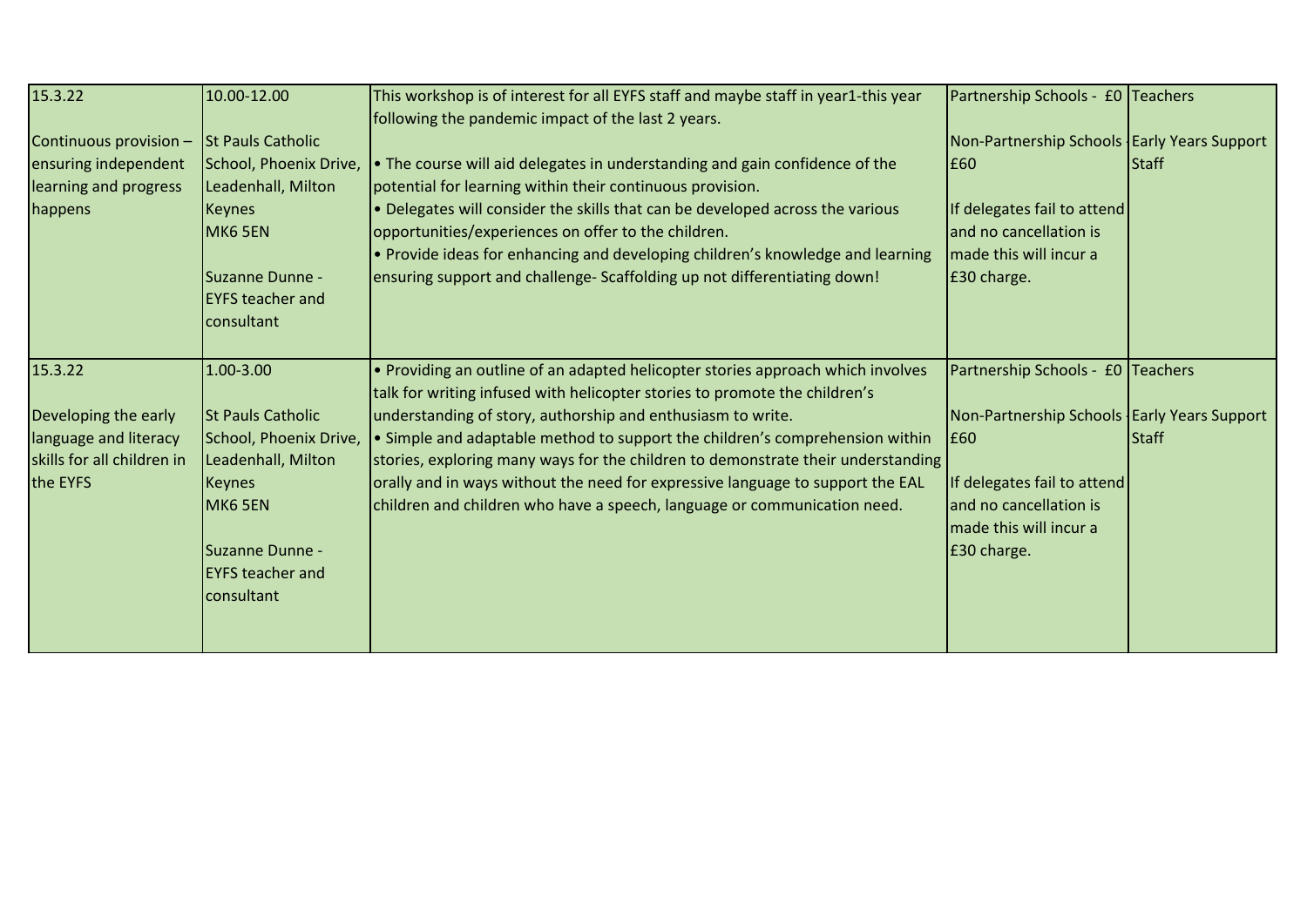| 15.3.22                                                                                            | 10.00-12.00                                                                                                                                                                   | This workshop is of interest for all EYFS staff and maybe staff in year1-this year<br>following the pandemic impact of the last 2 years.                                                                                                                                                                                                                                                                                                                                                                                                                       | Partnership Schools - £0 Teachers                                                                                                                                                           |              |
|----------------------------------------------------------------------------------------------------|-------------------------------------------------------------------------------------------------------------------------------------------------------------------------------|----------------------------------------------------------------------------------------------------------------------------------------------------------------------------------------------------------------------------------------------------------------------------------------------------------------------------------------------------------------------------------------------------------------------------------------------------------------------------------------------------------------------------------------------------------------|---------------------------------------------------------------------------------------------------------------------------------------------------------------------------------------------|--------------|
| Continuous provision -<br>ensuring independent<br>learning and progress<br>happens                 | <b>St Pauls Catholic</b><br>School, Phoenix Drive,<br>Leadenhall, Milton<br><b>Keynes</b><br>MK6 5EN<br>Suzanne Dunne -<br><b>EYFS teacher and</b><br>consultant              | . The course will aid delegates in understanding and gain confidence of the<br>potential for learning within their continuous provision.<br>. Delegates will consider the skills that can be developed across the various<br>opportunities/experiences on offer to the children.<br>• Provide ideas for enhancing and developing children's knowledge and learning<br>ensuring support and challenge- Scaffolding up not differentiating down!                                                                                                                 | Non-Partnership Schools   Early Years Support<br>E60<br>If delegates fail to attend<br>and no cancellation is<br>made this will incur a<br>£30 charge.                                      | Staff        |
| 15.3.22<br>Developing the early<br>language and literacy<br>skills for all children in<br>the EYFS | 1.00-3.00<br><b>St Pauls Catholic</b><br>School, Phoenix Drive,<br>Leadenhall, Milton<br><b>Keynes</b><br>MK6 5EN<br>Suzanne Dunne -<br><b>EYFS teacher and</b><br>consultant | • Providing an outline of an adapted helicopter stories approach which involves<br>talk for writing infused with helicopter stories to promote the children's<br>understanding of story, authorship and enthusiasm to write.<br>• Simple and adaptable method to support the children's comprehension within<br>stories, exploring many ways for the children to demonstrate their understanding<br>orally and in ways without the need for expressive language to support the EAL<br>children and children who have a speech, language or communication need. | Partnership Schools - £0 Teachers<br>Non-Partnership Schools   Early Years Support<br>E60<br>If delegates fail to attend<br>and no cancellation is<br>made this will incur a<br>£30 charge. | <b>Staff</b> |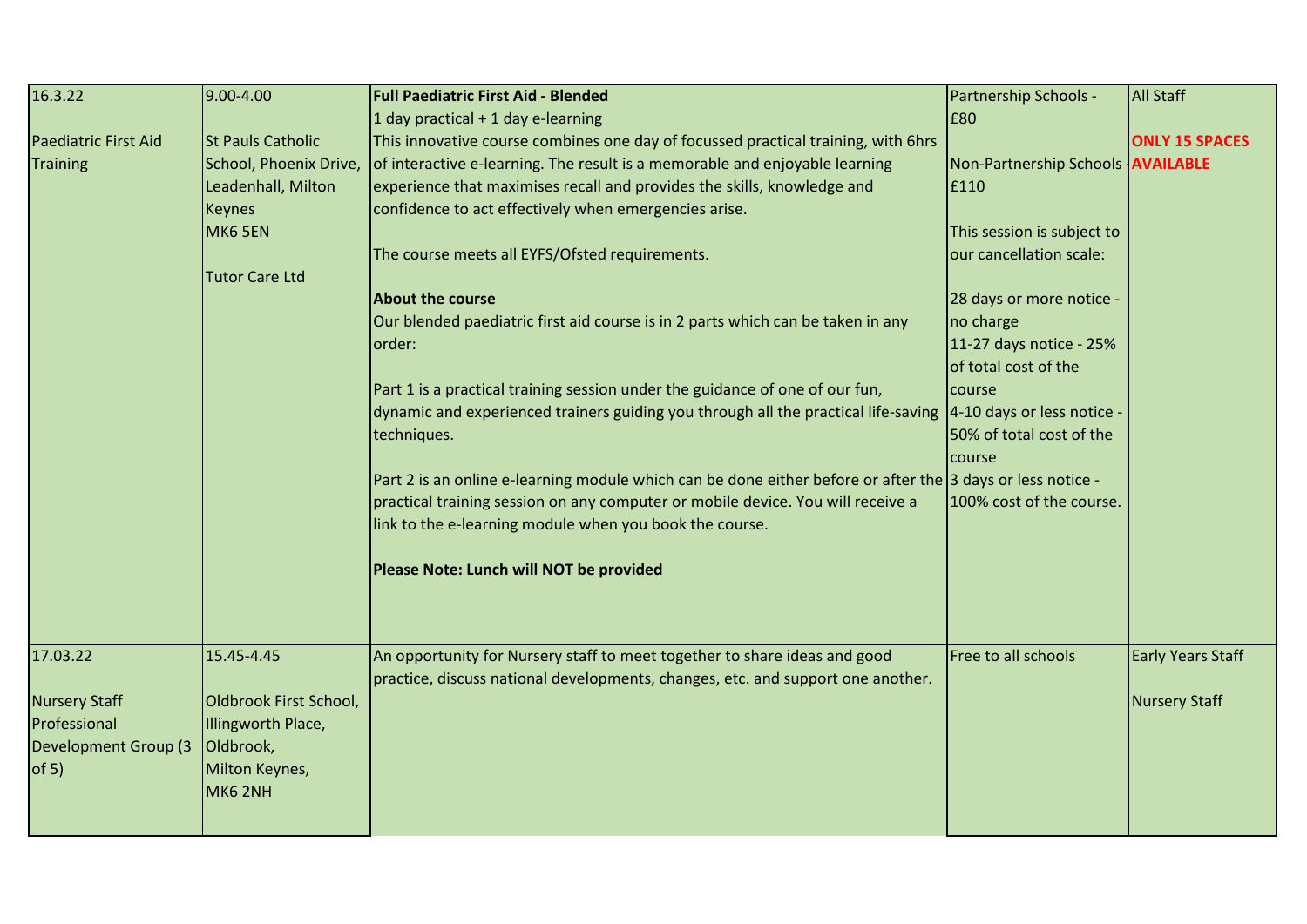| 16.3.22                     | 9.00-4.00                | <b>Full Paediatric First Aid - Blended</b>                                                                            | Partnership Schools -               | <b>All Staff</b>         |
|-----------------------------|--------------------------|-----------------------------------------------------------------------------------------------------------------------|-------------------------------------|--------------------------|
|                             |                          | 1 day practical $+$ 1 day e-learning                                                                                  | £80                                 |                          |
| <b>Paediatric First Aid</b> | <b>St Pauls Catholic</b> | This innovative course combines one day of focussed practical training, with 6hrs                                     |                                     | <b>ONLY 15 SPACES</b>    |
| Training                    | School, Phoenix Drive,   | of interactive e-learning. The result is a memorable and enjoyable learning                                           | Non-Partnership Schools   AVAILABLE |                          |
|                             | Leadenhall, Milton       | experience that maximises recall and provides the skills, knowledge and                                               | £110                                |                          |
|                             | <b>Keynes</b>            | confidence to act effectively when emergencies arise.                                                                 |                                     |                          |
|                             | MK6 5EN                  |                                                                                                                       | This session is subject to          |                          |
|                             |                          | The course meets all EYFS/Ofsted requirements.                                                                        | our cancellation scale:             |                          |
|                             | <b>Tutor Care Ltd</b>    |                                                                                                                       |                                     |                          |
|                             |                          | <b>About the course</b>                                                                                               | 28 days or more notice -            |                          |
|                             |                          | Our blended paediatric first aid course is in 2 parts which can be taken in any                                       | no charge                           |                          |
|                             |                          | lorder:                                                                                                               | 11-27 days notice - 25%             |                          |
|                             |                          |                                                                                                                       | of total cost of the                |                          |
|                             |                          | Part 1 is a practical training session under the guidance of one of our fun,                                          | course                              |                          |
|                             |                          | dynamic and experienced trainers guiding you through all the practical life-saving $\vert$ 4-10 days or less notice - |                                     |                          |
|                             |                          | techniques.                                                                                                           | 50% of total cost of the            |                          |
|                             |                          |                                                                                                                       | course                              |                          |
|                             |                          | Part 2 is an online e-learning module which can be done either before or after the 3 days or less notice -            |                                     |                          |
|                             |                          | practical training session on any computer or mobile device. You will receive a                                       | 100% cost of the course.            |                          |
|                             |                          | link to the e-learning module when you book the course.                                                               |                                     |                          |
|                             |                          | Please Note: Lunch will NOT be provided                                                                               |                                     |                          |
|                             |                          |                                                                                                                       |                                     |                          |
| 17.03.22                    | 15.45-4.45               | An opportunity for Nursery staff to meet together to share ideas and good                                             | Free to all schools                 | <b>Early Years Staff</b> |
|                             |                          | practice, discuss national developments, changes, etc. and support one another.                                       |                                     |                          |
| <b>Nursery Staff</b>        | Oldbrook First School,   |                                                                                                                       |                                     | <b>Nursery Staff</b>     |
| Professional                | Illingworth Place,       |                                                                                                                       |                                     |                          |
| <b>Development Group (3</b> | Oldbrook,                |                                                                                                                       |                                     |                          |
| of 5)                       | Milton Keynes,           |                                                                                                                       |                                     |                          |
|                             | MK62NH                   |                                                                                                                       |                                     |                          |
|                             |                          |                                                                                                                       |                                     |                          |
|                             |                          |                                                                                                                       |                                     |                          |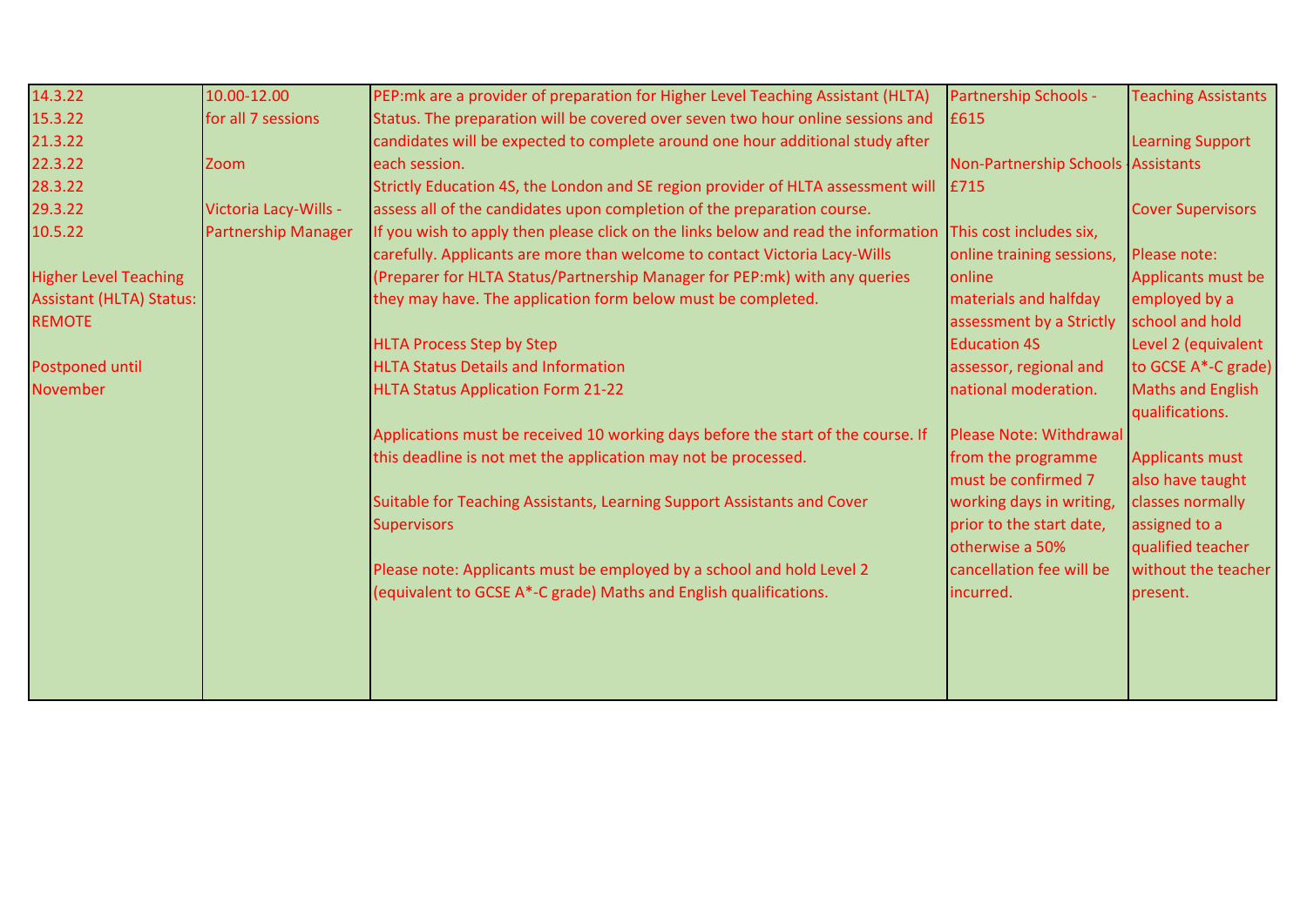| 14.3.22                         | 10.00-12.00                | PEP: mk are a provider of preparation for Higher Level Teaching Assistant (HLTA)   | Partnership Schools -              | <b>Teaching Assistants</b> |
|---------------------------------|----------------------------|------------------------------------------------------------------------------------|------------------------------------|----------------------------|
| 15.3.22                         | for all 7 sessions         | Status. The preparation will be covered over seven two hour online sessions and    | £615                               |                            |
| 21.3.22                         |                            | candidates will be expected to complete around one hour additional study after     |                                    | <b>Learning Support</b>    |
| 22.3.22                         | <b>Zoom</b>                | each session.                                                                      | Non-Partnership Schools Assistants |                            |
| 28.3.22                         |                            | Strictly Education 4S, the London and SE region provider of HLTA assessment will   | E715                               |                            |
| 29.3.22                         | Victoria Lacy-Wills -      | assess all of the candidates upon completion of the preparation course.            |                                    | <b>Cover Supervisors</b>   |
| 10.5.22                         | <b>Partnership Manager</b> | If you wish to apply then please click on the links below and read the information | This cost includes six,            |                            |
|                                 |                            | carefully. Applicants are more than welcome to contact Victoria Lacy-Wills         | online training sessions,          | Please note:               |
| <b>Higher Level Teaching</b>    |                            | (Preparer for HLTA Status/Partnership Manager for PEP:mk) with any queries         | online                             | Applicants must be         |
| <b>Assistant (HLTA) Status:</b> |                            | they may have. The application form below must be completed.                       | materials and halfday              | employed by a              |
| <b>REMOTE</b>                   |                            |                                                                                    | assessment by a Strictly           | school and hold            |
|                                 |                            | <b>HLTA Process Step by Step</b>                                                   | <b>Education 4S</b>                | Level 2 (equivalent        |
| Postponed until                 |                            | <b>HLTA Status Details and Information</b>                                         | assessor, regional and             | to GCSE A*-C grade)        |
| November                        |                            | <b>HLTA Status Application Form 21-22</b>                                          | national moderation.               | <b>Maths and English</b>   |
|                                 |                            |                                                                                    |                                    | qualifications.            |
|                                 |                            | Applications must be received 10 working days before the start of the course. If   | Please Note: Withdrawal            |                            |
|                                 |                            | this deadline is not met the application may not be processed.                     | from the programme                 | <b>Applicants must</b>     |
|                                 |                            |                                                                                    | must be confirmed 7                | also have taught           |
|                                 |                            | Suitable for Teaching Assistants, Learning Support Assistants and Cover            | working days in writing,           | classes normally           |
|                                 |                            | <b>Supervisors</b>                                                                 | prior to the start date,           | assigned to a              |
|                                 |                            |                                                                                    | otherwise a 50%                    | qualified teacher          |
|                                 |                            | Please note: Applicants must be employed by a school and hold Level 2              | cancellation fee will be           | without the teacher        |
|                                 |                            | (equivalent to GCSE A*-C grade) Maths and English qualifications.                  | incurred.                          | present.                   |
|                                 |                            |                                                                                    |                                    |                            |
|                                 |                            |                                                                                    |                                    |                            |
|                                 |                            |                                                                                    |                                    |                            |
|                                 |                            |                                                                                    |                                    |                            |
|                                 |                            |                                                                                    |                                    |                            |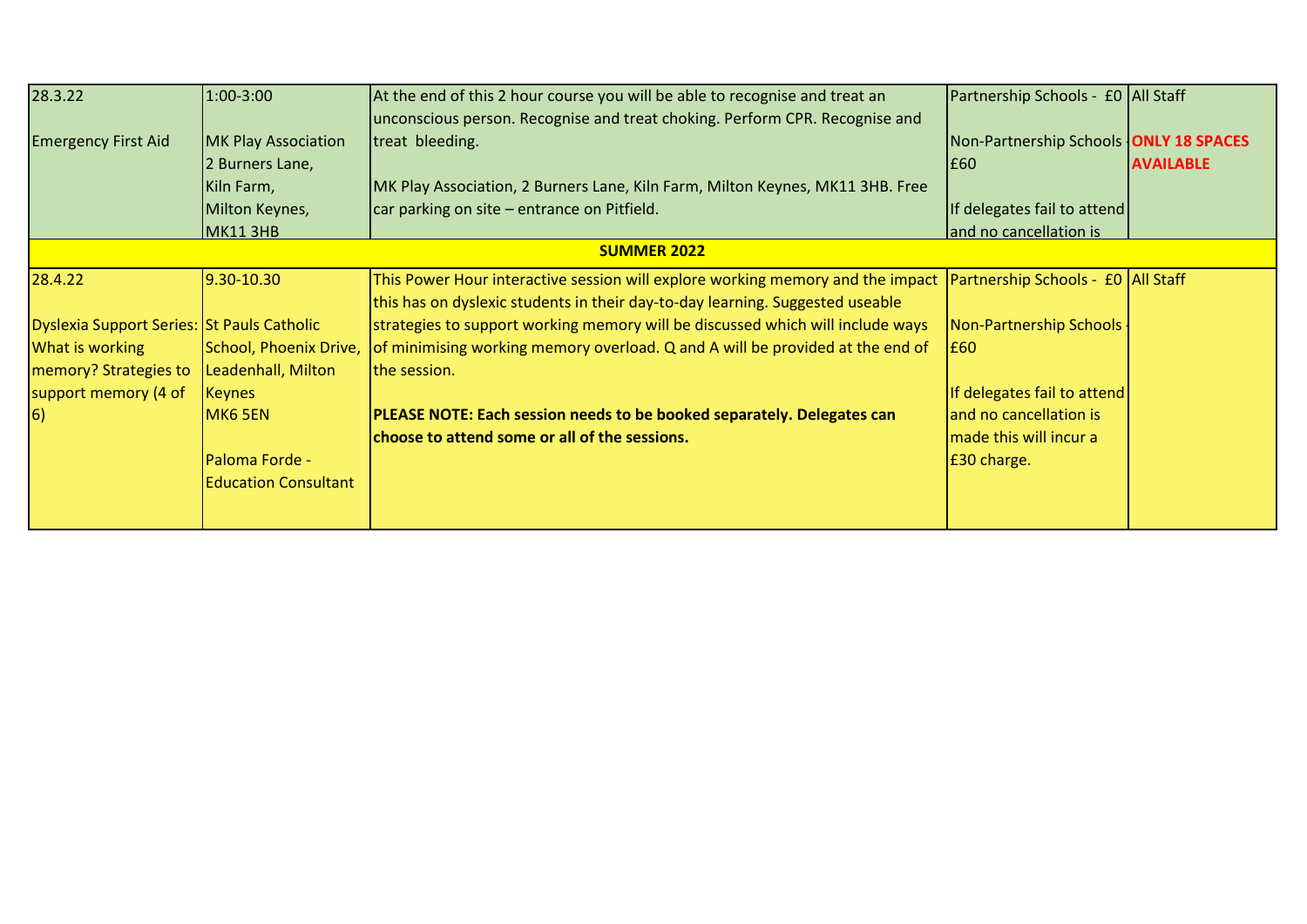| 28.3.22                                    | 1:00-3:00                   | At the end of this 2 hour course you will be able to recognise and treat an    | Partnership Schools - £0 All Staff            |                  |  |  |  |
|--------------------------------------------|-----------------------------|--------------------------------------------------------------------------------|-----------------------------------------------|------------------|--|--|--|
|                                            |                             | unconscious person. Recognise and treat choking. Perform CPR. Recognise and    |                                               |                  |  |  |  |
| <b>Emergency First Aid</b>                 | MK Play Association         | treat bleeding.                                                                | Non-Partnership Schools <b>ONLY 18 SPACES</b> |                  |  |  |  |
|                                            | 2 Burners Lane,             |                                                                                | E60                                           | <b>AVAILABLE</b> |  |  |  |
|                                            | Kiln Farm,                  | MK Play Association, 2 Burners Lane, Kiln Farm, Milton Keynes, MK11 3HB. Free  |                                               |                  |  |  |  |
|                                            | Milton Keynes,              | car parking on site – entrance on Pitfield.                                    | If delegates fail to attend                   |                  |  |  |  |
|                                            | <b>MK11 3HB</b>             |                                                                                | and no cancellation is                        |                  |  |  |  |
|                                            | <b>SUMMER 2022</b>          |                                                                                |                                               |                  |  |  |  |
| 28.4.22                                    | 9.30-10.30                  | This Power Hour interactive session will explore working memory and the impact | Partnership Schools - £0 All Staff            |                  |  |  |  |
|                                            |                             | this has on dyslexic students in their day-to-day learning. Suggested useable  |                                               |                  |  |  |  |
| Dyslexia Support Series: St Pauls Catholic |                             | strategies to support working memory will be discussed which will include ways | Non-Partnership Schools                       |                  |  |  |  |
| What is working                            | School, Phoenix Drive,      | of minimising working memory overload. Q and A will be provided at the end of  | E60                                           |                  |  |  |  |
| memory? Strategies to                      | Leadenhall, Milton          | the session.                                                                   |                                               |                  |  |  |  |
| support memory (4 of                       | <b>Keynes</b>               |                                                                                | If delegates fail to attend                   |                  |  |  |  |
| $\vert 6)$                                 | MK6 5EN                     | PLEASE NOTE: Each session needs to be booked separately. Delegates can         | and no cancellation is                        |                  |  |  |  |
|                                            |                             | choose to attend some or all of the sessions.                                  | made this will incur a                        |                  |  |  |  |
|                                            | Paloma Forde -              |                                                                                | £30 charge.                                   |                  |  |  |  |
|                                            | <b>Education Consultant</b> |                                                                                |                                               |                  |  |  |  |
|                                            |                             |                                                                                |                                               |                  |  |  |  |
|                                            |                             |                                                                                |                                               |                  |  |  |  |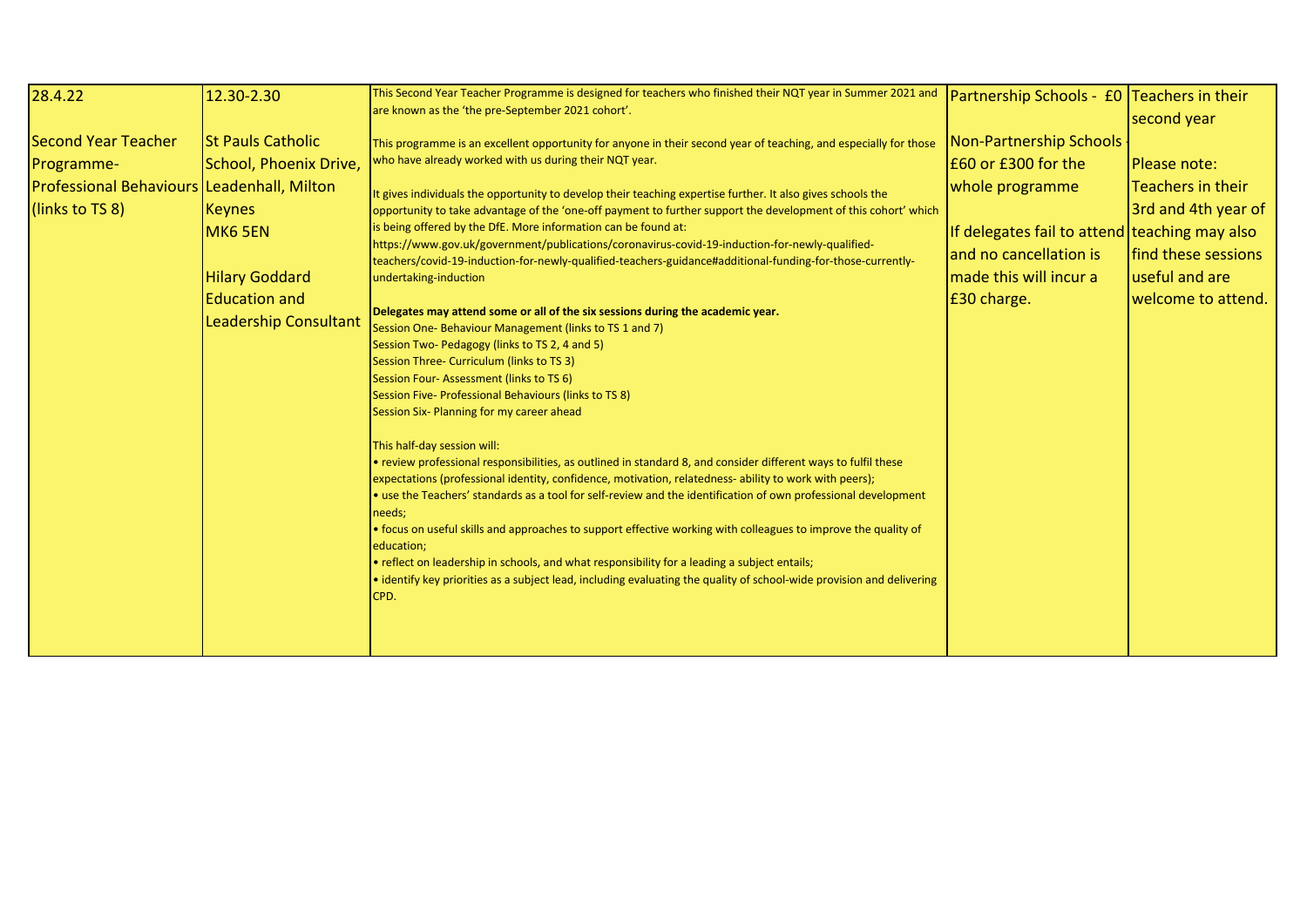| 28.4.22                                                                                            | 12.30-2.30                                                                                                                                                      | This Second Year Teacher Programme is designed for teachers who finished their NQT year in Summer 2021 and<br>are known as the 'the pre-September 2021 cohort'.                                                                                                                                                                                                                                                                                                                                                                                                                                                                                                                                                                                                                                                                                                                                                                                                                                                                                                                                                                                                                                                                                                                                                                                                                                                                                                                                                                                                                                                                                                                                                                                                                                                                                                          | Partnership Schools - £0 Teachers in their                                                                                                                                              | second year                                                                                                             |
|----------------------------------------------------------------------------------------------------|-----------------------------------------------------------------------------------------------------------------------------------------------------------------|--------------------------------------------------------------------------------------------------------------------------------------------------------------------------------------------------------------------------------------------------------------------------------------------------------------------------------------------------------------------------------------------------------------------------------------------------------------------------------------------------------------------------------------------------------------------------------------------------------------------------------------------------------------------------------------------------------------------------------------------------------------------------------------------------------------------------------------------------------------------------------------------------------------------------------------------------------------------------------------------------------------------------------------------------------------------------------------------------------------------------------------------------------------------------------------------------------------------------------------------------------------------------------------------------------------------------------------------------------------------------------------------------------------------------------------------------------------------------------------------------------------------------------------------------------------------------------------------------------------------------------------------------------------------------------------------------------------------------------------------------------------------------------------------------------------------------------------------------------------------------|-----------------------------------------------------------------------------------------------------------------------------------------------------------------------------------------|-------------------------------------------------------------------------------------------------------------------------|
| Second Year Teacher<br>Programme-<br>Professional Behaviours Leadenhall, Milton<br>(links to TS 8) | <b>St Pauls Catholic</b><br>School, Phoenix Drive,<br><b>Keynes</b><br>MK6 5EN<br><b>Hilary Goddard</b><br><b>Education and</b><br><b>Leadership Consultant</b> | This programme is an excellent opportunity for anyone in their second year of teaching, and especially for those<br>who have already worked with us during their NQT year.<br>It gives individuals the opportunity to develop their teaching expertise further. It also gives schools the<br>opportunity to take advantage of the 'one-off payment to further support the development of this cohort' which<br>is being offered by the DfE. More information can be found at:<br>https://www.gov.uk/government/publications/coronavirus-covid-19-induction-for-newly-qualified-<br>teachers/covid-19-induction-for-newly-qualified-teachers-guidance#additional-funding-for-those-currently-<br>undertaking-induction<br>Delegates may attend some or all of the six sessions during the academic year.<br>Session One-Behaviour Management (links to TS 1 and 7)<br>Session Two- Pedagogy (links to TS 2, 4 and 5)<br>Session Three- Curriculum (links to TS 3)<br>Session Four-Assessment (links to TS 6)<br>Session Five- Professional Behaviours (links to TS 8)<br>Session Six- Planning for my career ahead<br>This half-day session will:<br>· review professional responsibilities, as outlined in standard 8, and consider different ways to fulfil these<br>expectations (professional identity, confidence, motivation, relatedness-ability to work with peers);<br>• use the Teachers' standards as a tool for self-review and the identification of own professional development<br>needs;<br>. focus on useful skills and approaches to support effective working with colleagues to improve the quality of<br>education;<br>• reflect on leadership in schools, and what responsibility for a leading a subject entails;<br>· identify key priorities as a subject lead, including evaluating the quality of school-wide provision and delivering<br>CPD. | Non-Partnership Schools<br>$E60$ or £300 for the<br>whole programme<br>If delegates fail to attend teaching may also<br>and no cancellation is<br>made this will incur a<br>E30 charge. | Please note:<br>Teachers in their<br>3rd and 4th year of<br>find these sessions<br>useful and are<br>welcome to attend. |
|                                                                                                    |                                                                                                                                                                 |                                                                                                                                                                                                                                                                                                                                                                                                                                                                                                                                                                                                                                                                                                                                                                                                                                                                                                                                                                                                                                                                                                                                                                                                                                                                                                                                                                                                                                                                                                                                                                                                                                                                                                                                                                                                                                                                          |                                                                                                                                                                                         |                                                                                                                         |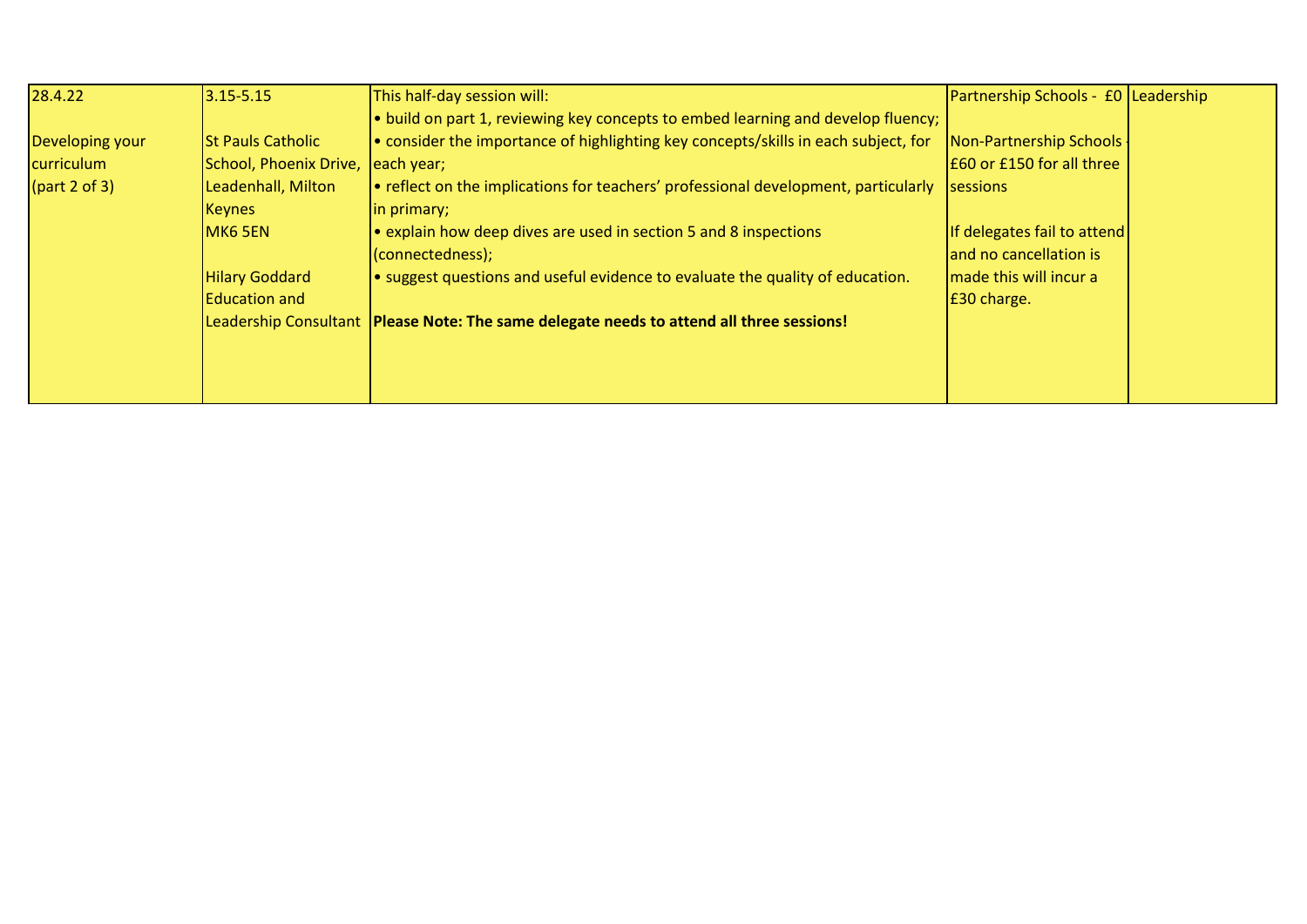| 28.4.22              | $3.15 - 5.15$            | This half-day session will:                                                                | Partnership Schools - £0 Leadership |  |
|----------------------|--------------------------|--------------------------------------------------------------------------------------------|-------------------------------------|--|
|                      |                          | . build on part 1, reviewing key concepts to embed learning and develop fluency;           |                                     |  |
| Developing your      | <b>St Pauls Catholic</b> | • consider the importance of highlighting key concepts/skills in each subject, for         | Non-Partnership Schools             |  |
| curriculum           | School, Phoenix Drive,   | each year;                                                                                 | E60 or £150 for all three           |  |
| $\sqrt{part 2 of 3}$ | Leadenhall, Milton       | e reflect on the implications for teachers' professional development, particularly         | sessions                            |  |
|                      | <b>Keynes</b>            | in primary;                                                                                |                                     |  |
|                      | MK6 5EN                  | • explain how deep dives are used in section 5 and 8 inspections                           | If delegates fail to attend         |  |
|                      |                          | (connectedness);                                                                           | and no cancellation is              |  |
|                      | <b>Hilary Goddard</b>    | $\bullet$ suggest questions and useful evidence to evaluate the quality of education.      | made this will incur a              |  |
|                      | <b>Education and</b>     |                                                                                            | E30 charge.                         |  |
|                      |                          | Leadership Consultant   Please Note: The same delegate needs to attend all three sessions! |                                     |  |
|                      |                          |                                                                                            |                                     |  |
|                      |                          |                                                                                            |                                     |  |
|                      |                          |                                                                                            |                                     |  |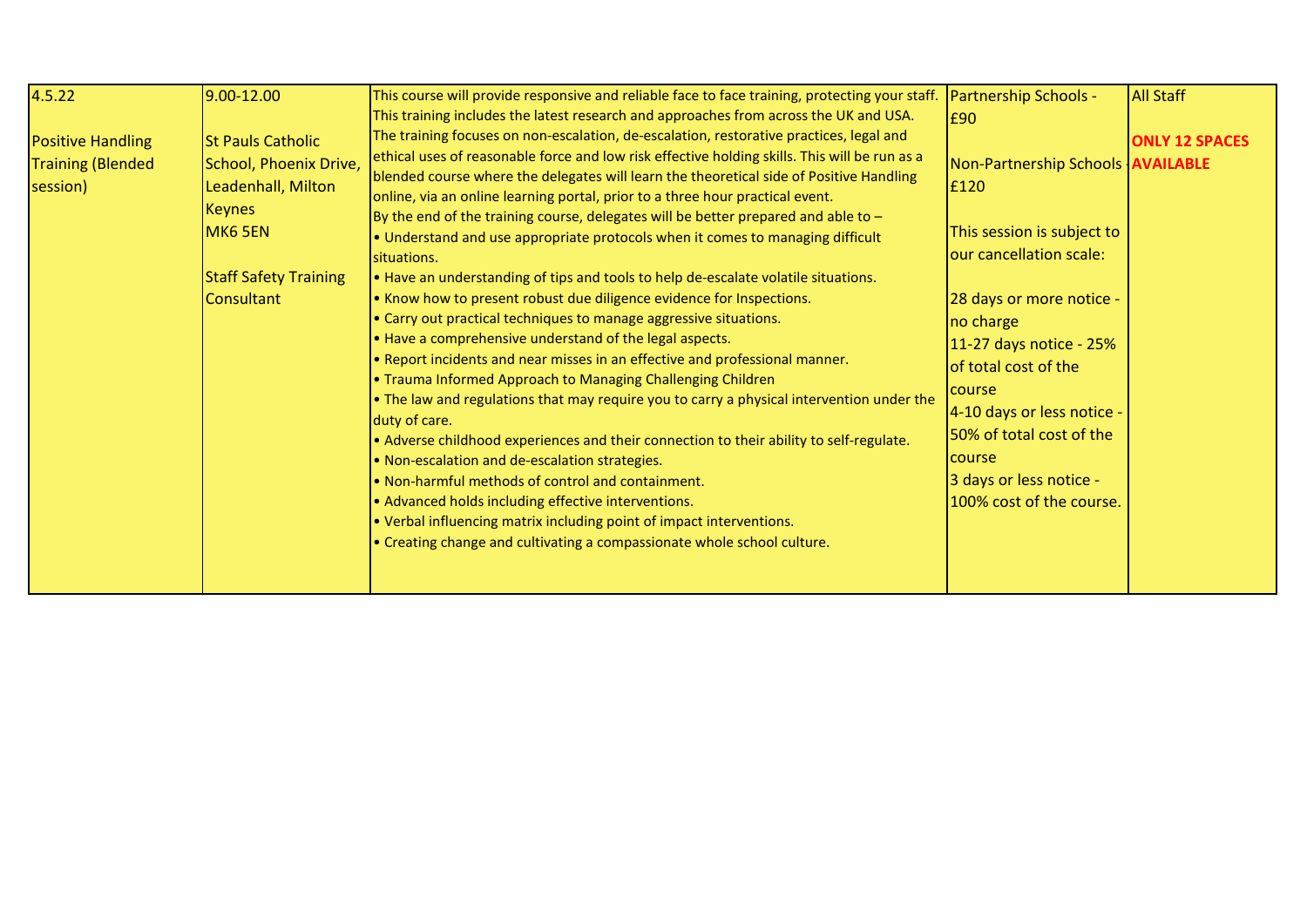| 4.5.22<br><b>Positive Handling</b><br><b>Training (Blended</b><br>session) | 9.00-12.00<br><b>St Pauls Catholic</b><br>School, Phoenix Drive,<br>Leadenhall, Milton<br><b>Keynes</b><br>MK6 5EN<br><b>Staff Safety Training</b><br><b>Consultant</b> | This course will provide responsive and reliable face to face training, protecting your staff.<br>This training includes the latest research and approaches from across the UK and USA.<br>The training focuses on non-escalation, de-escalation, restorative practices, legal and<br>ethical uses of reasonable force and low risk effective holding skills. This will be run as a<br>blended course where the delegates will learn the theoretical side of Positive Handling<br>online, via an online learning portal, prior to a three hour practical event.<br>By the end of the training course, delegates will be better prepared and able to $-$<br>. Understand and use appropriate protocols when it comes to managing difficult<br>situations.<br>. Have an understanding of tips and tools to help de-escalate volatile situations.<br>. Know how to present robust due diligence evidence for Inspections.<br>• Carry out practical techniques to manage aggressive situations.<br>. Have a comprehensive understand of the legal aspects.<br>. Report incidents and near misses in an effective and professional manner.<br>• Trauma Informed Approach to Managing Challenging Children<br>. The law and regulations that may require you to carry a physical intervention under the<br>duty of care.<br>• Adverse childhood experiences and their connection to their ability to self-regulate.<br>. Non-escalation and de-escalation strategies.<br>. Non-harmful methods of control and containment.<br>• Advanced holds including effective interventions.<br>• Verbal influencing matrix including point of impact interventions.<br>• Creating change and cultivating a compassionate whole school culture. | <b>Partnership Schools -</b><br>£90<br>Non-Partnership Schools <b>AVAILABLE</b><br>£120<br>This session is subject to<br>our cancellation scale:<br>28 days or more notice -<br>no charge<br>11-27 days notice - 25%<br>of total cost of the<br>course<br>4-10 days or less notice -<br>50% of total cost of the<br>course<br>3 days or less notice -<br>100% cost of the course. | <b>All Staff</b><br><b>ONLY 12 SPACES</b> |
|----------------------------------------------------------------------------|-------------------------------------------------------------------------------------------------------------------------------------------------------------------------|--------------------------------------------------------------------------------------------------------------------------------------------------------------------------------------------------------------------------------------------------------------------------------------------------------------------------------------------------------------------------------------------------------------------------------------------------------------------------------------------------------------------------------------------------------------------------------------------------------------------------------------------------------------------------------------------------------------------------------------------------------------------------------------------------------------------------------------------------------------------------------------------------------------------------------------------------------------------------------------------------------------------------------------------------------------------------------------------------------------------------------------------------------------------------------------------------------------------------------------------------------------------------------------------------------------------------------------------------------------------------------------------------------------------------------------------------------------------------------------------------------------------------------------------------------------------------------------------------------------------------------------------------------------------------------------------------------------------------------|-----------------------------------------------------------------------------------------------------------------------------------------------------------------------------------------------------------------------------------------------------------------------------------------------------------------------------------------------------------------------------------|-------------------------------------------|
|----------------------------------------------------------------------------|-------------------------------------------------------------------------------------------------------------------------------------------------------------------------|--------------------------------------------------------------------------------------------------------------------------------------------------------------------------------------------------------------------------------------------------------------------------------------------------------------------------------------------------------------------------------------------------------------------------------------------------------------------------------------------------------------------------------------------------------------------------------------------------------------------------------------------------------------------------------------------------------------------------------------------------------------------------------------------------------------------------------------------------------------------------------------------------------------------------------------------------------------------------------------------------------------------------------------------------------------------------------------------------------------------------------------------------------------------------------------------------------------------------------------------------------------------------------------------------------------------------------------------------------------------------------------------------------------------------------------------------------------------------------------------------------------------------------------------------------------------------------------------------------------------------------------------------------------------------------------------------------------------------------|-----------------------------------------------------------------------------------------------------------------------------------------------------------------------------------------------------------------------------------------------------------------------------------------------------------------------------------------------------------------------------------|-------------------------------------------|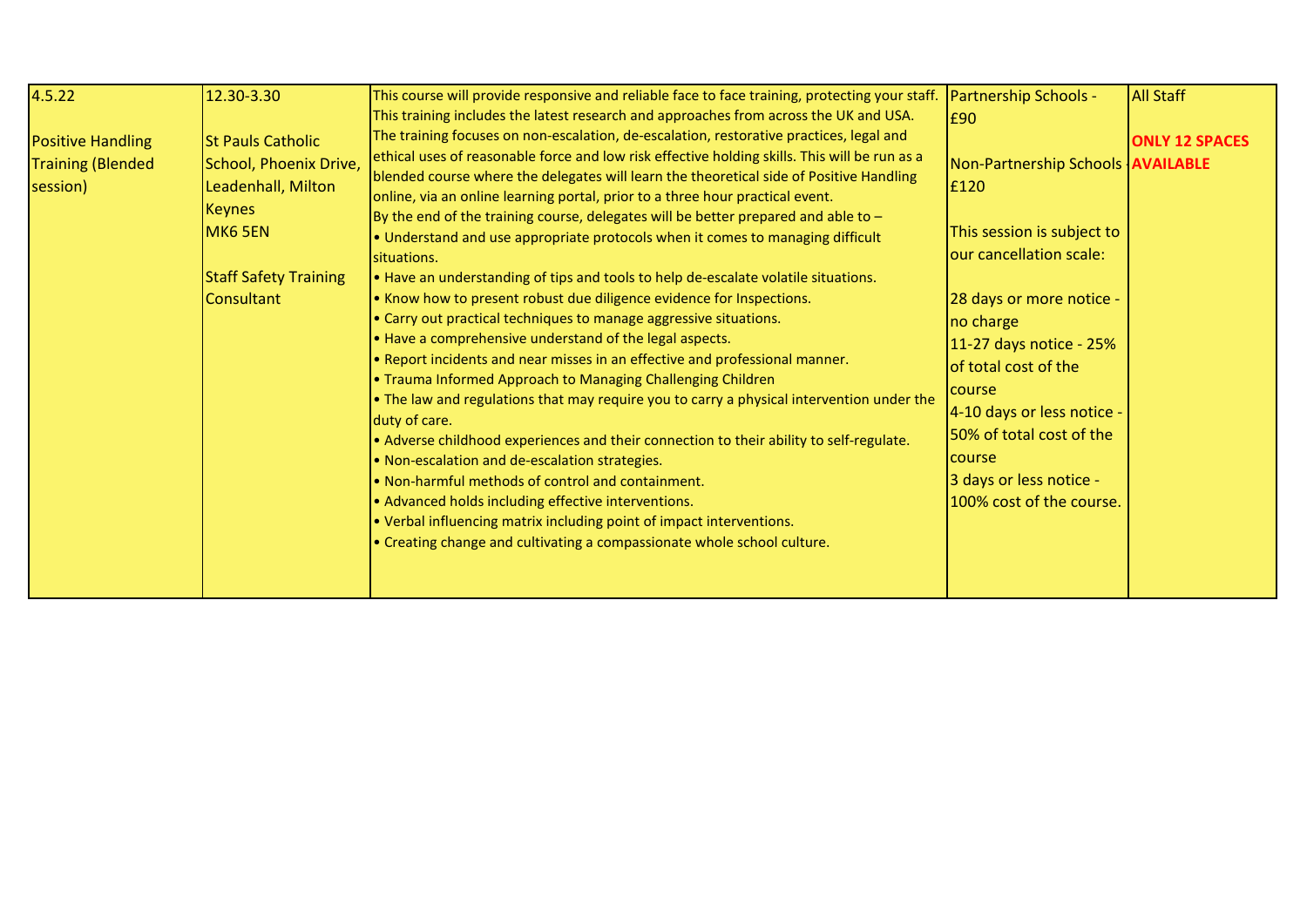| 4.5.22<br><b>Positive Handling</b><br><b>Training (Blended</b><br>session) | 12.30-3.30<br><b>St Pauls Catholic</b><br>School, Phoenix Drive,<br>Leadenhall, Milton<br><b>Keynes</b><br>MK6 5EN<br><b>Staff Safety Training</b><br><b>Consultant</b> | This course will provide responsive and reliable face to face training, protecting your staff.<br>This training includes the latest research and approaches from across the UK and USA.<br>The training focuses on non-escalation, de-escalation, restorative practices, legal and<br>ethical uses of reasonable force and low risk effective holding skills. This will be run as a<br>blended course where the delegates will learn the theoretical side of Positive Handling<br>online, via an online learning portal, prior to a three hour practical event.<br>By the end of the training course, delegates will be better prepared and able to $-$<br>. Understand and use appropriate protocols when it comes to managing difficult<br>situations.<br>. Have an understanding of tips and tools to help de-escalate volatile situations.<br>. Know how to present robust due diligence evidence for Inspections.<br>• Carry out practical techniques to manage aggressive situations.<br>. Have a comprehensive understand of the legal aspects.<br>. Report incidents and near misses in an effective and professional manner.<br>. Trauma Informed Approach to Managing Challenging Children<br>. The law and regulations that may require you to carry a physical intervention under the<br>duty of care.<br>• Adverse childhood experiences and their connection to their ability to self-regulate.<br>. Non-escalation and de-escalation strategies.<br>. Non-harmful methods of control and containment.<br>• Advanced holds including effective interventions.<br>• Verbal influencing matrix including point of impact interventions.<br>• Creating change and cultivating a compassionate whole school culture. | <b>Partnership Schools -</b><br>£90<br>Non-Partnership Schools <b>AVAILABLE</b><br>£120<br>This session is subject to<br>our cancellation scale:<br>28 days or more notice -<br>no charge<br>11-27 days notice - 25%<br>of total cost of the<br><b>Course</b><br>4-10 days or less notice -<br>50% of total cost of the<br><b>Course</b><br>3 days or less notice -<br>100% cost of the course. | <b>All Staff</b><br><b>ONLY 12 SPACES</b> |
|----------------------------------------------------------------------------|-------------------------------------------------------------------------------------------------------------------------------------------------------------------------|--------------------------------------------------------------------------------------------------------------------------------------------------------------------------------------------------------------------------------------------------------------------------------------------------------------------------------------------------------------------------------------------------------------------------------------------------------------------------------------------------------------------------------------------------------------------------------------------------------------------------------------------------------------------------------------------------------------------------------------------------------------------------------------------------------------------------------------------------------------------------------------------------------------------------------------------------------------------------------------------------------------------------------------------------------------------------------------------------------------------------------------------------------------------------------------------------------------------------------------------------------------------------------------------------------------------------------------------------------------------------------------------------------------------------------------------------------------------------------------------------------------------------------------------------------------------------------------------------------------------------------------------------------------------------------------------------------------------------------|-------------------------------------------------------------------------------------------------------------------------------------------------------------------------------------------------------------------------------------------------------------------------------------------------------------------------------------------------------------------------------------------------|-------------------------------------------|
|----------------------------------------------------------------------------|-------------------------------------------------------------------------------------------------------------------------------------------------------------------------|--------------------------------------------------------------------------------------------------------------------------------------------------------------------------------------------------------------------------------------------------------------------------------------------------------------------------------------------------------------------------------------------------------------------------------------------------------------------------------------------------------------------------------------------------------------------------------------------------------------------------------------------------------------------------------------------------------------------------------------------------------------------------------------------------------------------------------------------------------------------------------------------------------------------------------------------------------------------------------------------------------------------------------------------------------------------------------------------------------------------------------------------------------------------------------------------------------------------------------------------------------------------------------------------------------------------------------------------------------------------------------------------------------------------------------------------------------------------------------------------------------------------------------------------------------------------------------------------------------------------------------------------------------------------------------------------------------------------------------|-------------------------------------------------------------------------------------------------------------------------------------------------------------------------------------------------------------------------------------------------------------------------------------------------------------------------------------------------------------------------------------------------|-------------------------------------------|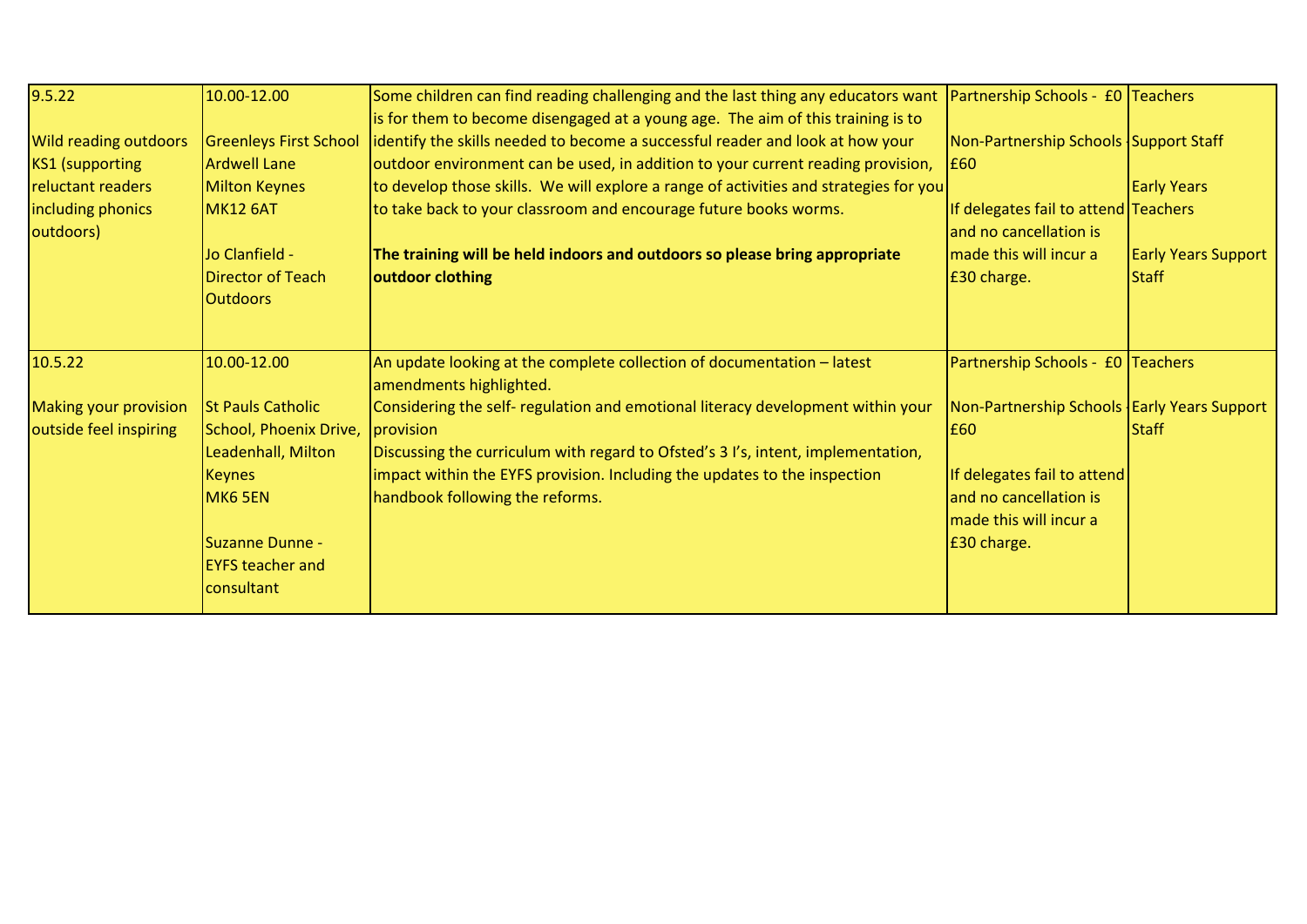| 9.5.22                       | 10.00-12.00                   | Some children can find reading challenging and the last thing any educators want      | Partnership Schools - £0 Teachers             |                            |
|------------------------------|-------------------------------|---------------------------------------------------------------------------------------|-----------------------------------------------|----------------------------|
|                              |                               | is for them to become disengaged at a young age. The aim of this training is to       |                                               |                            |
| <b>Wild reading outdoors</b> | <b>Greenleys First School</b> | identify the skills needed to become a successful reader and look at how your         | Non-Partnership Schools Support Staff         |                            |
| <b>KS1</b> (supporting       | <b>Ardwell Lane</b>           | outdoor environment can be used, in addition to your current reading provision,       | <b>E60</b>                                    |                            |
| reluctant readers            | <b>Milton Keynes</b>          | to develop those skills. We will explore a range of activities and strategies for you |                                               | <b>Early Years</b>         |
| including phonics            | MK12 6AT                      | to take back to your classroom and encourage future books worms.                      | If delegates fail to attend Teachers          |                            |
| outdoors)                    |                               |                                                                                       | and no cancellation is                        |                            |
|                              | Jo Clanfield -                | The training will be held indoors and outdoors so please bring appropriate            | made this will incur a                        | <b>Early Years Support</b> |
|                              | <b>Director of Teach</b>      | outdoor clothing                                                                      | £30 charge.                                   | <b>Staff</b>               |
|                              | <b>Outdoors</b>               |                                                                                       |                                               |                            |
|                              |                               |                                                                                       |                                               |                            |
| 10.5.22                      | 10.00-12.00                   | An update looking at the complete collection of documentation - latest                | Partnership Schools - £0 Teachers             |                            |
|                              |                               | amendments highlighted.                                                               |                                               |                            |
| <b>Making your provision</b> | <b>St Pauls Catholic</b>      | Considering the self- regulation and emotional literacy development within your       | Non-Partnership Schools   Early Years Support |                            |
| outside feel inspiring       | School, Phoenix Drive,        | provision                                                                             | E60                                           | <b>Staff</b>               |
|                              | Leadenhall, Milton            | Discussing the curriculum with regard to Ofsted's 3 I's, intent, implementation,      |                                               |                            |
|                              | <b>Keynes</b>                 | impact within the EYFS provision. Including the updates to the inspection             | If delegates fail to attend                   |                            |
|                              | MK6 5EN                       | handbook following the reforms.                                                       | and no cancellation is                        |                            |
|                              |                               |                                                                                       | made this will incur a                        |                            |
|                              | Suzanne Dunne -               |                                                                                       | £30 charge.                                   |                            |
|                              | <b>EYFS teacher and</b>       |                                                                                       |                                               |                            |
|                              | consultant                    |                                                                                       |                                               |                            |
|                              |                               |                                                                                       |                                               |                            |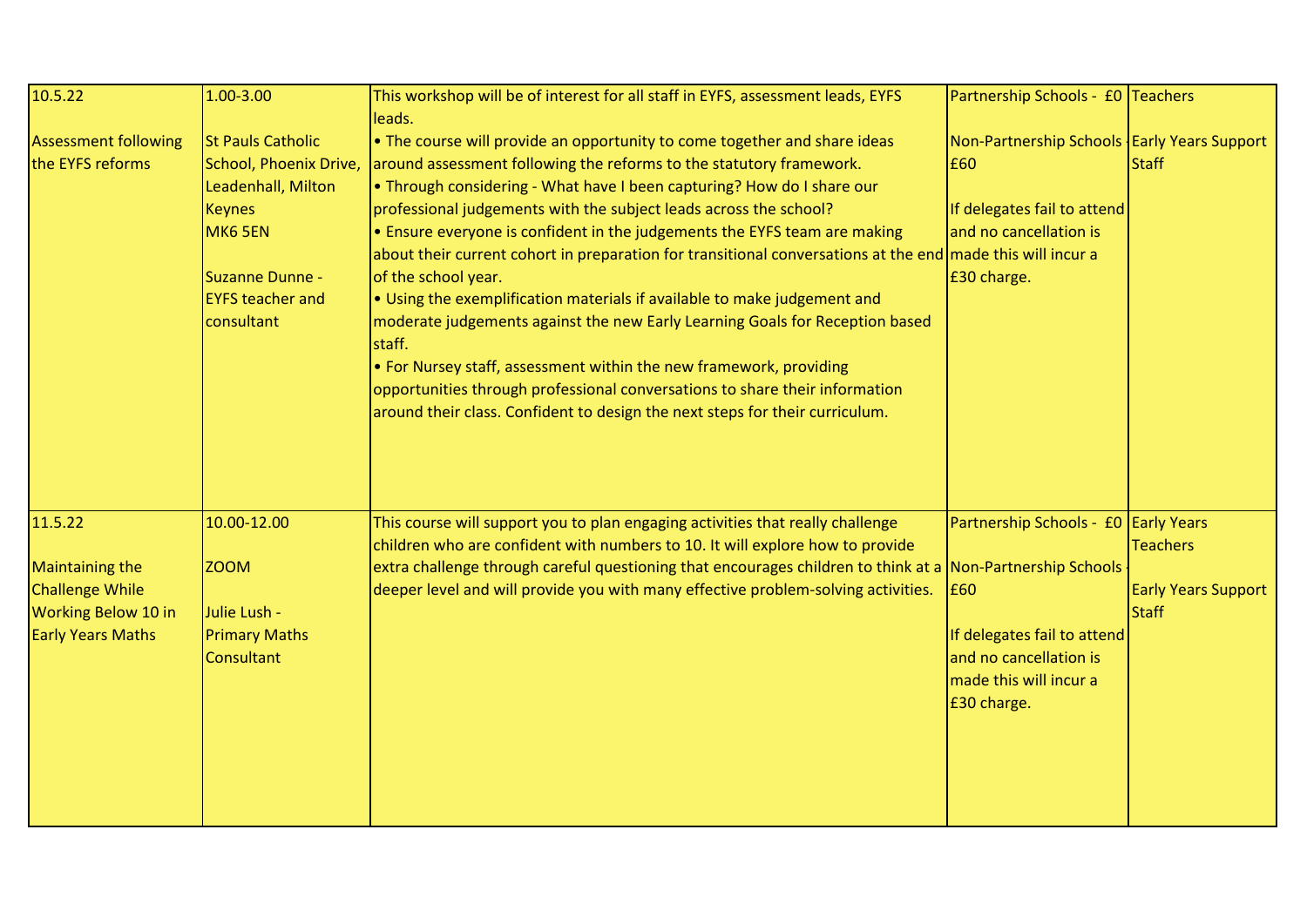| 10.5.22                                                                                                        | 1.00-3.00                                                                                                                              | This workshop will be of interest for all staff in EYFS, assessment leads, EYFS                                                                                                                                                                                                                                                                                                                                                                                                                                                                                                                                                                                                                                                                                                                                                                                                                                                                                     | Partnership Schools - £0 Teachers                                                                                                             |                                                               |
|----------------------------------------------------------------------------------------------------------------|----------------------------------------------------------------------------------------------------------------------------------------|---------------------------------------------------------------------------------------------------------------------------------------------------------------------------------------------------------------------------------------------------------------------------------------------------------------------------------------------------------------------------------------------------------------------------------------------------------------------------------------------------------------------------------------------------------------------------------------------------------------------------------------------------------------------------------------------------------------------------------------------------------------------------------------------------------------------------------------------------------------------------------------------------------------------------------------------------------------------|-----------------------------------------------------------------------------------------------------------------------------------------------|---------------------------------------------------------------|
| <b>Assessment following</b><br>the EYFS reforms                                                                | <b>St Pauls Catholic</b><br>Leadenhall, Milton<br><b>Keynes</b><br>MK6 5EN<br>Suzanne Dunne -<br><b>EYFS teacher and</b><br>consultant | leads.<br>$\cdot$ The course will provide an opportunity to come together and share ideas<br>School, Phoenix Drive, around assessment following the reforms to the statutory framework.<br>. Through considering - What have I been capturing? How do I share our<br>professional judgements with the subject leads across the school?<br>• Ensure everyone is confident in the judgements the EYFS team are making<br>about their current cohort in preparation for transitional conversations at the end made this will incur a<br>of the school year.<br>. Using the exemplification materials if available to make judgement and<br>moderate judgements against the new Early Learning Goals for Reception based<br>staff.<br>• For Nursey staff, assessment within the new framework, providing<br>opportunities through professional conversations to share their information<br>around their class. Confident to design the next steps for their curriculum. | Non-Partnership Schools   Early Years Support<br>£60<br>If delegates fail to attend<br>and no cancellation is<br>£30 charge.                  | <b>Staff</b>                                                  |
| 11.5.22<br><b>Maintaining the</b><br><b>Challenge While</b><br>Working Below 10 in<br><b>Early Years Maths</b> | 10.00-12.00<br><b>ZOOM</b><br>Julie Lush -<br><b>Primary Maths</b><br>Consultant                                                       | This course will support you to plan engaging activities that really challenge<br>children who are confident with numbers to 10. It will explore how to provide<br>extra challenge through careful questioning that encourages children to think at a Non-Partnership Schools<br>deeper level and will provide you with many effective problem-solving activities.                                                                                                                                                                                                                                                                                                                                                                                                                                                                                                                                                                                                  | Partnership Schools - £0 Early Years<br>£60<br>If delegates fail to attend<br>and no cancellation is<br>made this will incur a<br>£30 charge. | <b>Teachers</b><br><b>Early Years Support</b><br><b>Staff</b> |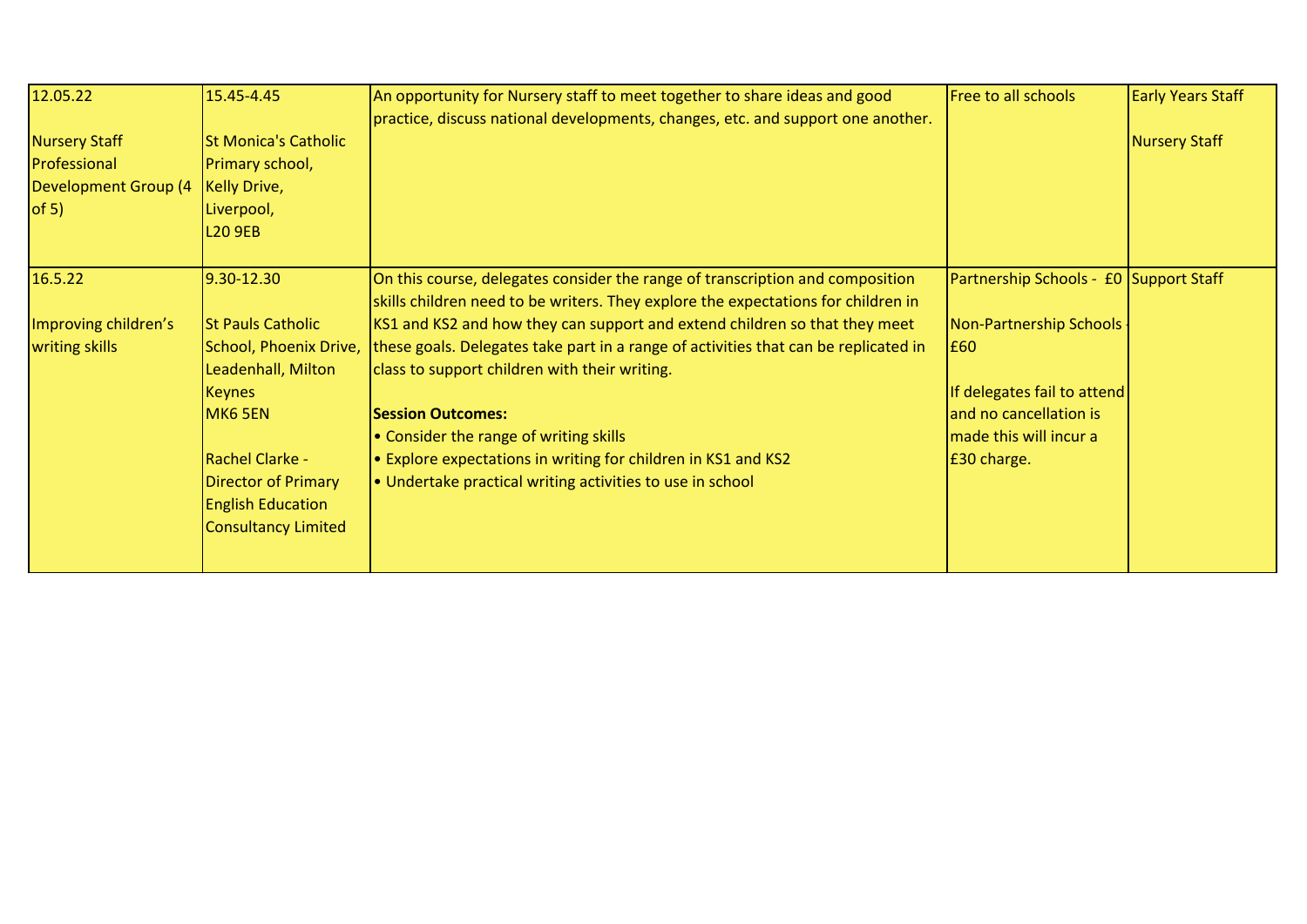| 12.05.22<br><b>Nursery Staff</b><br>Professional<br><b>Development Group (4</b><br>of 5) | 15.45-4.45<br><b>St Monica's Catholic</b><br>Primary school,<br><b>Kelly Drive,</b><br>Liverpool,<br><b>L20 9EB</b>                                                                                                                  | An opportunity for Nursery staff to meet together to share ideas and good<br>practice, discuss national developments, changes, etc. and support one another.                                                                                                                                                                                                                                                                                                                                                                                                                                 | <b>Free to all schools</b>                                                                                                                                                 | <b>Early Years Staff</b><br>Nursery Staff |
|------------------------------------------------------------------------------------------|--------------------------------------------------------------------------------------------------------------------------------------------------------------------------------------------------------------------------------------|----------------------------------------------------------------------------------------------------------------------------------------------------------------------------------------------------------------------------------------------------------------------------------------------------------------------------------------------------------------------------------------------------------------------------------------------------------------------------------------------------------------------------------------------------------------------------------------------|----------------------------------------------------------------------------------------------------------------------------------------------------------------------------|-------------------------------------------|
| 16.5.22<br>Improving children's<br>writing skills                                        | 9.30-12.30<br><b>St Pauls Catholic</b><br>School, Phoenix Drive,<br>Leadenhall, Milton<br><b>Keynes</b><br>MK6 5EN<br><b>Rachel Clarke -</b><br><b>Director of Primary</b><br><b>English Education</b><br><b>Consultancy Limited</b> | On this course, delegates consider the range of transcription and composition<br>skills children need to be writers. They explore the expectations for children in<br>KS1 and KS2 and how they can support and extend children so that they meet<br>these goals. Delegates take part in a range of activities that can be replicated in<br>class to support children with their writing.<br><b>Session Outcomes:</b><br>• Consider the range of writing skills<br>• Explore expectations in writing for children in KS1 and KS2<br>. Undertake practical writing activities to use in school | Partnership Schools - £0 Support Staff<br>Non-Partnership Schools<br>E60<br>If delegates fail to attend<br>and no cancellation is<br>made this will incur a<br>£30 charge. |                                           |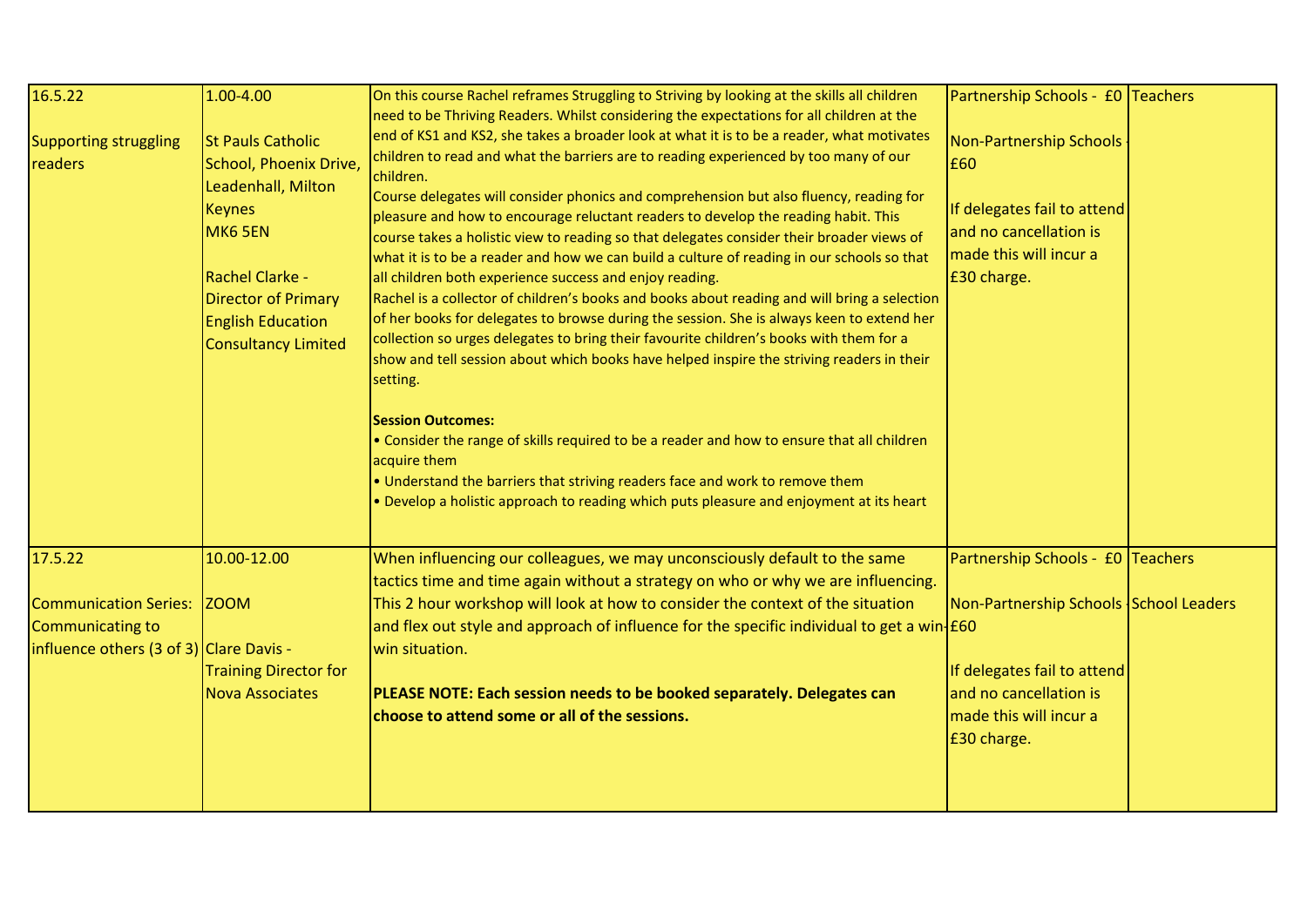| 16.5.22                                                                                                       | $1.00 - 4.00$                                                                                                                                                                                            | On this course Rachel reframes Struggling to Striving by looking at the skills all children                                                                                                                                                                                                                                                                                                                                                                                                                                                                                                                                                                                                                                                                                                                                                                                                                                                                                                                                                                                                                                                                                                                                                                                                                                                                 | Partnership Schools - £0 Teachers                                                                                                                                             |  |
|---------------------------------------------------------------------------------------------------------------|----------------------------------------------------------------------------------------------------------------------------------------------------------------------------------------------------------|-------------------------------------------------------------------------------------------------------------------------------------------------------------------------------------------------------------------------------------------------------------------------------------------------------------------------------------------------------------------------------------------------------------------------------------------------------------------------------------------------------------------------------------------------------------------------------------------------------------------------------------------------------------------------------------------------------------------------------------------------------------------------------------------------------------------------------------------------------------------------------------------------------------------------------------------------------------------------------------------------------------------------------------------------------------------------------------------------------------------------------------------------------------------------------------------------------------------------------------------------------------------------------------------------------------------------------------------------------------|-------------------------------------------------------------------------------------------------------------------------------------------------------------------------------|--|
| <b>Supporting struggling</b><br>readers                                                                       | <b>St Pauls Catholic</b><br>School, Phoenix Drive,<br>Leadenhall, Milton<br><b>Keynes</b><br>MK6 5EN<br>Rachel Clarke -<br>Director of Primary<br><b>English Education</b><br><b>Consultancy Limited</b> | need to be Thriving Readers. Whilst considering the expectations for all children at the<br>end of KS1 and KS2, she takes a broader look at what it is to be a reader, what motivates<br>children to read and what the barriers are to reading experienced by too many of our<br>children.<br>Course delegates will consider phonics and comprehension but also fluency, reading for<br>pleasure and how to encourage reluctant readers to develop the reading habit. This<br>course takes a holistic view to reading so that delegates consider their broader views of<br>what it is to be a reader and how we can build a culture of reading in our schools so that<br>all children both experience success and enjoy reading.<br>Rachel is a collector of children's books and books about reading and will bring a selection<br>of her books for delegates to browse during the session. She is always keen to extend her<br>collection so urges delegates to bring their favourite children's books with them for a<br>show and tell session about which books have helped inspire the striving readers in their<br>setting.<br><b>Session Outcomes:</b><br>• Consider the range of skills required to be a reader and how to ensure that all children<br>acquire them<br>. Understand the barriers that striving readers face and work to remove them | Non-Partnership Schools<br>£60<br>If delegates fail to attend<br>and no cancellation is<br>made this will incur a<br>£30 charge.                                              |  |
| 17.5.22<br><b>Communication Series:</b><br><b>Communicating to</b><br>influence others (3 of 3) Clare Davis - | 10.00-12.00<br><b>ZOOM</b><br><b>Training Director for</b><br><b>Nova Associates</b>                                                                                                                     | . Develop a holistic approach to reading which puts pleasure and enjoyment at its heart<br>When influencing our colleagues, we may unconsciously default to the same<br>tactics time and time again without a strategy on who or why we are influencing.<br>This 2 hour workshop will look at how to consider the context of the situation<br>and flex out style and approach of influence for the specific individual to get a win- $f60$<br>win situation.<br>PLEASE NOTE: Each session needs to be booked separately. Delegates can<br>choose to attend some or all of the sessions.                                                                                                                                                                                                                                                                                                                                                                                                                                                                                                                                                                                                                                                                                                                                                                     | Partnership Schools - £0 Teachers<br>Non-Partnership Schools School Leaders<br>If delegates fail to attend<br>and no cancellation is<br>made this will incur a<br>£30 charge. |  |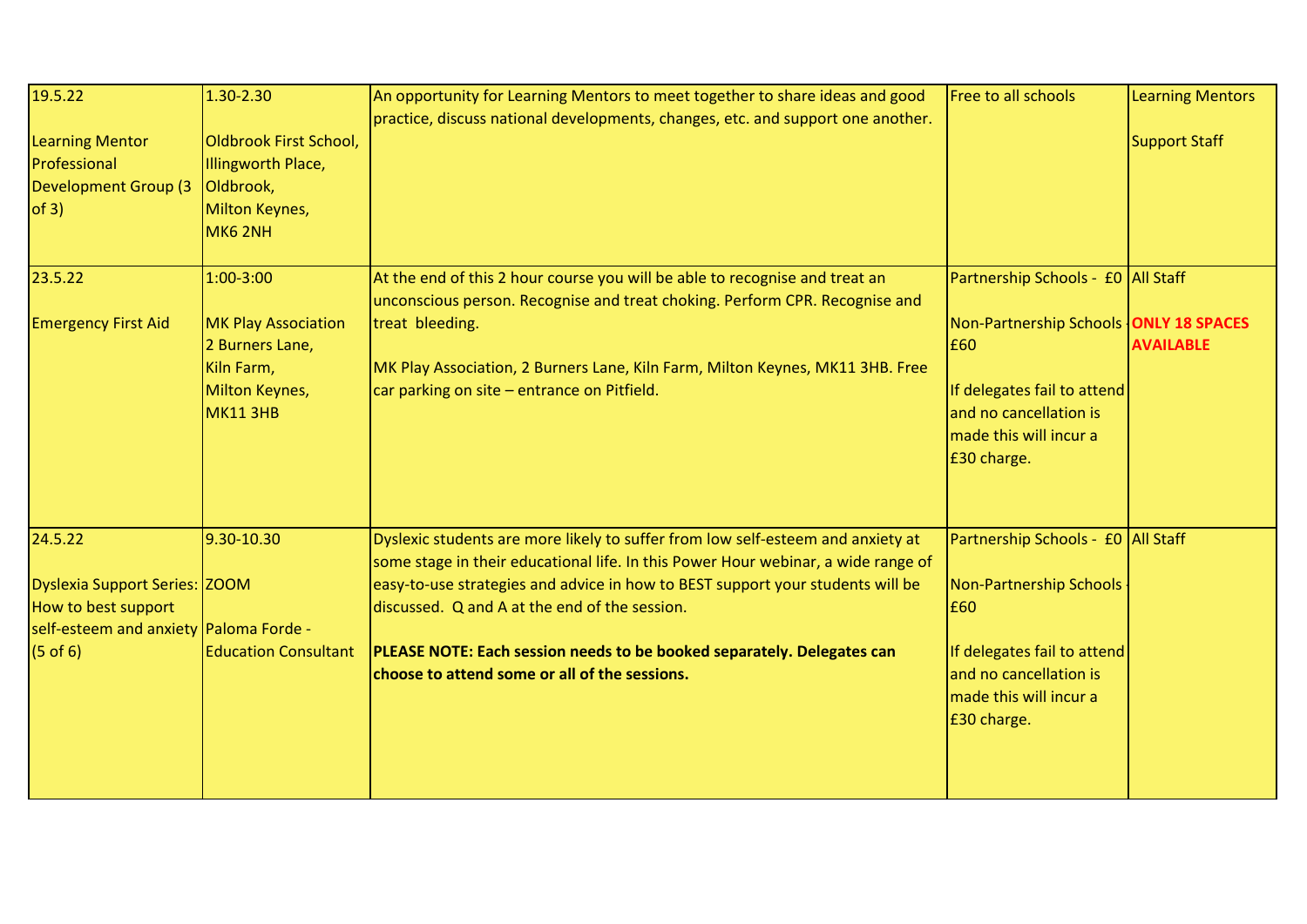| 19.5.22                                                                                        | 1.30-2.30                                                                                 | An opportunity for Learning Mentors to meet together to share ideas and good<br>practice, discuss national developments, changes, etc. and support one another.      | Free to all schools                                                                                                                             | <b>Learning Mentors</b> |
|------------------------------------------------------------------------------------------------|-------------------------------------------------------------------------------------------|----------------------------------------------------------------------------------------------------------------------------------------------------------------------|-------------------------------------------------------------------------------------------------------------------------------------------------|-------------------------|
| <b>Learning Mentor</b><br>Professional<br><b>Development Group (3</b><br>of 3)                 | Oldbrook First School,<br>Illingworth Place,<br>Oldbrook,<br>Milton Keynes,<br>MK6 2NH    |                                                                                                                                                                      |                                                                                                                                                 | <b>Support Staff</b>    |
| 23.5.22                                                                                        | 1:00-3:00                                                                                 | At the end of this 2 hour course you will be able to recognise and treat an<br>unconscious person. Recognise and treat choking. Perform CPR. Recognise and           | Partnership Schools - £0 All Staff                                                                                                              |                         |
| <b>Emergency First Aid</b>                                                                     | <b>MK Play Association</b><br>2 Burners Lane,<br>Kiln Farm,<br>Milton Keynes,<br>MK11 3HB | treat bleeding.<br>MK Play Association, 2 Burners Lane, Kiln Farm, Milton Keynes, MK11 3HB. Free<br>car parking on site - entrance on Pitfield.                      | Non-Partnership Schools ONLY 18 SPACES<br>E60<br>If delegates fail to attend<br>and no cancellation is<br>made this will incur a<br>£30 charge. | <b>AVAILABLE</b>        |
| 24.5.22                                                                                        | 9.30-10.30                                                                                | Dyslexic students are more likely to suffer from low self-esteem and anxiety at<br>some stage in their educational life. In this Power Hour webinar, a wide range of | Partnership Schools - £0 All Staff                                                                                                              |                         |
| Dyslexia Support Series: ZOOM<br>How to best support<br>self-esteem and anxiety Paloma Forde - |                                                                                           | easy-to-use strategies and advice in how to BEST support your students will be<br>discussed. Q and A at the end of the session.                                      | Non-Partnership Schools -<br>E60                                                                                                                |                         |
| $(5$ of 6)                                                                                     | <b>Education Consultant</b>                                                               | PLEASE NOTE: Each session needs to be booked separately. Delegates can<br>choose to attend some or all of the sessions.                                              | If delegates fail to attend<br>and no cancellation is<br>made this will incur a<br>£30 charge.                                                  |                         |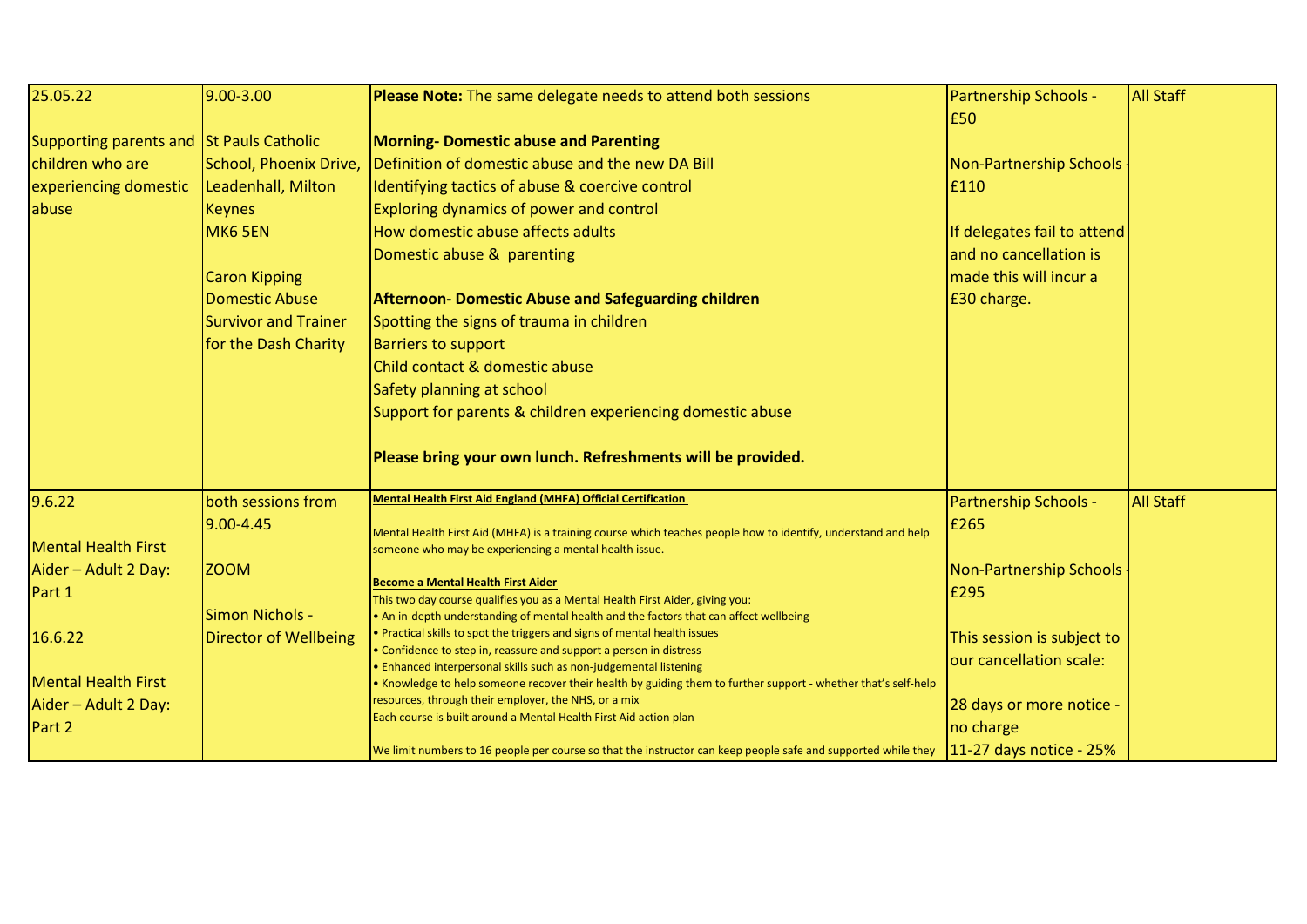| 25.05.22                                                                                                                                          | $9.00 - 3.00$                                                                                         | Please Note: The same delegate needs to attend both sessions                                                                                                                                                                                                                                                                                                                                                                                                                                                                                                                                                                                                                                                                                                                                                                                                                                                                                                                                                                                                | <b>Partnership Schools -</b><br>£50                                                                                                                                                           | <b>All Staff</b> |
|---------------------------------------------------------------------------------------------------------------------------------------------------|-------------------------------------------------------------------------------------------------------|-------------------------------------------------------------------------------------------------------------------------------------------------------------------------------------------------------------------------------------------------------------------------------------------------------------------------------------------------------------------------------------------------------------------------------------------------------------------------------------------------------------------------------------------------------------------------------------------------------------------------------------------------------------------------------------------------------------------------------------------------------------------------------------------------------------------------------------------------------------------------------------------------------------------------------------------------------------------------------------------------------------------------------------------------------------|-----------------------------------------------------------------------------------------------------------------------------------------------------------------------------------------------|------------------|
| Supporting parents and St Pauls Catholic<br>children who are<br>experiencing domestic<br>abuse                                                    | School, Phoenix Drive,<br>Leadenhall, Milton<br><b>Keynes</b><br>MK6 5EN                              | <b>Morning- Domestic abuse and Parenting</b><br>Definition of domestic abuse and the new DA Bill<br>Identifying tactics of abuse & coercive control<br>Exploring dynamics of power and control<br>How domestic abuse affects adults                                                                                                                                                                                                                                                                                                                                                                                                                                                                                                                                                                                                                                                                                                                                                                                                                         | Non-Partnership Schools<br>£110<br>If delegates fail to attend                                                                                                                                |                  |
|                                                                                                                                                   | <b>Caron Kipping</b><br><b>Domestic Abuse</b><br><b>Survivor and Trainer</b><br>for the Dash Charity  | Domestic abuse & parenting<br><b>Afternoon- Domestic Abuse and Safeguarding children</b><br>Spotting the signs of trauma in children<br><b>Barriers to support</b><br>Child contact & domestic abuse<br>Safety planning at school<br>Support for parents & children experiencing domestic abuse<br>Please bring your own lunch. Refreshments will be provided.                                                                                                                                                                                                                                                                                                                                                                                                                                                                                                                                                                                                                                                                                              | and no cancellation is<br>made this will incur a<br>£30 charge.                                                                                                                               |                  |
| 9.6.22<br><b>Mental Health First</b><br>Aider - Adult 2 Day:<br>Part 1<br>16.6.22<br><b>Mental Health First</b><br>Aider - Adult 2 Day:<br>Part 2 | both sessions from<br>$9.00 - 4.45$<br><b>ZOOM</b><br>Simon Nichols -<br><b>Director of Wellbeing</b> | <b>Mental Health First Aid England (MHFA) Official Certification</b><br>Mental Health First Aid (MHFA) is a training course which teaches people how to identify, understand and help<br>someone who may be experiencing a mental health issue.<br><b>Become a Mental Health First Aider</b><br>This two day course qualifies you as a Mental Health First Aider, giving you:<br>• An in-depth understanding of mental health and the factors that can affect wellbeing<br>Practical skills to spot the triggers and signs of mental health issues<br>• Confidence to step in, reassure and support a person in distress<br>Enhanced interpersonal skills such as non-judgemental listening<br>Knowledge to help someone recover their health by guiding them to further support - whether that's self-help ><br>resources, through their employer, the NHS, or a mix<br>Each course is built around a Mental Health First Aid action plan<br>We limit numbers to 16 people per course so that the instructor can keep people safe and supported while they | Partnership Schools -<br>£265<br>Non-Partnership Schools<br>£295<br>This session is subject to<br>our cancellation scale:<br>28 days or more notice -<br>no charge<br>11-27 days notice - 25% | <b>All Staff</b> |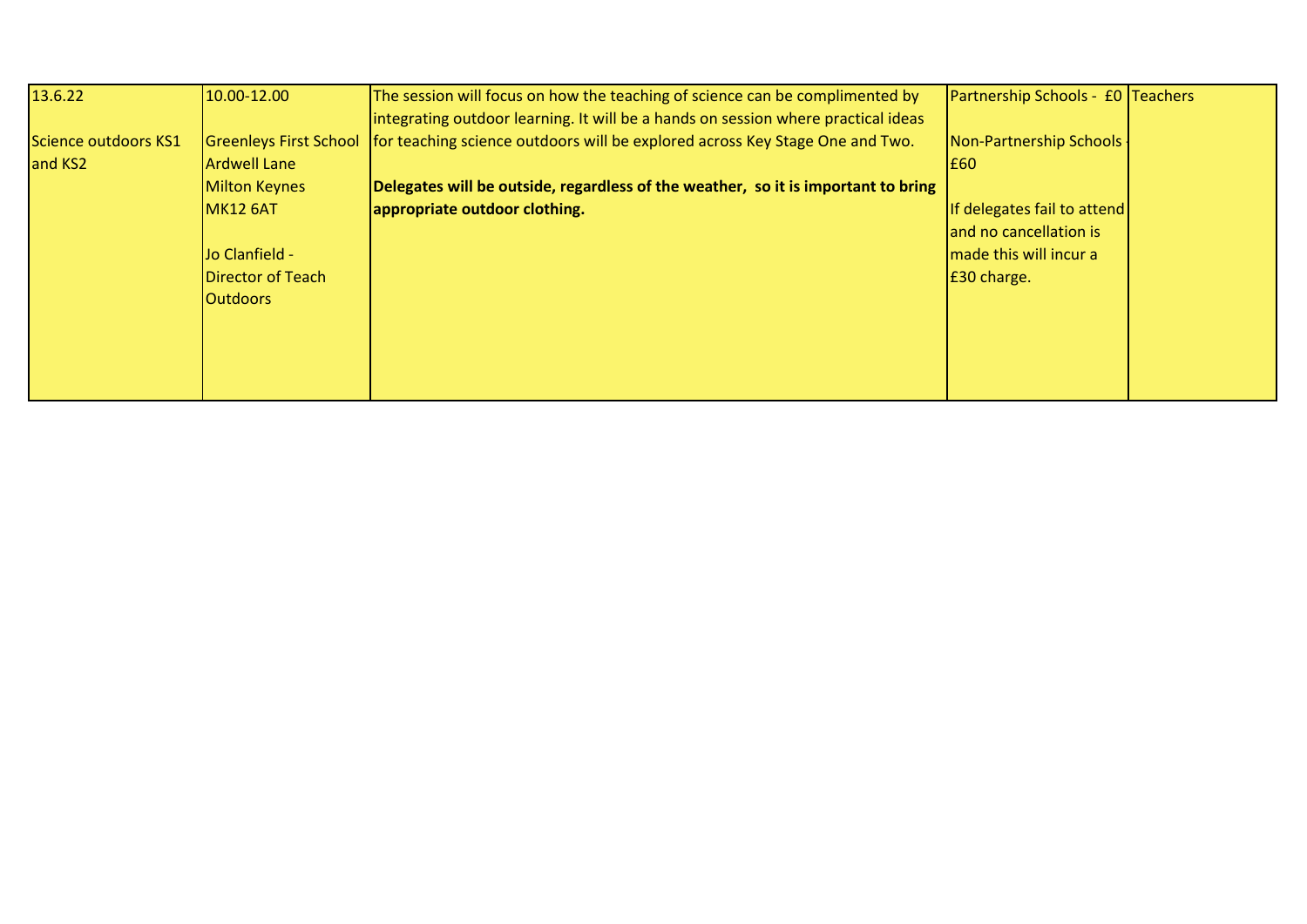| 13.6.22              | 10.00-12.00                   | The session will focus on how the teaching of science can be complimented by      | Partnership Schools - £0 Teachers |  |
|----------------------|-------------------------------|-----------------------------------------------------------------------------------|-----------------------------------|--|
|                      |                               | integrating outdoor learning. It will be a hands on session where practical ideas |                                   |  |
| Science outdoors KS1 | <b>Greenleys First School</b> | for teaching science outdoors will be explored across Key Stage One and Two.      | Non-Partnership Schools           |  |
| and KS2              | Ardwell Lane                  |                                                                                   | E60                               |  |
|                      | <b>Milton Keynes</b>          | Delegates will be outside, regardless of the weather, so it is important to bring |                                   |  |
|                      | <b>MK12 6AT</b>               | appropriate outdoor clothing.                                                     | If delegates fail to attend       |  |
|                      |                               |                                                                                   | and no cancellation is            |  |
|                      | Jo Clanfield -                |                                                                                   | made this will incur a            |  |
|                      | Director of Teach             |                                                                                   | E30 charge.                       |  |
|                      | <b>Outdoors</b>               |                                                                                   |                                   |  |
|                      |                               |                                                                                   |                                   |  |
|                      |                               |                                                                                   |                                   |  |
|                      |                               |                                                                                   |                                   |  |
|                      |                               |                                                                                   |                                   |  |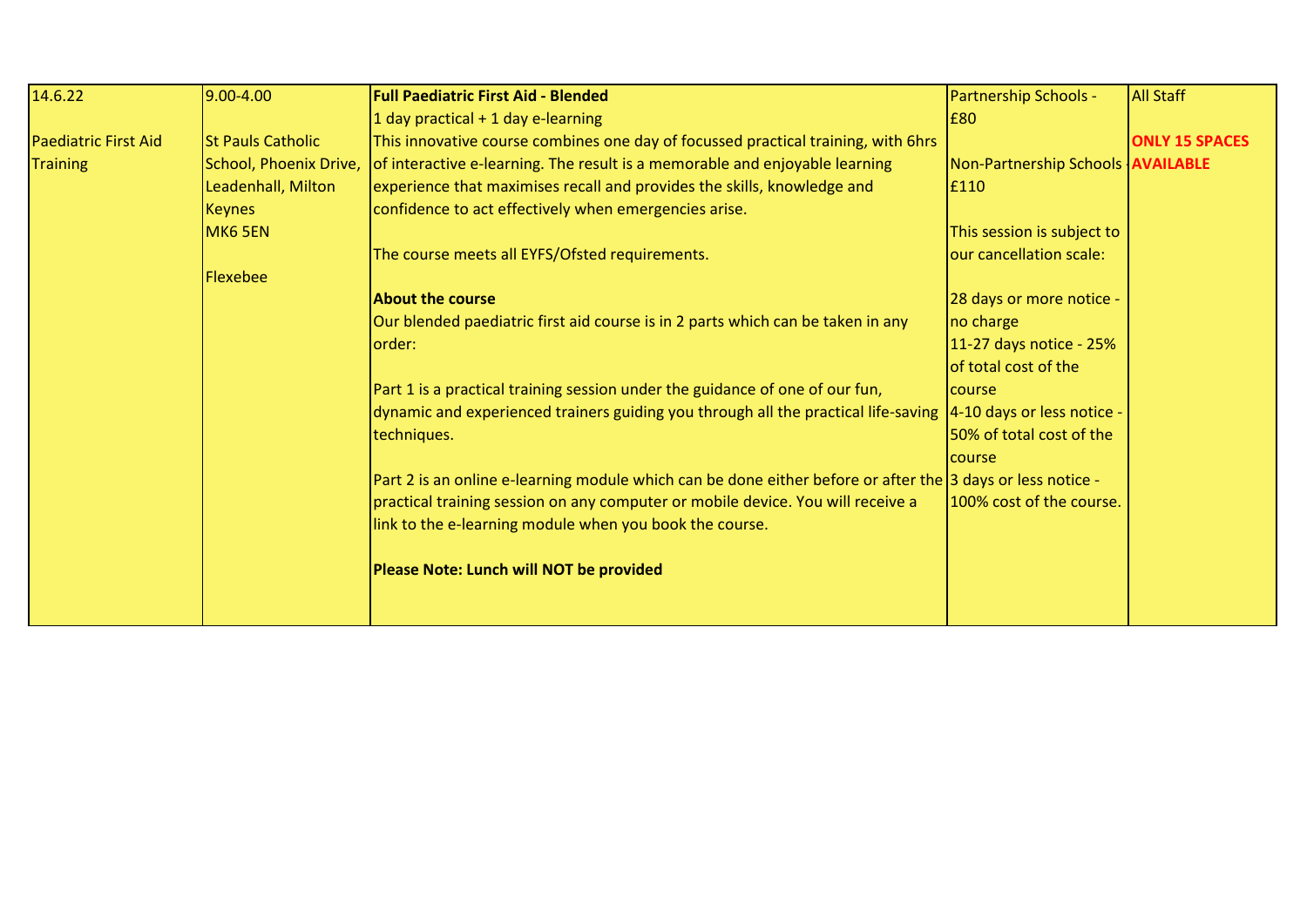| 14.6.22                     | 9.00-4.00                | <b>Full Paediatric First Aid - Blended</b>                                                                     | <b>Partnership Schools -</b>             | <b>All Staff</b>      |
|-----------------------------|--------------------------|----------------------------------------------------------------------------------------------------------------|------------------------------------------|-----------------------|
|                             |                          | 1 day practical $+$ 1 day e-learning                                                                           | £80                                      |                       |
| <b>Paediatric First Aid</b> | <b>St Pauls Catholic</b> | This innovative course combines one day of focussed practical training, with 6hrs                              |                                          | <b>ONLY 15 SPACES</b> |
| <b>Training</b>             | School, Phoenix Drive,   | of interactive e-learning. The result is a memorable and enjoyable learning                                    | Non-Partnership Schools <b>AVAILABLE</b> |                       |
|                             | Leadenhall, Milton       | experience that maximises recall and provides the skills, knowledge and                                        | £110                                     |                       |
|                             | <b>Keynes</b>            | confidence to act effectively when emergencies arise.                                                          |                                          |                       |
|                             | MK6 5EN                  |                                                                                                                | This session is subject to               |                       |
|                             |                          | The course meets all EYFS/Ofsted requirements.                                                                 | our cancellation scale:                  |                       |
|                             | <b>Flexebee</b>          |                                                                                                                |                                          |                       |
|                             |                          | <b>About the course</b>                                                                                        | 28 days or more notice -                 |                       |
|                             |                          | Our blended paediatric first aid course is in 2 parts which can be taken in any                                | no charge                                |                       |
|                             |                          | lorder:                                                                                                        | 11-27 days notice - 25%                  |                       |
|                             |                          |                                                                                                                | of total cost of the                     |                       |
|                             |                          | Part 1 is a practical training session under the guidance of one of our fun,                                   | course                                   |                       |
|                             |                          | dynamic and experienced trainers guiding you through all the practical life-saving  4-10 days or less notice - |                                          |                       |
|                             |                          | techniques.                                                                                                    | 50% of total cost of the                 |                       |
|                             |                          |                                                                                                                | <b>course</b>                            |                       |
|                             |                          | Part 2 is an online e-learning module which can be done either before or after the 3 days or less notice -     |                                          |                       |
|                             |                          | practical training session on any computer or mobile device. You will receive a                                | 100% cost of the course.                 |                       |
|                             |                          | link to the e-learning module when you book the course.                                                        |                                          |                       |
|                             |                          |                                                                                                                |                                          |                       |
|                             |                          | Please Note: Lunch will NOT be provided                                                                        |                                          |                       |
|                             |                          |                                                                                                                |                                          |                       |
|                             |                          |                                                                                                                |                                          |                       |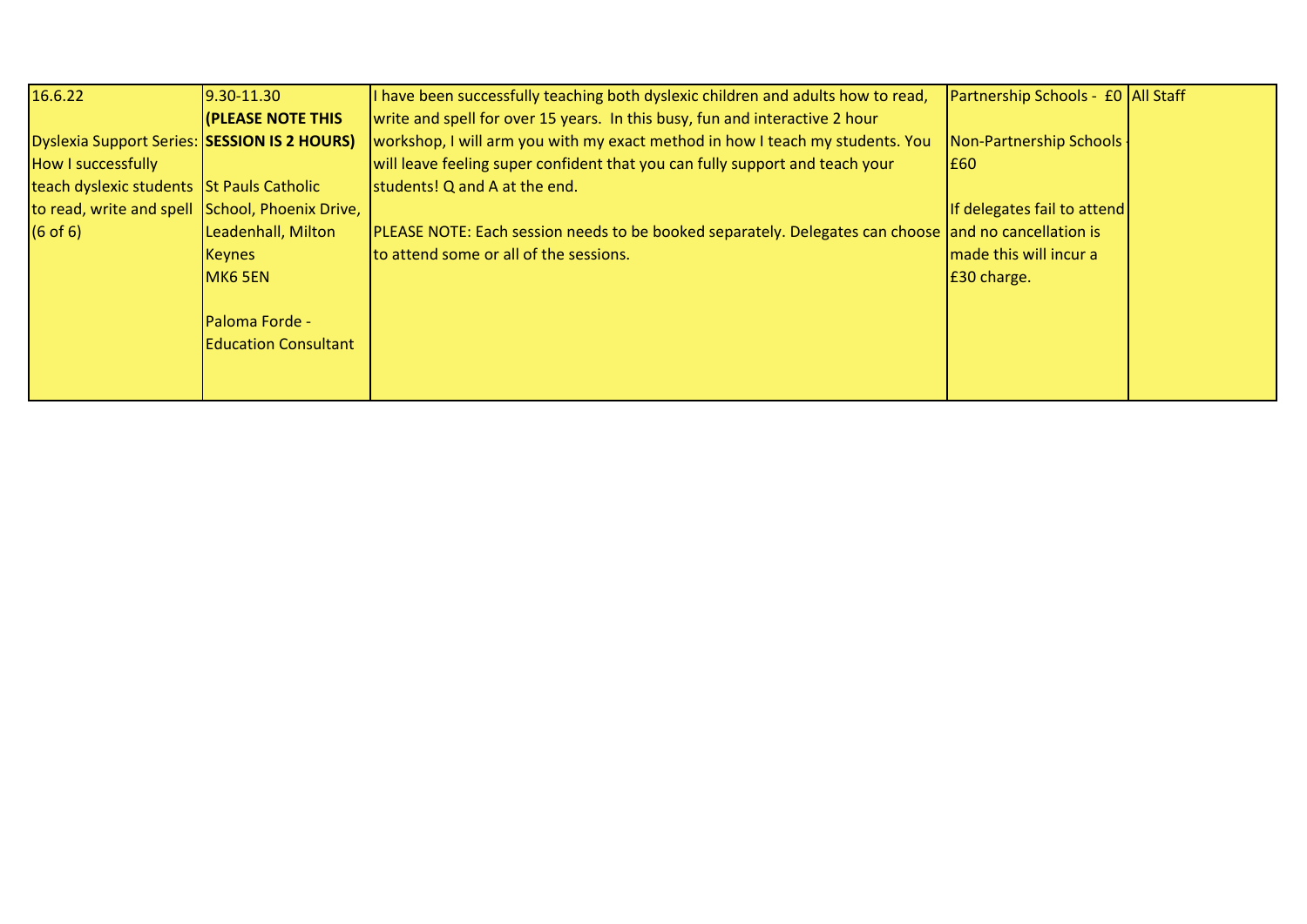| 16.6.22                                         | $9.30 - 11.30$              | I have been successfully teaching both dyslexic children and adults how to read,                            | Partnership Schools - £0 All Staff |  |
|-------------------------------------------------|-----------------------------|-------------------------------------------------------------------------------------------------------------|------------------------------------|--|
|                                                 | <b>(PLEASE NOTE THIS</b>    | write and spell for over 15 years. In this busy, fun and interactive 2 hour                                 |                                    |  |
| Dyslexia Support Series: SESSION IS 2 HOURS)    |                             | workshop, I will arm you with my exact method in how I teach my students. You                               | Non-Partnership Schools -          |  |
| How I successfully                              |                             | will leave feeling super confident that you can fully support and teach your                                | E60                                |  |
| teach dyslexic students St Pauls Catholic       |                             | students! Q and A at the end.                                                                               |                                    |  |
| to read, write and spell School, Phoenix Drive, |                             |                                                                                                             | If delegates fail to attend        |  |
| $(6$ of 6)                                      | Leadenhall, Milton          | <b>PLEASE NOTE:</b> Each session needs to be booked separately. Delegates can choose and no cancellation is |                                    |  |
|                                                 | Keynes                      | to attend some or all of the sessions.                                                                      | made this will incur a             |  |
|                                                 | MK6 5EN                     |                                                                                                             | E30 charge.                        |  |
|                                                 |                             |                                                                                                             |                                    |  |
|                                                 | Paloma Forde -              |                                                                                                             |                                    |  |
|                                                 | <b>Education Consultant</b> |                                                                                                             |                                    |  |
|                                                 |                             |                                                                                                             |                                    |  |
|                                                 |                             |                                                                                                             |                                    |  |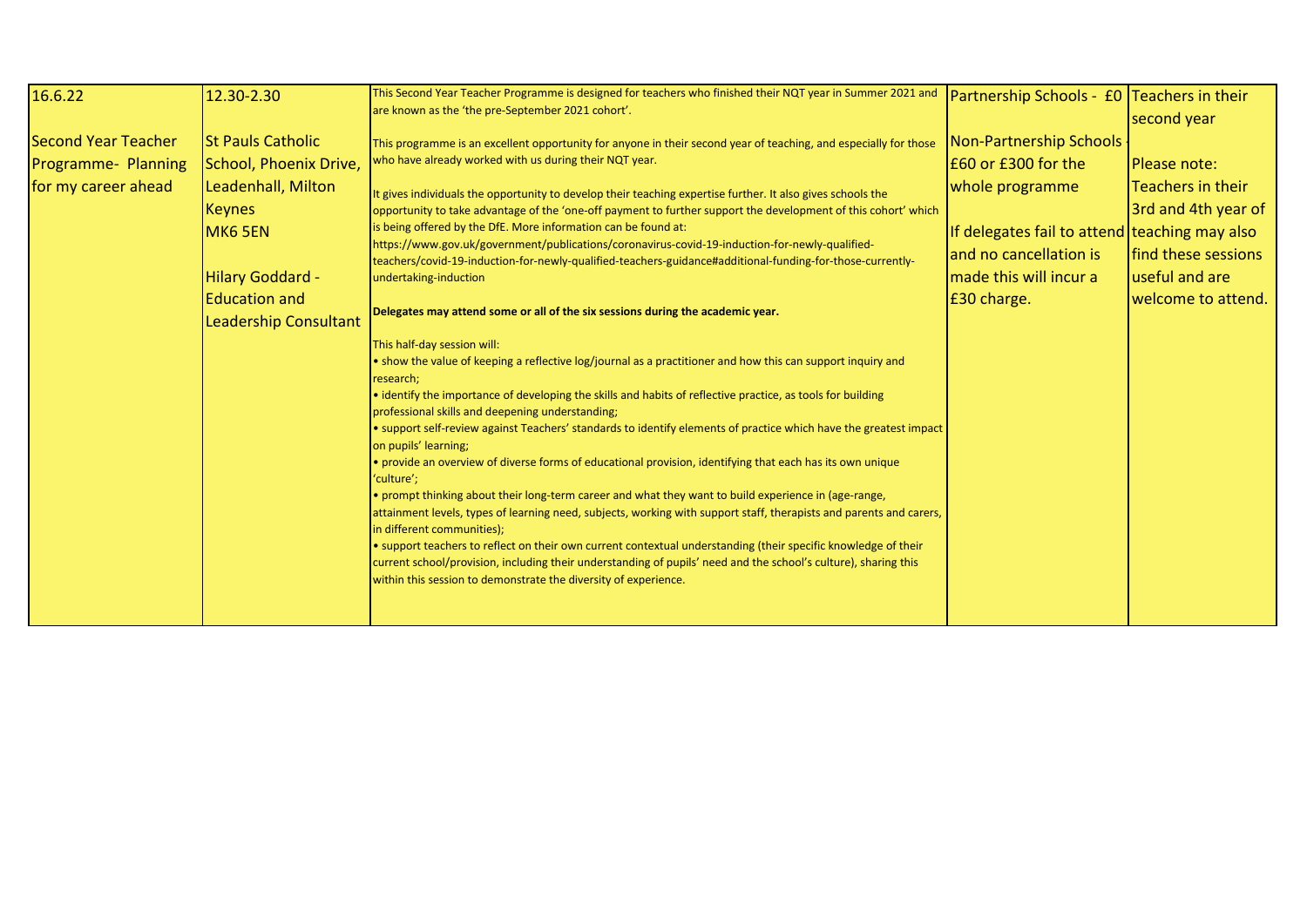| Second Year Teacher<br><b>St Pauls Catholic</b><br>This programme is an excellent opportunity for anyone in their second year of teaching, and especially for those<br>who have already worked with us during their NQT year.                                                                                                                                                                                                                                                                                                                                                                                                                                                                                                                                                                                                                                                                                                                                                                                                                                                                                                                                                                                                                                                                                                                                                                                                                                                                                                                                                                                                                                                                                                                                                                                                                                                                                                                                                                                                                                                                   |                                                | Partnership Schools - £0 Teachers in their<br>second year                                                                                                                       |
|-------------------------------------------------------------------------------------------------------------------------------------------------------------------------------------------------------------------------------------------------------------------------------------------------------------------------------------------------------------------------------------------------------------------------------------------------------------------------------------------------------------------------------------------------------------------------------------------------------------------------------------------------------------------------------------------------------------------------------------------------------------------------------------------------------------------------------------------------------------------------------------------------------------------------------------------------------------------------------------------------------------------------------------------------------------------------------------------------------------------------------------------------------------------------------------------------------------------------------------------------------------------------------------------------------------------------------------------------------------------------------------------------------------------------------------------------------------------------------------------------------------------------------------------------------------------------------------------------------------------------------------------------------------------------------------------------------------------------------------------------------------------------------------------------------------------------------------------------------------------------------------------------------------------------------------------------------------------------------------------------------------------------------------------------------------------------------------------------|------------------------------------------------|---------------------------------------------------------------------------------------------------------------------------------------------------------------------------------|
| Programme- Planning<br>School, Phoenix Drive,<br>for my career ahead<br>Leadenhall, Milton<br>whole programme<br>It gives individuals the opportunity to develop their teaching expertise further. It also gives schools the<br><b>Keynes</b><br>opportunity to take advantage of the 'one-off payment to further support the development of this cohort' which<br>s being offered by the DfE. More information can be found at:<br>MK6 5EN<br>https://www.gov.uk/government/publications/coronavirus-covid-19-induction-for-newly-qualified-<br>and no cancellation is<br>teachers/covid-19-induction-for-newly-qualified-teachers-guidance#additional-funding-for-those-currently-<br>Hilary Goddard -<br>made this will incur a<br>undertaking-induction<br><b>Education and</b><br>£30 charge.<br>Delegates may attend some or all of the six sessions during the academic year.<br><b>Leadership Consultant</b><br>This half-day session will:<br>• show the value of keeping a reflective log/journal as a practitioner and how this can support inquiry and<br>research;<br>• identify the importance of developing the skills and habits of reflective practice, as tools for building<br>professional skills and deepening understanding;<br>. support self-review against Teachers' standards to identify elements of practice which have the greatest impact<br>on pupils' learning;<br>· provide an overview of diverse forms of educational provision, identifying that each has its own unique<br>'culture';<br>• prompt thinking about their long-term career and what they want to build experience in (age-range,<br>attainment levels, types of learning need, subjects, working with support staff, therapists and parents and carers,<br>in different communities);<br>• support teachers to reflect on their own current contextual understanding (their specific knowledge of their<br>current school/provision, including their understanding of pupils' need and the school's culture), sharing this<br>within this session to demonstrate the diversity of experience. | Non-Partnership Schools<br>E60 or £300 for the | Please note:<br><b>Teachers in their</b><br>3rd and 4th year of<br>If delegates fail to attend teaching may also<br>find these sessions<br>useful and are<br>welcome to attend. |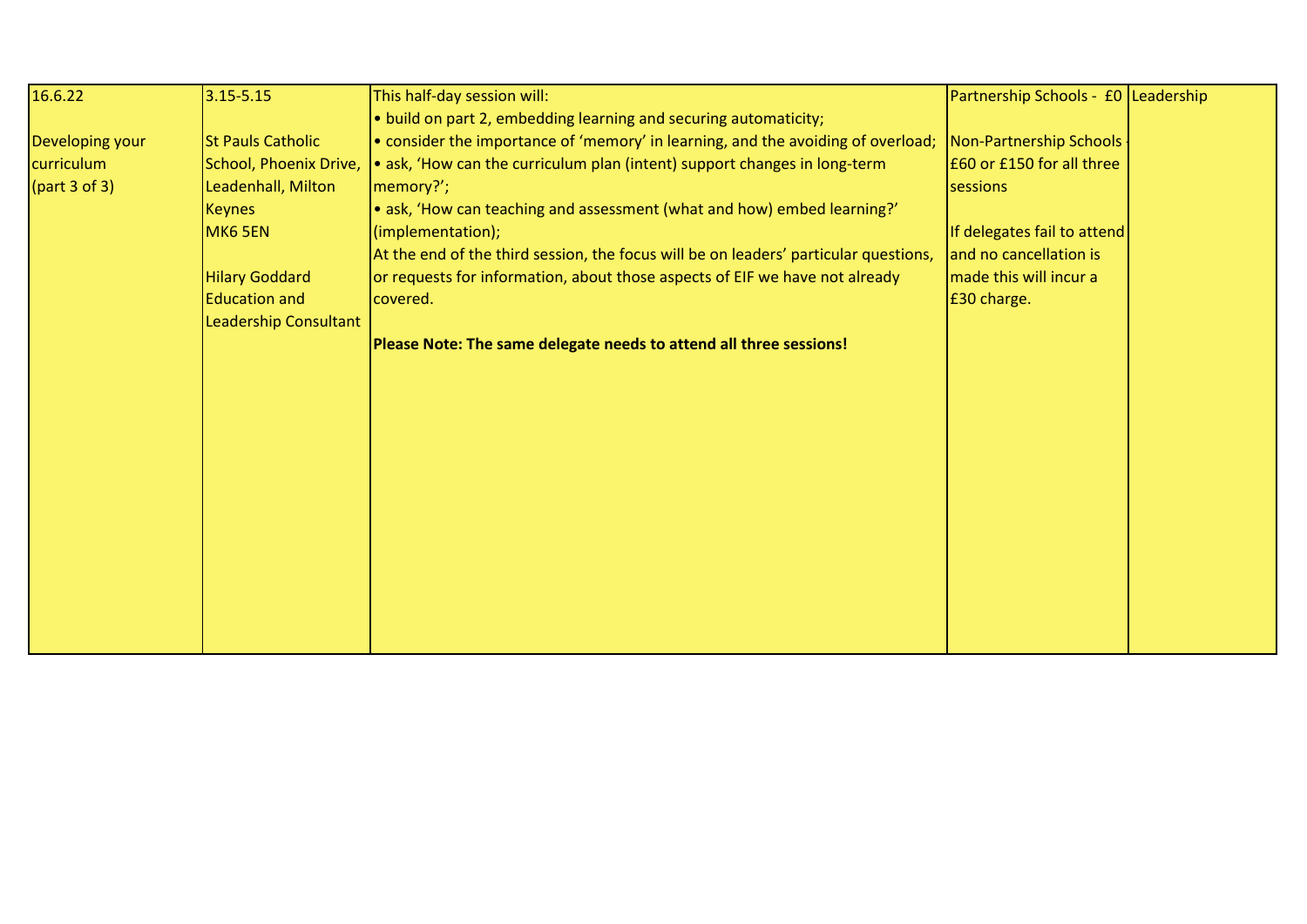| 16.6.22         | $3.15 - 5.15$            | This half-day session will:                                                          | Partnership Schools - £0 Leadership |  |
|-----------------|--------------------------|--------------------------------------------------------------------------------------|-------------------------------------|--|
|                 |                          | . build on part 2, embedding learning and securing automaticity;                     |                                     |  |
| Developing your | <b>St Pauls Catholic</b> | • consider the importance of 'memory' in learning, and the avoiding of overload;     | Non-Partnership Schools             |  |
| curriculum      | School, Phoenix Drive,   | • ask, 'How can the curriculum plan (intent) support changes in long-term            | £60 or £150 for all three           |  |
| part 3 of 3)    | Leadenhall, Milton       | memory?';                                                                            | sessions                            |  |
|                 | <b>Keynes</b>            | • ask, 'How can teaching and assessment (what and how) embed learning?'              |                                     |  |
|                 | MK6 5EN                  | (implementation);                                                                    | If delegates fail to attend         |  |
|                 |                          | At the end of the third session, the focus will be on leaders' particular questions, | and no cancellation is              |  |
|                 | <b>Hilary Goddard</b>    | or requests for information, about those aspects of EIF we have not already          | made this will incur a              |  |
|                 | <b>Education and</b>     | covered.                                                                             | £30 charge.                         |  |
|                 | Leadership Consultant    |                                                                                      |                                     |  |
|                 |                          | Please Note: The same delegate needs to attend all three sessions!                   |                                     |  |
|                 |                          |                                                                                      |                                     |  |
|                 |                          |                                                                                      |                                     |  |
|                 |                          |                                                                                      |                                     |  |
|                 |                          |                                                                                      |                                     |  |
|                 |                          |                                                                                      |                                     |  |
|                 |                          |                                                                                      |                                     |  |
|                 |                          |                                                                                      |                                     |  |
|                 |                          |                                                                                      |                                     |  |
|                 |                          |                                                                                      |                                     |  |
|                 |                          |                                                                                      |                                     |  |
|                 |                          |                                                                                      |                                     |  |
|                 |                          |                                                                                      |                                     |  |
|                 |                          |                                                                                      |                                     |  |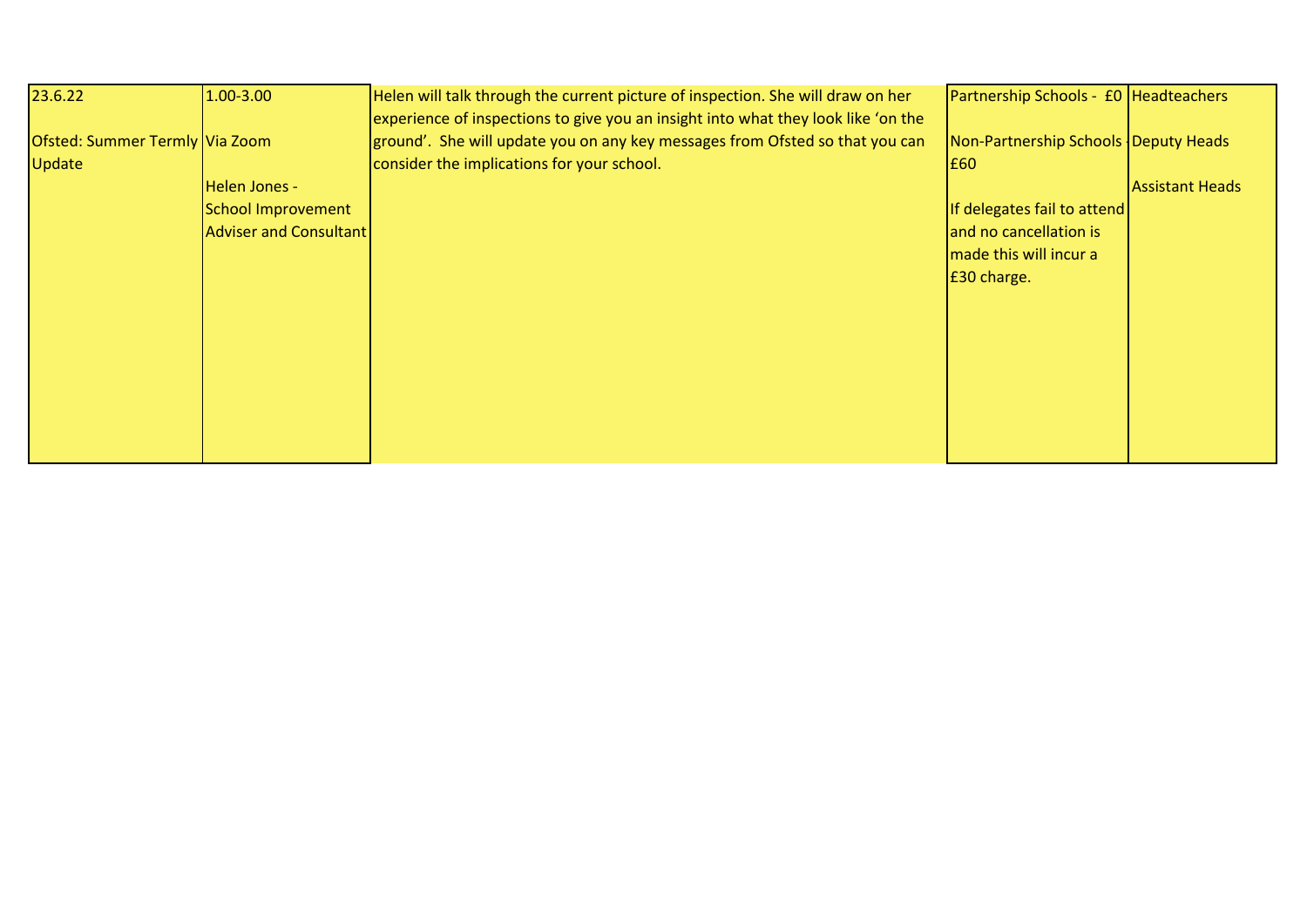| 23.6.22                        | 1.00-3.00                     | Helen will talk through the current picture of inspection. She will draw on her   | Partnership Schools - £0 Headteachers |                        |
|--------------------------------|-------------------------------|-----------------------------------------------------------------------------------|---------------------------------------|------------------------|
|                                |                               | experience of inspections to give you an insight into what they look like 'on the |                                       |                        |
| Ofsted: Summer Termly Via Zoom |                               | ground'. She will update you on any key messages from Ofsted so that you can      | Non-Partnership Schools Deputy Heads  |                        |
| Update                         |                               | consider the implications for your school.                                        | <b>E60</b>                            |                        |
|                                | Helen Jones -                 |                                                                                   |                                       | <b>Assistant Heads</b> |
|                                | School Improvement            |                                                                                   | If delegates fail to attend           |                        |
|                                | <b>Adviser and Consultant</b> |                                                                                   | and no cancellation is                |                        |
|                                |                               |                                                                                   | made this will incur a                |                        |
|                                |                               |                                                                                   | E30 charge.                           |                        |
|                                |                               |                                                                                   |                                       |                        |
|                                |                               |                                                                                   |                                       |                        |
|                                |                               |                                                                                   |                                       |                        |
|                                |                               |                                                                                   |                                       |                        |
|                                |                               |                                                                                   |                                       |                        |
|                                |                               |                                                                                   |                                       |                        |
|                                |                               |                                                                                   |                                       |                        |
|                                |                               |                                                                                   |                                       |                        |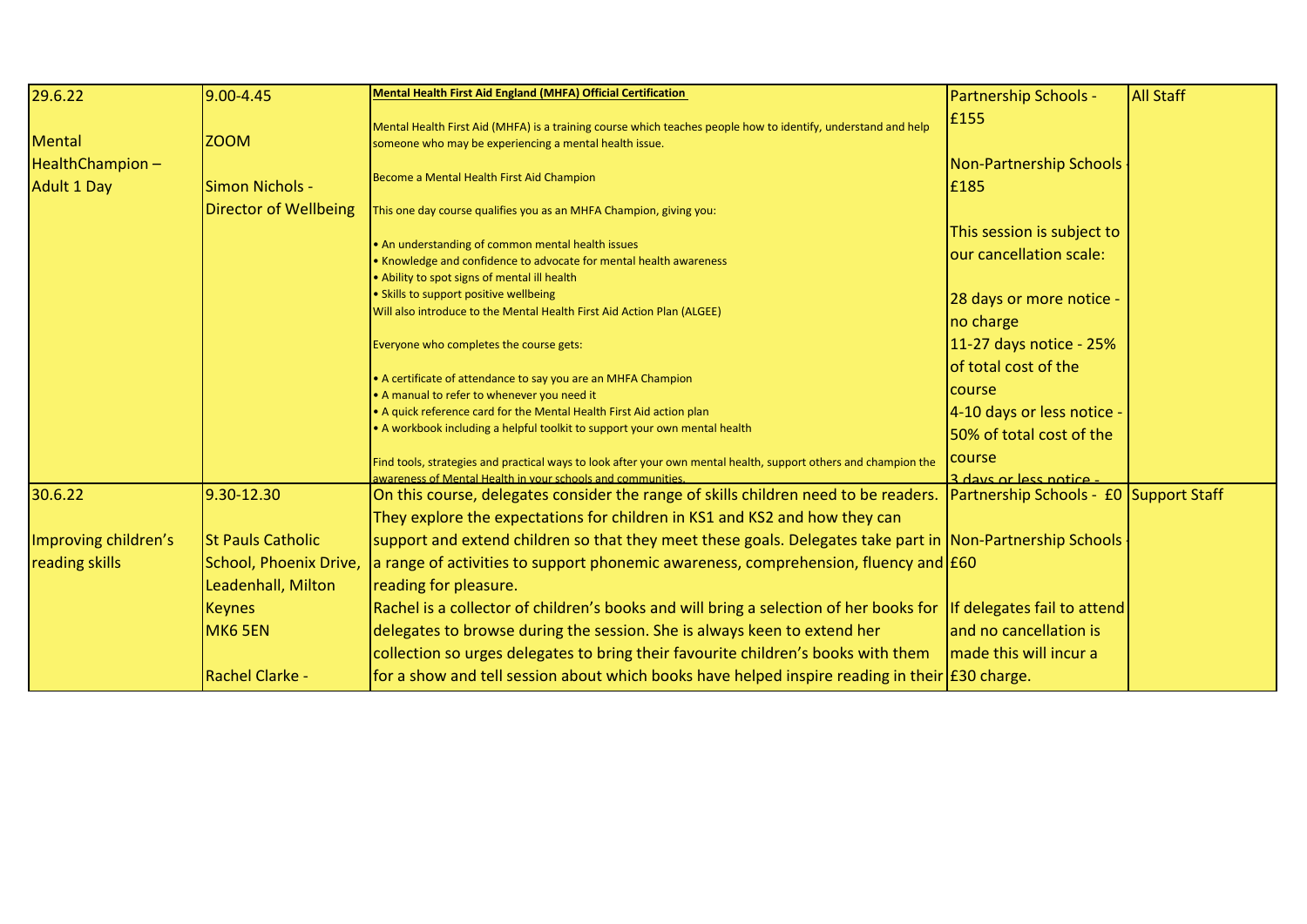| 29.6.22                                | $9.00 - 4.45$                                                            | <b>Mental Health First Aid England (MHFA) Official Certification</b>                                                                                                                                                                                                                                      | <b>Partnership Schools -</b>                           | <b>All Staff</b> |
|----------------------------------------|--------------------------------------------------------------------------|-----------------------------------------------------------------------------------------------------------------------------------------------------------------------------------------------------------------------------------------------------------------------------------------------------------|--------------------------------------------------------|------------------|
| Mental<br>HealthChampion-              | <b>ZOOM</b>                                                              | Mental Health First Aid (MHFA) is a training course which teaches people how to identify, understand and help<br>someone who may be experiencing a mental health issue.                                                                                                                                   | £155<br>Non-Partnership Schools                        |                  |
| <b>Adult 1 Day</b>                     | <b>Simon Nichols -</b>                                                   | Become a Mental Health First Aid Champion                                                                                                                                                                                                                                                                 | £185                                                   |                  |
|                                        | Director of Wellbeing                                                    | This one day course qualifies you as an MHFA Champion, giving you:                                                                                                                                                                                                                                        |                                                        |                  |
|                                        |                                                                          | . An understanding of common mental health issues<br>• Knowledge and confidence to advocate for mental health awareness<br>. Ability to spot signs of mental ill health                                                                                                                                   | This session is subject to<br>our cancellation scale:  |                  |
|                                        |                                                                          | · Skills to support positive wellbeing<br>Will also introduce to the Mental Health First Aid Action Plan (ALGEE)                                                                                                                                                                                          | 28 days or more notice -<br>no charge                  |                  |
|                                        |                                                                          | Everyone who completes the course gets:                                                                                                                                                                                                                                                                   | 11-27 days notice - 25%<br>of total cost of the        |                  |
|                                        |                                                                          | • A certificate of attendance to say you are an MHFA Champion<br>• A manual to refer to whenever you need it                                                                                                                                                                                              | course                                                 |                  |
|                                        |                                                                          | • A quick reference card for the Mental Health First Aid action plan<br>• A workbook including a helpful toolkit to support your own mental health                                                                                                                                                        | 4-10 days or less notice -<br>50% of total cost of the |                  |
|                                        |                                                                          | Find tools, strategies and practical ways to look after your own mental health, support others and champion the<br>wareness of Mental Health in your schools and communities.                                                                                                                             | course<br><u>l 3 days or less notice -</u>             |                  |
| 30.6.22                                | 9.30-12.30                                                               | On this course, delegates consider the range of skills children need to be readers.                                                                                                                                                                                                                       | Partnership Schools - £0 Support Staff                 |                  |
| Improving children's<br>reading skills | <b>St Pauls Catholic</b><br>School, Phoenix Drive,<br>Leadenhall, Milton | They explore the expectations for children in KS1 and KS2 and how they can<br>support and extend children so that they meet these goals. Delegates take part in Non-Partnership Schools<br>a range of activities to support phonemic awareness, comprehension, fluency and $E60$<br>reading for pleasure. |                                                        |                  |
|                                        | <b>Keynes</b><br>MK6 5EN                                                 | Rachel is a collector of children's books and will bring a selection of her books for If delegates fail to attend<br>delegates to browse during the session. She is always keen to extend her<br>collection so urges delegates to bring their favourite children's books with them                        | and no cancellation is<br>made this will incur a       |                  |
|                                        | <b>Rachel Clarke -</b>                                                   | for a show and tell session about which books have helped inspire reading in their $\frac{1}{230}$ charge.                                                                                                                                                                                                |                                                        |                  |

Director of Primary

setting.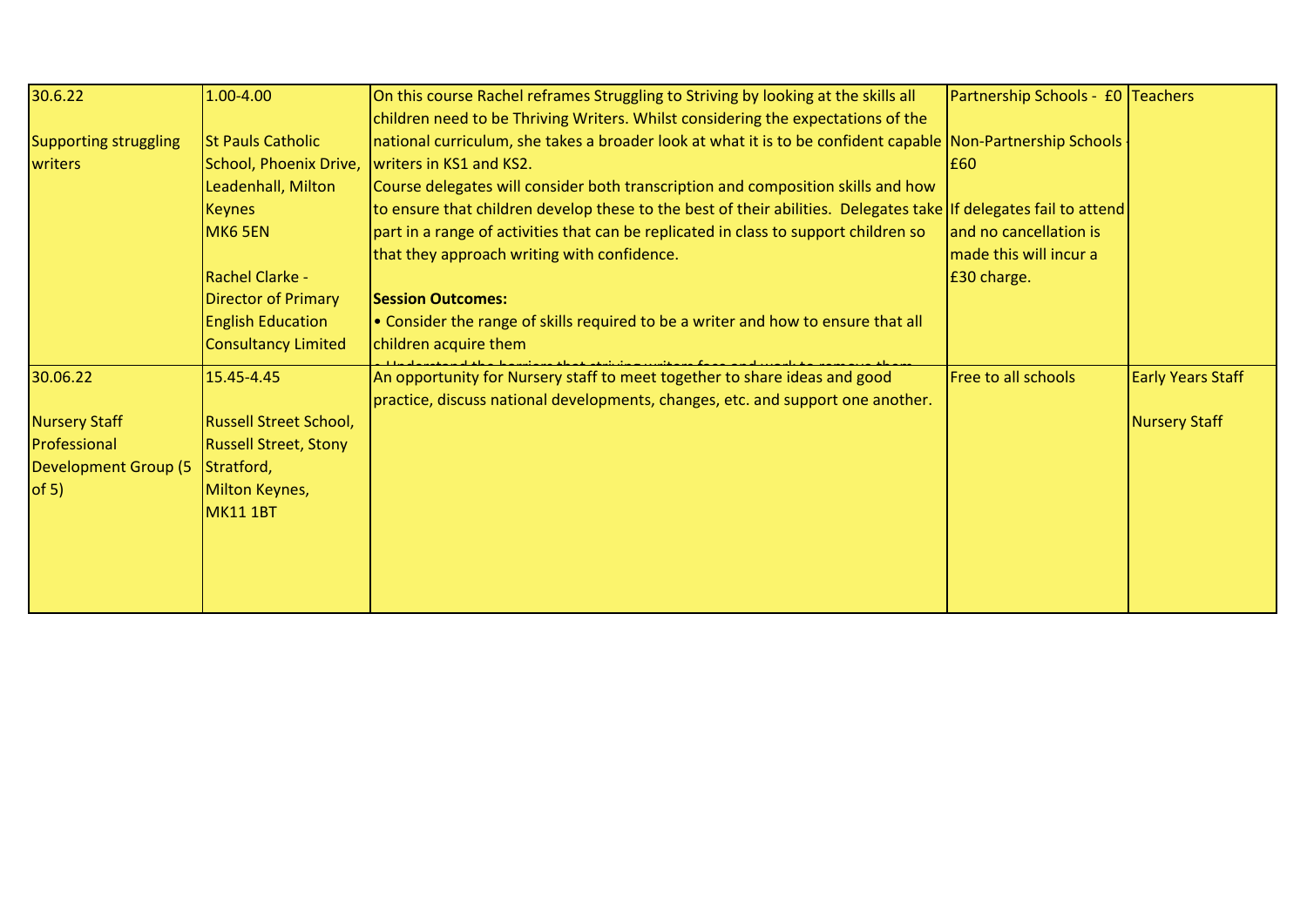| 30.6.22                                                                           | 1.00-4.00                                                                                                                                                                                         | On this course Rachel reframes Struggling to Striving by looking at the skills all                                                                                                                                                                                                                                                                                                                                                                                                                                                                                                                                                                                                                                    | Partnership Schools - £0 Teachers                                        |                                           |
|-----------------------------------------------------------------------------------|---------------------------------------------------------------------------------------------------------------------------------------------------------------------------------------------------|-----------------------------------------------------------------------------------------------------------------------------------------------------------------------------------------------------------------------------------------------------------------------------------------------------------------------------------------------------------------------------------------------------------------------------------------------------------------------------------------------------------------------------------------------------------------------------------------------------------------------------------------------------------------------------------------------------------------------|--------------------------------------------------------------------------|-------------------------------------------|
| Supporting struggling<br>writers                                                  | <b>St Pauls Catholic</b><br>School, Phoenix Drive,<br>Leadenhall, Milton<br><b>Keynes</b><br>MK6 5EN<br>Rachel Clarke -<br>Director of Primary<br><b>English Education</b><br>Consultancy Limited | children need to be Thriving Writers. Whilst considering the expectations of the<br>national curriculum, she takes a broader look at what it is to be confident capable Non-Partnership Schools ·<br>writers in KS1 and KS2.<br>Course delegates will consider both transcription and composition skills and how<br>to ensure that children develop these to the best of their abilities. Delegates take If delegates fail to attend<br>part in a range of activities that can be replicated in class to support children so<br>that they approach writing with confidence.<br><b>Session Outcomes:</b><br>. Consider the range of skills required to be a writer and how to ensure that all<br>children acquire them | I£60.<br>and no cancellation is<br>made this will incur a<br>£30 charge. |                                           |
| 30.06.22<br>Nursery Staff<br>Professional<br><b>Development Group (5</b><br>of 5) | 15.45-4.45<br><b>Russell Street School,</b><br><b>Russell Street, Stony</b><br>Stratford,<br>Milton Keynes,<br><b>MK11 1BT</b>                                                                    | An opportunity for Nursery staff to meet together to share ideas and good<br>practice, discuss national developments, changes, etc. and support one another.                                                                                                                                                                                                                                                                                                                                                                                                                                                                                                                                                          | <b>Free to all schools</b>                                               | <b>Early Years Staff</b><br>Nursery Staff |